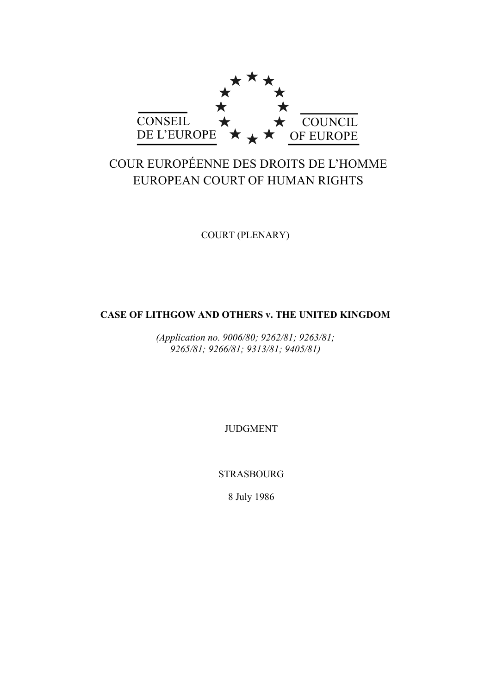

# COUR EUROPÉENNE DES DROITS DE L'HOMME EUROPEAN COURT OF HUMAN RIGHTS

COURT (PLENARY)

# **CASE OF LITHGOW AND OTHERS v. THE UNITED KINGDOM**

*(Application no. 9006/80; 9262/81; 9263/81; 9265/81; 9266/81; 9313/81; 9405/81)*

JUDGMENT

STRASBOURG

8 July 1986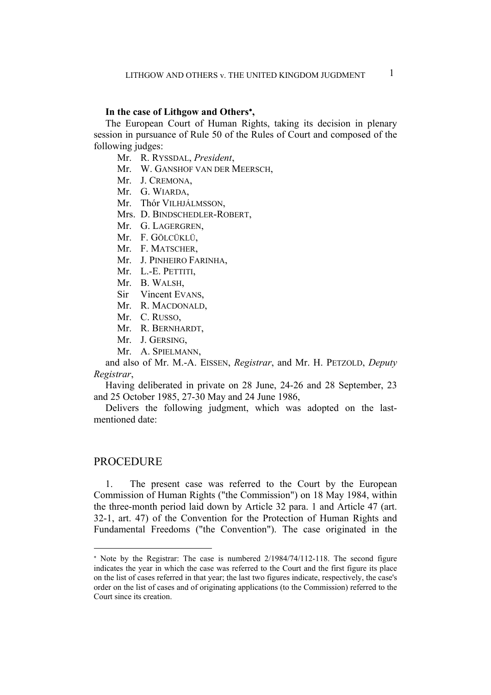## **In the case of Lithgow and Others ,**

The European Court of Human Rights, taking its decision in plenary session in pursuance of Rule 50 of the Rules of Court and composed of the following judges:

Mr. R. RYSSDAL, *President*,

Mr. W. GANSHOF VAN DER MEERSCH,

Mr. J. CREMONA,

Mr. G. WIARDA,

Mr. Thór VILHJÁLMSSON,

Mrs. D. BINDSCHEDLER-ROBERT,

Mr. G. LAGERGREN,

- Mr. F. GÖLCÜKLÜ,
- Mr. F. MATSCHER,
- Mr. J. PINHEIRO FARINHA,
- Mr. L.-E. PETTITI,
- Mr. B. WALSH,
- Sir Vincent EVANS,
- Mr. R. MACDONALD,
- Mr. C. RUSSO,
- Mr. R. BERNHARDT,
- Mr. J. GERSING,
- Mr. A. SPIELMANN,

and also of Mr. M.-A. EISSEN, *Registrar*, and Mr. H. PETZOLD, *Deputy Registrar*,

Having deliberated in private on 28 June, 24-26 and 28 September, 23 and 25 October 1985, 27-30 May and 24 June 1986,

Delivers the following judgment, which was adopted on the lastmentioned date:

#### PROCEDURE

1. The present case was referred to the Court by the European Commission of Human Rights ("the Commission") on 18 May 1984, within the three-month period laid down by Article 32 para. 1 and Article 47 (art. 32-1, art. 47) of the Convention for the Protection of Human Rights and Fundamental Freedoms ("the Convention"). The case originated in the

 $*$  Note by the Registrar: The case is numbered  $2/1984/74/112-118$ . The second figure indicates the year in which the case was referred to the Court and the first figure its place on the list of cases referred in that year; the last two figures indicate, respectively, the case's order on the list of cases and of originating applications (to the Commission) referred to the Court since its creation.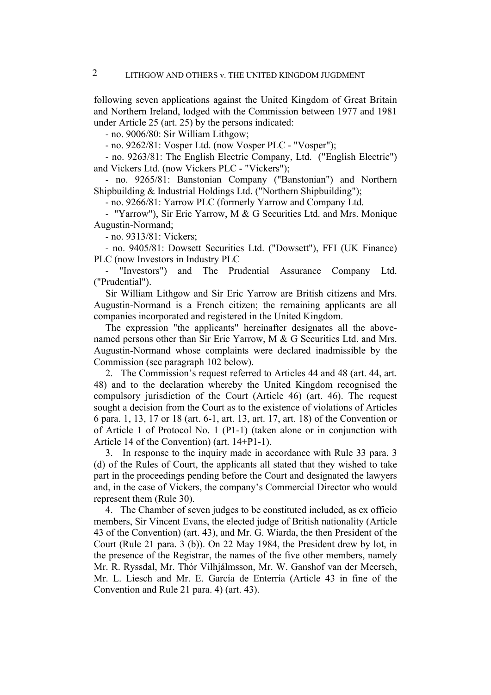following seven applications against the United Kingdom of Great Britain and Northern Ireland, lodged with the Commission between 1977 and 1981 under Article 25 (art. 25) by the persons indicated:

- no. 9006/80: Sir William Lithgow;

- no. 9262/81: Vosper Ltd. (now Vosper PLC - "Vosper");

- no. 9263/81: The English Electric Company, Ltd. ("English Electric") and Vickers Ltd. (now Vickers PLC - "Vickers");

- no. 9265/81: Banstonian Company ("Banstonian") and Northern Shipbuilding & Industrial Holdings Ltd. ("Northern Shipbuilding");

- no. 9266/81: Yarrow PLC (formerly Yarrow and Company Ltd.

- "Yarrow"), Sir Eric Yarrow, M & G Securities Ltd. and Mrs. Monique Augustin-Normand;

- no. 9313/81: Vickers;

- no. 9405/81: Dowsett Securities Ltd. ("Dowsett"), FFI (UK Finance) PLC (now Investors in Industry PLC

- "Investors") and The Prudential Assurance Company Ltd. ("Prudential").

Sir William Lithgow and Sir Eric Yarrow are British citizens and Mrs. Augustin-Normand is a French citizen; the remaining applicants are all companies incorporated and registered in the United Kingdom.

The expression "the applicants" hereinafter designates all the abovenamed persons other than Sir Eric Yarrow, M & G Securities Ltd. and Mrs. Augustin-Normand whose complaints were declared inadmissible by the Commission (see paragraph 102 below).

2. The Commission's request referred to Articles 44 and 48 (art. 44, art. 48) and to the declaration whereby the United Kingdom recognised the compulsory jurisdiction of the Court (Article 46) (art. 46). The request sought a decision from the Court as to the existence of violations of Articles 6 para. 1, 13, 17 or 18 (art. 6-1, art. 13, art. 17, art. 18) of the Convention or of Article 1 of Protocol No. 1 (P1-1) (taken alone or in conjunction with Article 14 of the Convention) (art. 14+P1-1).

3. In response to the inquiry made in accordance with Rule 33 para. 3 (d) of the Rules of Court, the applicants all stated that they wished to take part in the proceedings pending before the Court and designated the lawyers and, in the case of Vickers, the company's Commercial Director who would represent them (Rule 30).

4. The Chamber of seven judges to be constituted included, as ex officio members, Sir Vincent Evans, the elected judge of British nationality (Article 43 of the Convention) (art. 43), and Mr. G. Wiarda, the then President of the Court (Rule 21 para. 3 (b)). On 22 May 1984, the President drew by lot, in the presence of the Registrar, the names of the five other members, namely Mr. R. Ryssdal, Mr. Thór Vilhjálmsson, Mr. W. Ganshof van der Meersch, Mr. L. Liesch and Mr. E. García de Enterría (Article 43 in fine of the Convention and Rule 21 para. 4) (art. 43).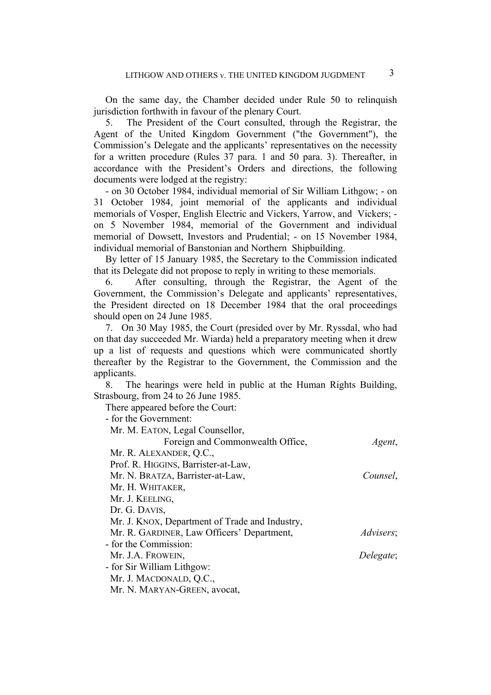On the same day, the Chamber decided under Rule 50 to relinquish jurisdiction forthwith in favour of the plenary Court.

5. The President of the Court consulted, through the Registrar, the Agent of the United Kingdom Government ("the Government"), the Commission's Delegate and the applicants' representatives on the necessity for a written procedure (Rules 37 para. 1 and 50 para. 3). Thereafter, in accordance with the President's Orders and directions, the following documents were lodged at the registry:

- on 30 October 1984, individual memorial of Sir William Lithgow; - on 31 October 1984, joint memorial of the applicants and individual memorials of Vosper, English Electric and Vickers, Yarrow, and Vickers; on 5 November 1984, memorial of the Government and individual memorial of Dowsett, Investors and Prudential; - on 15 November 1984, individual memorial of Banstonian and Northern Shipbuilding.

By letter of 15 January 1985, the Secretary to the Commission indicated that its Delegate did not propose to reply in writing to these memorials.

6. After consulting, through the Registrar, the Agent of the Government, the Commission's Delegate and applicants' representatives, the President directed on 18 December 1984 that the oral proceedings should open on 24 June 1985.

7. On 30 May 1985, the Court (presided over by Mr. Ryssdal, who had on that day succeeded Mr. Wiarda) held a preparatory meeting when it drew up a list of requests and questions which were communicated shortly thereafter by the Registrar to the Government, the Commission and the applicants.

8. The hearings were held in public at the Human Rights Building, Strasbourg, from 24 to 26 June 1985.

There appeared before the Court:

- for the Government:

Mr. M. EATON, Legal Counsellor,

| Foreign and Commonwealth Office,               | Agent,    |
|------------------------------------------------|-----------|
| Mr. R. ALEXANDER, Q.C.,                        |           |
| Prof. R. HIGGINS, Barrister-at-Law,            |           |
| Mr. N. BRATZA, Barrister-at-Law,               | Counsel,  |
| Mr. H. WHITAKER,                               |           |
| Mr. J. KEELING,                                |           |
| Dr. G. DAVIS,                                  |           |
| Mr. J. KNOX, Department of Trade and Industry, |           |
| Mr. R. GARDINER, Law Officers' Department,     | Advisers; |
| - for the Commission:                          |           |
| Mr. J.A. FROWEIN,                              | Delegate; |
| - for Sir William Lithgow:                     |           |
| Mr. J. MACDONALD, Q.C.,                        |           |
| Mr. N. MARYAN-GREEN, avocat,                   |           |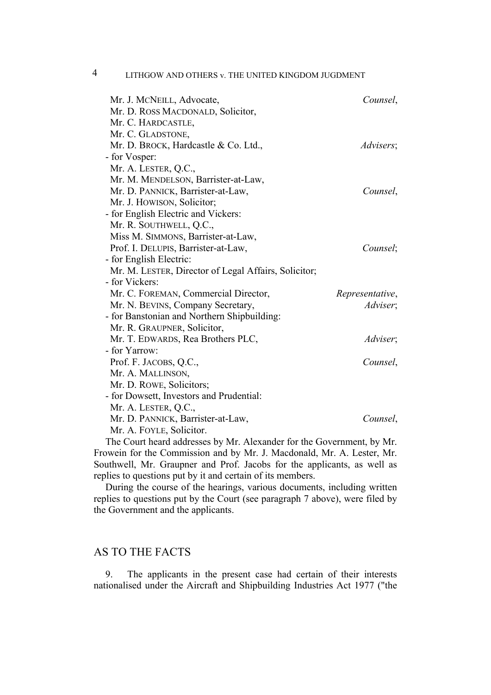4 LITHGOW AND OTHERS v. THE UNITED KINGDOM JUGDMENT

| Mr. J. MCNEILL, Advocate,                            | Counsel,        |
|------------------------------------------------------|-----------------|
| Mr. D. ROSS MACDONALD, Solicitor,                    |                 |
| Mr. C. HARDCASTLE,                                   |                 |
| Mr. C. GLADSTONE,                                    |                 |
| Mr. D. BROCK, Hardcastle & Co. Ltd.,                 | Advisers;       |
| - for Vosper:                                        |                 |
| Mr. A. LESTER, Q.C.,                                 |                 |
| Mr. M. MENDELSON, Barrister-at-Law,                  |                 |
| Mr. D. PANNICK, Barrister-at-Law,                    | Counsel,        |
| Mr. J. HOWISON, Solicitor;                           |                 |
| - for English Electric and Vickers:                  |                 |
| Mr. R. SOUTHWELL, Q.C.,                              |                 |
| Miss M. SIMMONS, Barrister-at-Law,                   |                 |
| Prof. I. DELUPIS, Barrister-at-Law,                  | Counsel;        |
| - for English Electric:                              |                 |
| Mr. M. LESTER, Director of Legal Affairs, Solicitor; |                 |
| - for Vickers:                                       |                 |
| Mr. C. FOREMAN, Commercial Director,                 | Representative, |
| Mr. N. BEVINS, Company Secretary,                    | Adviser;        |
| - for Banstonian and Northern Shipbuilding:          |                 |
| Mr. R. GRAUPNER, Solicitor,                          |                 |
| Mr. T. EDWARDS, Rea Brothers PLC,                    | Adviser;        |
| - for Yarrow:                                        |                 |
| Prof. F. JACOBS, Q.C.,                               | Counsel,        |
| Mr. A. MALLINSON,                                    |                 |
| Mr. D. ROWE, Solicitors;                             |                 |
| - for Dowsett, Investors and Prudential:             |                 |
| Mr. A. LESTER, Q.C.,                                 |                 |
| Mr. D. PANNICK, Barrister-at-Law,                    | Counsel,        |
| Mr. A. FOYLE, Solicitor.                             |                 |

The Court heard addresses by Mr. Alexander for the Government, by Mr. Frowein for the Commission and by Mr. J. Macdonald, Mr. A. Lester, Mr. Southwell, Mr. Graupner and Prof. Jacobs for the applicants, as well as replies to questions put by it and certain of its members.

During the course of the hearings, various documents, including written replies to questions put by the Court (see paragraph 7 above), were filed by the Government and the applicants.

# AS TO THE FACTS

9. The applicants in the present case had certain of their interests nationalised under the Aircraft and Shipbuilding Industries Act 1977 ("the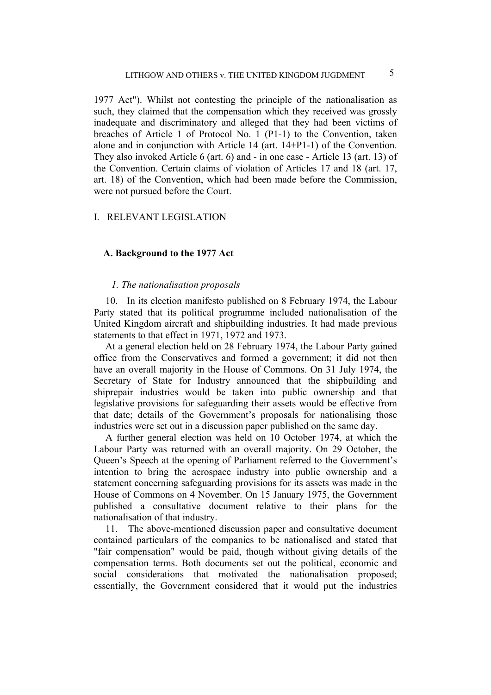1977 Act"). Whilst not contesting the principle of the nationalisation as such, they claimed that the compensation which they received was grossly inadequate and discriminatory and alleged that they had been victims of breaches of Article 1 of Protocol No. 1 (P1-1) to the Convention, taken alone and in conjunction with Article 14 (art. 14+P1-1) of the Convention. They also invoked Article 6 (art. 6) and - in one case - Article 13 (art. 13) of the Convention. Certain claims of violation of Articles 17 and 18 (art. 17, art. 18) of the Convention, which had been made before the Commission, were not pursued before the Court.

## I. RELEVANT LEGISLATION

## **A. Background to the 1977 Act**

## *1. The nationalisation proposals*

10. In its election manifesto published on 8 February 1974, the Labour Party stated that its political programme included nationalisation of the United Kingdom aircraft and shipbuilding industries. It had made previous statements to that effect in 1971, 1972 and 1973.

At a general election held on 28 February 1974, the Labour Party gained office from the Conservatives and formed a government; it did not then have an overall majority in the House of Commons. On 31 July 1974, the Secretary of State for Industry announced that the shipbuilding and shiprepair industries would be taken into public ownership and that legislative provisions for safeguarding their assets would be effective from that date; details of the Government's proposals for nationalising those industries were set out in a discussion paper published on the same day.

A further general election was held on 10 October 1974, at which the Labour Party was returned with an overall majority. On 29 October, the Queen's Speech at the opening of Parliament referred to the Government's intention to bring the aerospace industry into public ownership and a statement concerning safeguarding provisions for its assets was made in the House of Commons on 4 November. On 15 January 1975, the Government published a consultative document relative to their plans for the nationalisation of that industry.

11. The above-mentioned discussion paper and consultative document contained particulars of the companies to be nationalised and stated that "fair compensation" would be paid, though without giving details of the compensation terms. Both documents set out the political, economic and social considerations that motivated the nationalisation proposed; essentially, the Government considered that it would put the industries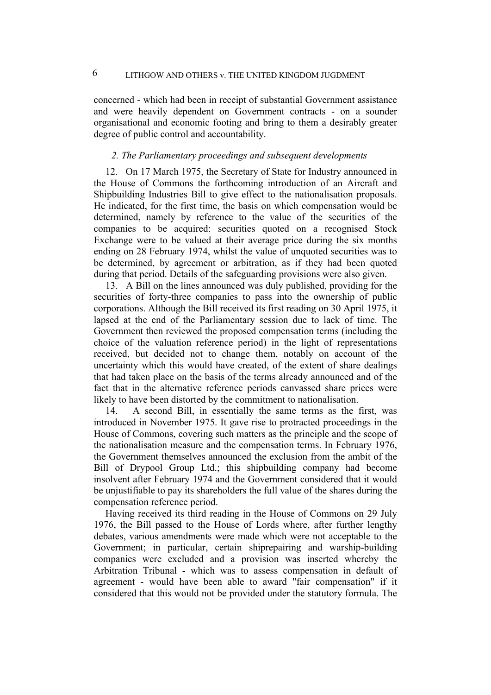concerned - which had been in receipt of substantial Government assistance and were heavily dependent on Government contracts - on a sounder organisational and economic footing and bring to them a desirably greater degree of public control and accountability.

## *2. The Parliamentary proceedings and subsequent developments*

12. On 17 March 1975, the Secretary of State for Industry announced in the House of Commons the forthcoming introduction of an Aircraft and Shipbuilding Industries Bill to give effect to the nationalisation proposals. He indicated, for the first time, the basis on which compensation would be determined, namely by reference to the value of the securities of the companies to be acquired: securities quoted on a recognised Stock Exchange were to be valued at their average price during the six months ending on 28 February 1974, whilst the value of unquoted securities was to be determined, by agreement or arbitration, as if they had been quoted during that period. Details of the safeguarding provisions were also given.

13. A Bill on the lines announced was duly published, providing for the securities of forty-three companies to pass into the ownership of public corporations. Although the Bill received its first reading on 30 April 1975, it lapsed at the end of the Parliamentary session due to lack of time. The Government then reviewed the proposed compensation terms (including the choice of the valuation reference period) in the light of representations received, but decided not to change them, notably on account of the uncertainty which this would have created, of the extent of share dealings that had taken place on the basis of the terms already announced and of the fact that in the alternative reference periods canvassed share prices were likely to have been distorted by the commitment to nationalisation.

14. A second Bill, in essentially the same terms as the first, was introduced in November 1975. It gave rise to protracted proceedings in the House of Commons, covering such matters as the principle and the scope of the nationalisation measure and the compensation terms. In February 1976, the Government themselves announced the exclusion from the ambit of the Bill of Drypool Group Ltd.; this shipbuilding company had become insolvent after February 1974 and the Government considered that it would be unjustifiable to pay its shareholders the full value of the shares during the compensation reference period.

Having received its third reading in the House of Commons on 29 July 1976, the Bill passed to the House of Lords where, after further lengthy debates, various amendments were made which were not acceptable to the Government; in particular, certain shiprepairing and warship-building companies were excluded and a provision was inserted whereby the Arbitration Tribunal - which was to assess compensation in default of agreement - would have been able to award "fair compensation" if it considered that this would not be provided under the statutory formula. The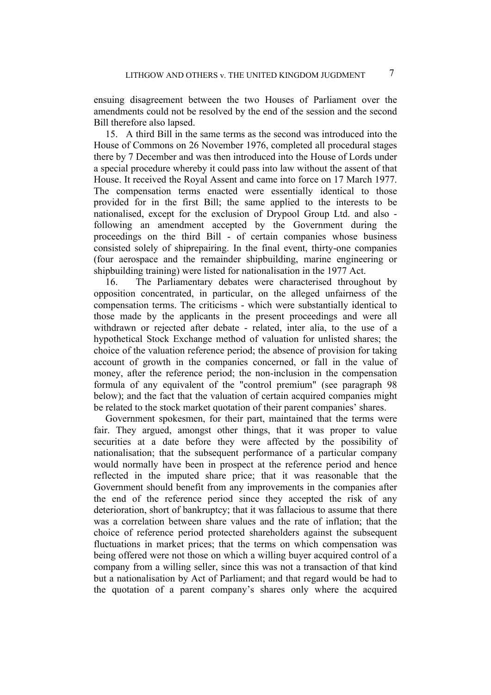ensuing disagreement between the two Houses of Parliament over the amendments could not be resolved by the end of the session and the second Bill therefore also lapsed.

15. A third Bill in the same terms as the second was introduced into the House of Commons on 26 November 1976, completed all procedural stages there by 7 December and was then introduced into the House of Lords under a special procedure whereby it could pass into law without the assent of that House. It received the Royal Assent and came into force on 17 March 1977. The compensation terms enacted were essentially identical to those provided for in the first Bill; the same applied to the interests to be nationalised, except for the exclusion of Drypool Group Ltd. and also following an amendment accepted by the Government during the proceedings on the third Bill - of certain companies whose business consisted solely of shiprepairing. In the final event, thirty-one companies (four aerospace and the remainder shipbuilding, marine engineering or shipbuilding training) were listed for nationalisation in the 1977 Act.

16. The Parliamentary debates were characterised throughout by opposition concentrated, in particular, on the alleged unfairness of the compensation terms. The criticisms - which were substantially identical to those made by the applicants in the present proceedings and were all withdrawn or rejected after debate - related, inter alia, to the use of a hypothetical Stock Exchange method of valuation for unlisted shares; the choice of the valuation reference period; the absence of provision for taking account of growth in the companies concerned, or fall in the value of money, after the reference period; the non-inclusion in the compensation formula of any equivalent of the "control premium" (see paragraph 98 below); and the fact that the valuation of certain acquired companies might be related to the stock market quotation of their parent companies' shares.

Government spokesmen, for their part, maintained that the terms were fair. They argued, amongst other things, that it was proper to value securities at a date before they were affected by the possibility of nationalisation; that the subsequent performance of a particular company would normally have been in prospect at the reference period and hence reflected in the imputed share price; that it was reasonable that the Government should benefit from any improvements in the companies after the end of the reference period since they accepted the risk of any deterioration, short of bankruptcy; that it was fallacious to assume that there was a correlation between share values and the rate of inflation; that the choice of reference period protected shareholders against the subsequent fluctuations in market prices; that the terms on which compensation was being offered were not those on which a willing buyer acquired control of a company from a willing seller, since this was not a transaction of that kind but a nationalisation by Act of Parliament; and that regard would be had to the quotation of a parent company's shares only where the acquired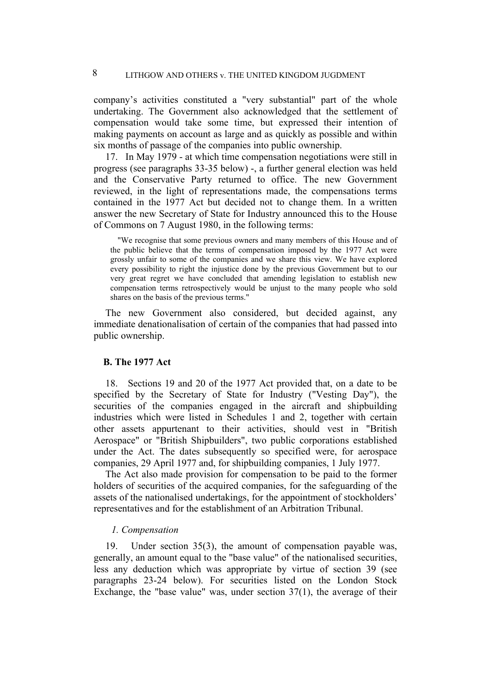company's activities constituted a "very substantial" part of the whole undertaking. The Government also acknowledged that the settlement of compensation would take some time, but expressed their intention of making payments on account as large and as quickly as possible and within six months of passage of the companies into public ownership.

17. In May 1979 - at which time compensation negotiations were still in progress (see paragraphs 33-35 below) -, a further general election was held and the Conservative Party returned to office. The new Government reviewed, in the light of representations made, the compensations terms contained in the 1977 Act but decided not to change them. In a written answer the new Secretary of State for Industry announced this to the House of Commons on 7 August 1980, in the following terms:

"We recognise that some previous owners and many members of this House and of the public believe that the terms of compensation imposed by the 1977 Act were grossly unfair to some of the companies and we share this view. We have explored every possibility to right the injustice done by the previous Government but to our very great regret we have concluded that amending legislation to establish new compensation terms retrospectively would be unjust to the many people who sold shares on the basis of the previous terms."

The new Government also considered, but decided against, any immediate denationalisation of certain of the companies that had passed into public ownership.

#### **B. The 1977 Act**

18. Sections 19 and 20 of the 1977 Act provided that, on a date to be specified by the Secretary of State for Industry ("Vesting Day"), the securities of the companies engaged in the aircraft and shipbuilding industries which were listed in Schedules 1 and 2, together with certain other assets appurtenant to their activities, should vest in "British Aerospace" or "British Shipbuilders", two public corporations established under the Act. The dates subsequently so specified were, for aerospace companies, 29 April 1977 and, for shipbuilding companies, 1 July 1977.

The Act also made provision for compensation to be paid to the former holders of securities of the acquired companies, for the safeguarding of the assets of the nationalised undertakings, for the appointment of stockholders' representatives and for the establishment of an Arbitration Tribunal.

#### *1. Compensation*

19. Under section 35(3), the amount of compensation payable was, generally, an amount equal to the "base value" of the nationalised securities, less any deduction which was appropriate by virtue of section 39 (see paragraphs 23-24 below). For securities listed on the London Stock Exchange, the "base value" was, under section  $37(1)$ , the average of their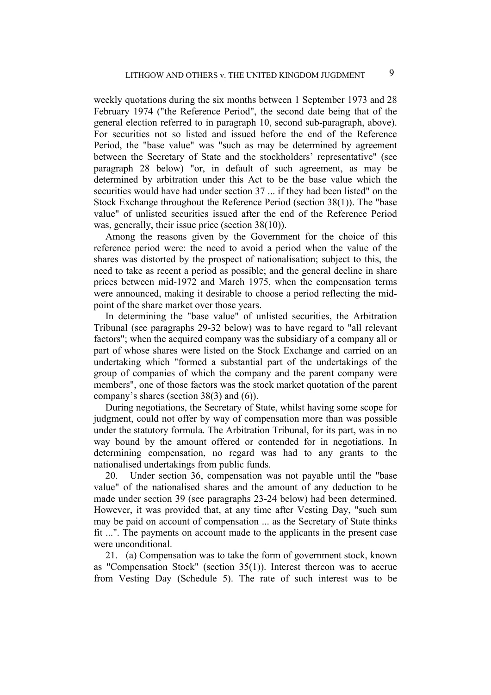weekly quotations during the six months between 1 September 1973 and 28 February 1974 ("the Reference Period", the second date being that of the general election referred to in paragraph 10, second sub-paragraph, above). For securities not so listed and issued before the end of the Reference Period, the "base value" was "such as may be determined by agreement between the Secretary of State and the stockholders' representative" (see paragraph 28 below) "or, in default of such agreement, as may be determined by arbitration under this Act to be the base value which the securities would have had under section 37 ... if they had been listed" on the Stock Exchange throughout the Reference Period (section 38(1)). The "base value" of unlisted securities issued after the end of the Reference Period was, generally, their issue price (section 38(10)).

Among the reasons given by the Government for the choice of this reference period were: the need to avoid a period when the value of the shares was distorted by the prospect of nationalisation; subject to this, the need to take as recent a period as possible; and the general decline in share prices between mid-1972 and March 1975, when the compensation terms were announced, making it desirable to choose a period reflecting the midpoint of the share market over those years.

In determining the "base value" of unlisted securities, the Arbitration Tribunal (see paragraphs 29-32 below) was to have regard to "all relevant factors"; when the acquired company was the subsidiary of a company all or part of whose shares were listed on the Stock Exchange and carried on an undertaking which "formed a substantial part of the undertakings of the group of companies of which the company and the parent company were members", one of those factors was the stock market quotation of the parent company's shares (section 38(3) and (6)).

During negotiations, the Secretary of State, whilst having some scope for judgment, could not offer by way of compensation more than was possible under the statutory formula. The Arbitration Tribunal, for its part, was in no way bound by the amount offered or contended for in negotiations. In determining compensation, no regard was had to any grants to the nationalised undertakings from public funds.

20. Under section 36, compensation was not payable until the "base value" of the nationalised shares and the amount of any deduction to be made under section 39 (see paragraphs 23-24 below) had been determined. However, it was provided that, at any time after Vesting Day, "such sum may be paid on account of compensation ... as the Secretary of State thinks fit ...". The payments on account made to the applicants in the present case were unconditional.

21. (a) Compensation was to take the form of government stock, known as "Compensation Stock" (section 35(1)). Interest thereon was to accrue from Vesting Day (Schedule 5). The rate of such interest was to be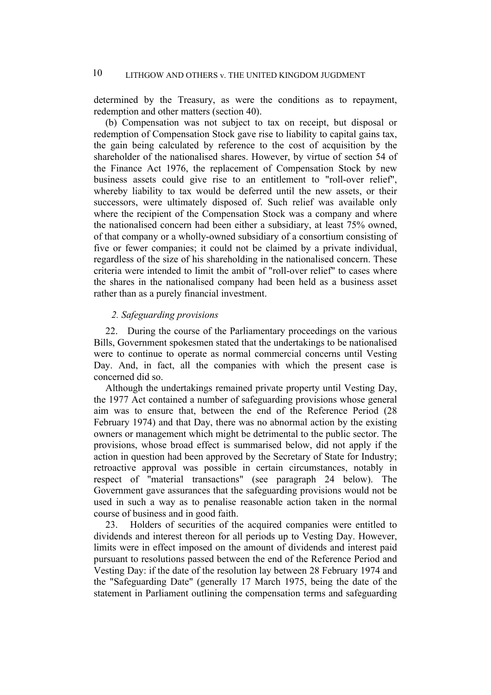determined by the Treasury, as were the conditions as to repayment, redemption and other matters (section 40).

(b) Compensation was not subject to tax on receipt, but disposal or redemption of Compensation Stock gave rise to liability to capital gains tax, the gain being calculated by reference to the cost of acquisition by the shareholder of the nationalised shares. However, by virtue of section 54 of the Finance Act 1976, the replacement of Compensation Stock by new business assets could give rise to an entitlement to "roll-over relief", whereby liability to tax would be deferred until the new assets, or their successors, were ultimately disposed of. Such relief was available only where the recipient of the Compensation Stock was a company and where the nationalised concern had been either a subsidiary, at least 75% owned, of that company or a wholly-owned subsidiary of a consortium consisting of five or fewer companies; it could not be claimed by a private individual, regardless of the size of his shareholding in the nationalised concern. These criteria were intended to limit the ambit of "roll-over relief" to cases where the shares in the nationalised company had been held as a business asset rather than as a purely financial investment.

## *2. Safeguarding provisions*

22. During the course of the Parliamentary proceedings on the various Bills, Government spokesmen stated that the undertakings to be nationalised were to continue to operate as normal commercial concerns until Vesting Day. And, in fact, all the companies with which the present case is concerned did so.

Although the undertakings remained private property until Vesting Day, the 1977 Act contained a number of safeguarding provisions whose general aim was to ensure that, between the end of the Reference Period (28 February 1974) and that Day, there was no abnormal action by the existing owners or management which might be detrimental to the public sector. The provisions, whose broad effect is summarised below, did not apply if the action in question had been approved by the Secretary of State for Industry; retroactive approval was possible in certain circumstances, notably in respect of "material transactions" (see paragraph 24 below). The Government gave assurances that the safeguarding provisions would not be used in such a way as to penalise reasonable action taken in the normal course of business and in good faith.

23. Holders of securities of the acquired companies were entitled to dividends and interest thereon for all periods up to Vesting Day. However, limits were in effect imposed on the amount of dividends and interest paid pursuant to resolutions passed between the end of the Reference Period and Vesting Day: if the date of the resolution lay between 28 February 1974 and the "Safeguarding Date" (generally 17 March 1975, being the date of the statement in Parliament outlining the compensation terms and safeguarding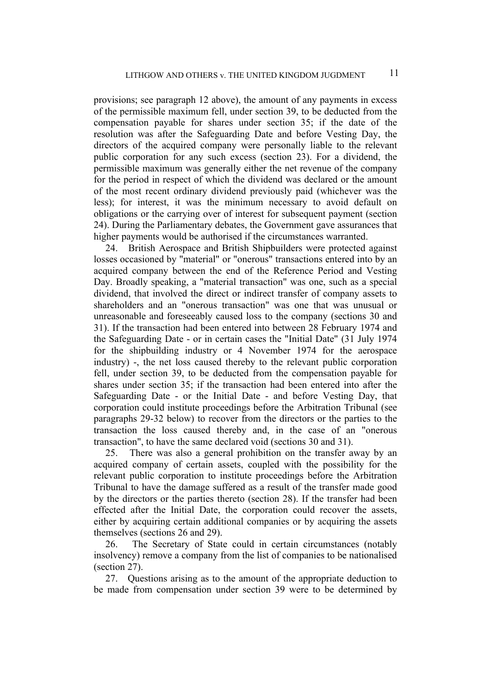provisions; see paragraph 12 above), the amount of any payments in excess of the permissible maximum fell, under section 39, to be deducted from the compensation payable for shares under section 35; if the date of the resolution was after the Safeguarding Date and before Vesting Day, the directors of the acquired company were personally liable to the relevant public corporation for any such excess (section 23). For a dividend, the permissible maximum was generally either the net revenue of the company for the period in respect of which the dividend was declared or the amount of the most recent ordinary dividend previously paid (whichever was the less); for interest, it was the minimum necessary to avoid default on obligations or the carrying over of interest for subsequent payment (section 24). During the Parliamentary debates, the Government gave assurances that higher payments would be authorised if the circumstances warranted.

24. British Aerospace and British Shipbuilders were protected against losses occasioned by "material" or "onerous" transactions entered into by an acquired company between the end of the Reference Period and Vesting Day. Broadly speaking, a "material transaction" was one, such as a special dividend, that involved the direct or indirect transfer of company assets to shareholders and an "onerous transaction" was one that was unusual or unreasonable and foreseeably caused loss to the company (sections 30 and 31). If the transaction had been entered into between 28 February 1974 and the Safeguarding Date - or in certain cases the "Initial Date" (31 July 1974 for the shipbuilding industry or 4 November 1974 for the aerospace industry) -, the net loss caused thereby to the relevant public corporation fell, under section 39, to be deducted from the compensation payable for shares under section 35; if the transaction had been entered into after the Safeguarding Date - or the Initial Date - and before Vesting Day, that corporation could institute proceedings before the Arbitration Tribunal (see paragraphs 29-32 below) to recover from the directors or the parties to the transaction the loss caused thereby and, in the case of an "onerous transaction", to have the same declared void (sections 30 and 31).

25. There was also a general prohibition on the transfer away by an acquired company of certain assets, coupled with the possibility for the relevant public corporation to institute proceedings before the Arbitration Tribunal to have the damage suffered as a result of the transfer made good by the directors or the parties thereto (section 28). If the transfer had been effected after the Initial Date, the corporation could recover the assets, either by acquiring certain additional companies or by acquiring the assets themselves (sections 26 and 29).

26. The Secretary of State could in certain circumstances (notably insolvency) remove a company from the list of companies to be nationalised (section 27).

27. Questions arising as to the amount of the appropriate deduction to be made from compensation under section 39 were to be determined by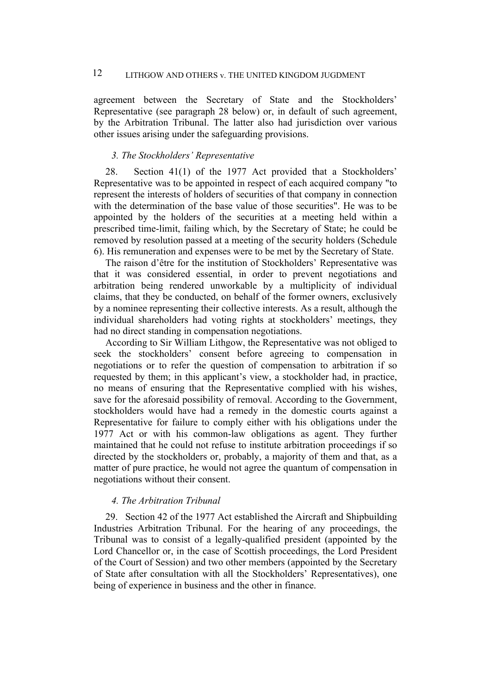agreement between the Secretary of State and the Stockholders' Representative (see paragraph 28 below) or, in default of such agreement, by the Arbitration Tribunal. The latter also had jurisdiction over various other issues arising under the safeguarding provisions.

## *3. The Stockholders' Representative*

28. Section 41(1) of the 1977 Act provided that a Stockholders' Representative was to be appointed in respect of each acquired company "to represent the interests of holders of securities of that company in connection with the determination of the base value of those securities". He was to be appointed by the holders of the securities at a meeting held within a prescribed time-limit, failing which, by the Secretary of State; he could be removed by resolution passed at a meeting of the security holders (Schedule 6). His remuneration and expenses were to be met by the Secretary of State.

The raison d'être for the institution of Stockholders' Representative was that it was considered essential, in order to prevent negotiations and arbitration being rendered unworkable by a multiplicity of individual claims, that they be conducted, on behalf of the former owners, exclusively by a nominee representing their collective interests. As a result, although the individual shareholders had voting rights at stockholders' meetings, they had no direct standing in compensation negotiations.

According to Sir William Lithgow, the Representative was not obliged to seek the stockholders' consent before agreeing to compensation in negotiations or to refer the question of compensation to arbitration if so requested by them; in this applicant's view, a stockholder had, in practice, no means of ensuring that the Representative complied with his wishes, save for the aforesaid possibility of removal. According to the Government, stockholders would have had a remedy in the domestic courts against a Representative for failure to comply either with his obligations under the 1977 Act or with his common-law obligations as agent. They further maintained that he could not refuse to institute arbitration proceedings if so directed by the stockholders or, probably, a majority of them and that, as a matter of pure practice, he would not agree the quantum of compensation in negotiations without their consent.

## *4. The Arbitration Tribunal*

29. Section 42 of the 1977 Act established the Aircraft and Shipbuilding Industries Arbitration Tribunal. For the hearing of any proceedings, the Tribunal was to consist of a legally-qualified president (appointed by the Lord Chancellor or, in the case of Scottish proceedings, the Lord President of the Court of Session) and two other members (appointed by the Secretary of State after consultation with all the Stockholders' Representatives), one being of experience in business and the other in finance.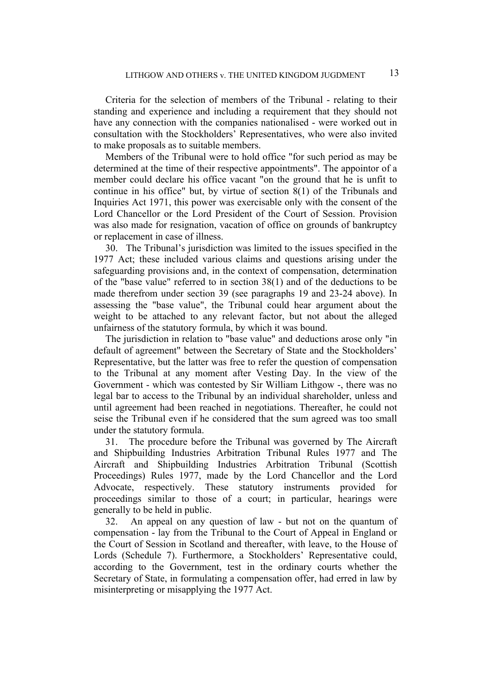Criteria for the selection of members of the Tribunal - relating to their standing and experience and including a requirement that they should not have any connection with the companies nationalised - were worked out in consultation with the Stockholders' Representatives, who were also invited to make proposals as to suitable members.

Members of the Tribunal were to hold office "for such period as may be determined at the time of their respective appointments". The appointor of a member could declare his office vacant "on the ground that he is unfit to continue in his office" but, by virtue of section 8(1) of the Tribunals and Inquiries Act 1971, this power was exercisable only with the consent of the Lord Chancellor or the Lord President of the Court of Session. Provision was also made for resignation, vacation of office on grounds of bankruptcy or replacement in case of illness.

30. The Tribunal's jurisdiction was limited to the issues specified in the 1977 Act; these included various claims and questions arising under the safeguarding provisions and, in the context of compensation, determination of the "base value" referred to in section 38(1) and of the deductions to be made therefrom under section 39 (see paragraphs 19 and 23-24 above). In assessing the "base value", the Tribunal could hear argument about the weight to be attached to any relevant factor, but not about the alleged unfairness of the statutory formula, by which it was bound.

The jurisdiction in relation to "base value" and deductions arose only "in default of agreement" between the Secretary of State and the Stockholders' Representative, but the latter was free to refer the question of compensation to the Tribunal at any moment after Vesting Day. In the view of the Government - which was contested by Sir William Lithgow -, there was no legal bar to access to the Tribunal by an individual shareholder, unless and until agreement had been reached in negotiations. Thereafter, he could not seise the Tribunal even if he considered that the sum agreed was too small under the statutory formula.

31. The procedure before the Tribunal was governed by The Aircraft and Shipbuilding Industries Arbitration Tribunal Rules 1977 and The Aircraft and Shipbuilding Industries Arbitration Tribunal (Scottish Proceedings) Rules 1977, made by the Lord Chancellor and the Lord Advocate, respectively. These statutory instruments provided for proceedings similar to those of a court; in particular, hearings were generally to be held in public.

32. An appeal on any question of law - but not on the quantum of compensation - lay from the Tribunal to the Court of Appeal in England or the Court of Session in Scotland and thereafter, with leave, to the House of Lords (Schedule 7). Furthermore, a Stockholders' Representative could, according to the Government, test in the ordinary courts whether the Secretary of State, in formulating a compensation offer, had erred in law by misinterpreting or misapplying the 1977 Act.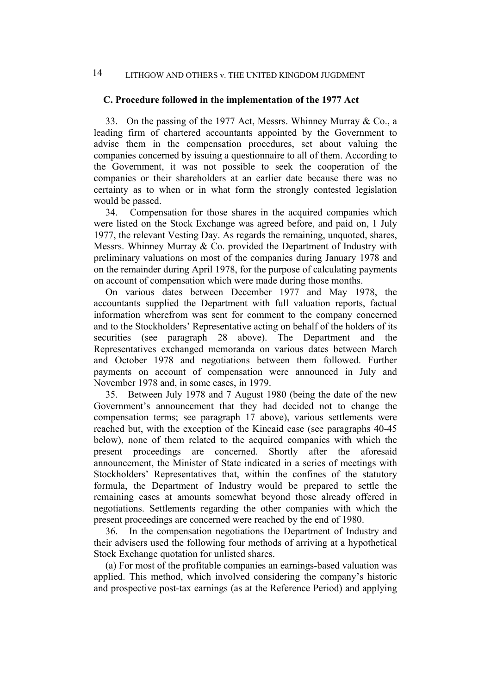# 14 LITHGOW AND OTHERS v. THE UNITED KINGDOM JUGDMENT

#### **C. Procedure followed in the implementation of the 1977 Act**

33. On the passing of the 1977 Act, Messrs. Whinney Murray & Co., a leading firm of chartered accountants appointed by the Government to advise them in the compensation procedures, set about valuing the companies concerned by issuing a questionnaire to all of them. According to the Government, it was not possible to seek the cooperation of the companies or their shareholders at an earlier date because there was no certainty as to when or in what form the strongly contested legislation would be passed.

34. Compensation for those shares in the acquired companies which were listed on the Stock Exchange was agreed before, and paid on, 1 July 1977, the relevant Vesting Day. As regards the remaining, unquoted, shares, Messrs. Whinney Murray & Co. provided the Department of Industry with preliminary valuations on most of the companies during January 1978 and on the remainder during April 1978, for the purpose of calculating payments on account of compensation which were made during those months.

On various dates between December 1977 and May 1978, the accountants supplied the Department with full valuation reports, factual information wherefrom was sent for comment to the company concerned and to the Stockholders' Representative acting on behalf of the holders of its securities (see paragraph 28 above). The Department and the Representatives exchanged memoranda on various dates between March and October 1978 and negotiations between them followed. Further payments on account of compensation were announced in July and November 1978 and, in some cases, in 1979.

35. Between July 1978 and 7 August 1980 (being the date of the new Government's announcement that they had decided not to change the compensation terms; see paragraph 17 above), various settlements were reached but, with the exception of the Kincaid case (see paragraphs 40-45 below), none of them related to the acquired companies with which the present proceedings are concerned. Shortly after the aforesaid announcement, the Minister of State indicated in a series of meetings with Stockholders' Representatives that, within the confines of the statutory formula, the Department of Industry would be prepared to settle the remaining cases at amounts somewhat beyond those already offered in negotiations. Settlements regarding the other companies with which the present proceedings are concerned were reached by the end of 1980.

36. In the compensation negotiations the Department of Industry and their advisers used the following four methods of arriving at a hypothetical Stock Exchange quotation for unlisted shares.

(a) For most of the profitable companies an earnings-based valuation was applied. This method, which involved considering the company's historic and prospective post-tax earnings (as at the Reference Period) and applying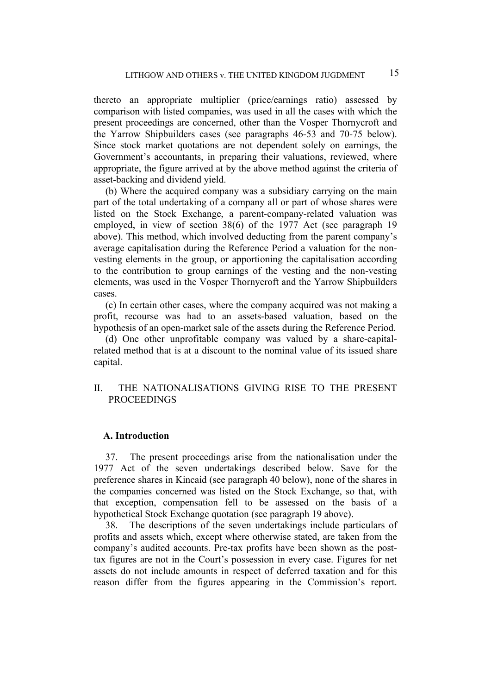thereto an appropriate multiplier (price/earnings ratio) assessed by comparison with listed companies, was used in all the cases with which the present proceedings are concerned, other than the Vosper Thornycroft and the Yarrow Shipbuilders cases (see paragraphs 46-53 and 70-75 below). Since stock market quotations are not dependent solely on earnings, the Government's accountants, in preparing their valuations, reviewed, where appropriate, the figure arrived at by the above method against the criteria of asset-backing and dividend yield.

(b) Where the acquired company was a subsidiary carrying on the main part of the total undertaking of a company all or part of whose shares were listed on the Stock Exchange, a parent-company-related valuation was employed, in view of section 38(6) of the 1977 Act (see paragraph 19 above). This method, which involved deducting from the parent company's average capitalisation during the Reference Period a valuation for the nonvesting elements in the group, or apportioning the capitalisation according to the contribution to group earnings of the vesting and the non-vesting elements, was used in the Vosper Thornycroft and the Yarrow Shipbuilders cases.

(c) In certain other cases, where the company acquired was not making a profit, recourse was had to an assets-based valuation, based on the hypothesis of an open-market sale of the assets during the Reference Period.

(d) One other unprofitable company was valued by a share-capitalrelated method that is at a discount to the nominal value of its issued share capital.

## II. THE NATIONALISATIONS GIVING RISE TO THE PRESENT PROCEEDINGS

#### **A. Introduction**

37. The present proceedings arise from the nationalisation under the 1977 Act of the seven undertakings described below. Save for the preference shares in Kincaid (see paragraph 40 below), none of the shares in the companies concerned was listed on the Stock Exchange, so that, with that exception, compensation fell to be assessed on the basis of a hypothetical Stock Exchange quotation (see paragraph 19 above).

38. The descriptions of the seven undertakings include particulars of profits and assets which, except where otherwise stated, are taken from the company's audited accounts. Pre-tax profits have been shown as the posttax figures are not in the Court's possession in every case. Figures for net assets do not include amounts in respect of deferred taxation and for this reason differ from the figures appearing in the Commission's report.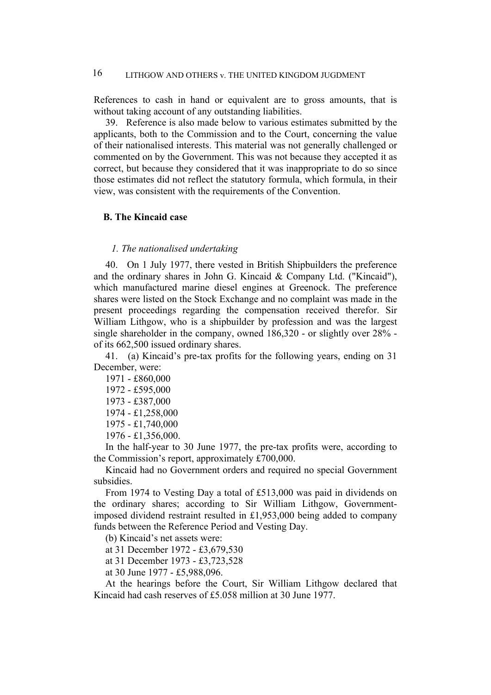## 16 LITHGOW AND OTHERS v. THE UNITED KINGDOM JUGDMENT

References to cash in hand or equivalent are to gross amounts, that is without taking account of any outstanding liabilities.

39. Reference is also made below to various estimates submitted by the applicants, both to the Commission and to the Court, concerning the value of their nationalised interests. This material was not generally challenged or commented on by the Government. This was not because they accepted it as correct, but because they considered that it was inappropriate to do so since those estimates did not reflect the statutory formula, which formula, in their view, was consistent with the requirements of the Convention.

## **B. The Kincaid case**

## *1. The nationalised undertaking*

40. On 1 July 1977, there vested in British Shipbuilders the preference and the ordinary shares in John G. Kincaid & Company Ltd. ("Kincaid"), which manufactured marine diesel engines at Greenock. The preference shares were listed on the Stock Exchange and no complaint was made in the present proceedings regarding the compensation received therefor. Sir William Lithgow, who is a shipbuilder by profession and was the largest single shareholder in the company, owned 186,320 - or slightly over 28% of its 662,500 issued ordinary shares.

41. (a) Kincaid's pre-tax profits for the following years, ending on 31 December, were:

 - £860,000 - £595,000 - £387,000 - £1,258,000 - £1,740,000 - £1,356,000.

In the half-year to 30 June 1977, the pre-tax profits were, according to the Commission's report, approximately £700,000.

Kincaid had no Government orders and required no special Government subsidies.

From 1974 to Vesting Day a total of £513,000 was paid in dividends on the ordinary shares; according to Sir William Lithgow, Governmentimposed dividend restraint resulted in £1,953,000 being added to company funds between the Reference Period and Vesting Day.

(b) Kincaid's net assets were:

at 31 December 1972 - £3,679,530

at 31 December 1973 - £3,723,528

at 30 June 1977 - £5,988,096.

At the hearings before the Court, Sir William Lithgow declared that Kincaid had cash reserves of £5.058 million at 30 June 1977.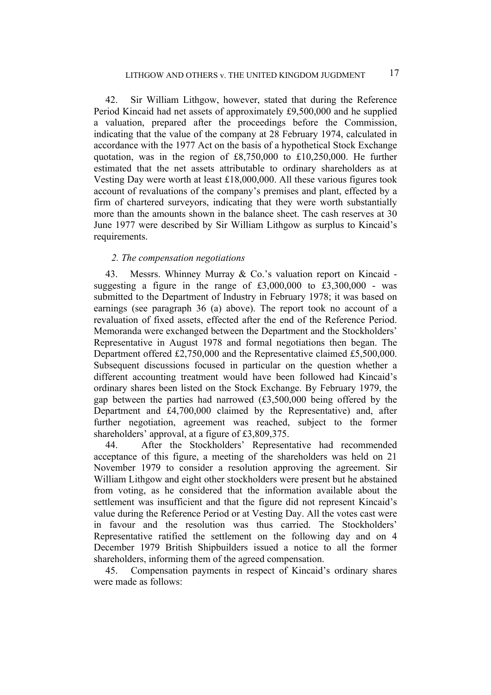42. Sir William Lithgow, however, stated that during the Reference Period Kincaid had net assets of approximately £9,500,000 and he supplied a valuation, prepared after the proceedings before the Commission, indicating that the value of the company at 28 February 1974, calculated in accordance with the 1977 Act on the basis of a hypothetical Stock Exchange quotation, was in the region of £8,750,000 to £10,250,000. He further estimated that the net assets attributable to ordinary shareholders as at Vesting Day were worth at least £18,000,000. All these various figures took account of revaluations of the company's premises and plant, effected by a firm of chartered surveyors, indicating that they were worth substantially more than the amounts shown in the balance sheet. The cash reserves at 30 June 1977 were described by Sir William Lithgow as surplus to Kincaid's requirements.

## *2. The compensation negotiations*

43. Messrs. Whinney Murray & Co.'s valuation report on Kincaid suggesting a figure in the range of  $£3,000,000$  to  $£3,300,000$  - was submitted to the Department of Industry in February 1978; it was based on earnings (see paragraph 36 (a) above). The report took no account of a revaluation of fixed assets, effected after the end of the Reference Period. Memoranda were exchanged between the Department and the Stockholders' Representative in August 1978 and formal negotiations then began. The Department offered £2,750,000 and the Representative claimed £5,500,000. Subsequent discussions focused in particular on the question whether a different accounting treatment would have been followed had Kincaid's ordinary shares been listed on the Stock Exchange. By February 1979, the gap between the parties had narrowed (£3,500,000 being offered by the Department and £4,700,000 claimed by the Representative) and, after further negotiation, agreement was reached, subject to the former shareholders' approval, at a figure of £3,809,375.

44. After the Stockholders' Representative had recommended acceptance of this figure, a meeting of the shareholders was held on 21 November 1979 to consider a resolution approving the agreement. Sir William Lithgow and eight other stockholders were present but he abstained from voting, as he considered that the information available about the settlement was insufficient and that the figure did not represent Kincaid's value during the Reference Period or at Vesting Day. All the votes cast were in favour and the resolution was thus carried. The Stockholders' Representative ratified the settlement on the following day and on 4 December 1979 British Shipbuilders issued a notice to all the former shareholders, informing them of the agreed compensation.

45. Compensation payments in respect of Kincaid's ordinary shares were made as follows: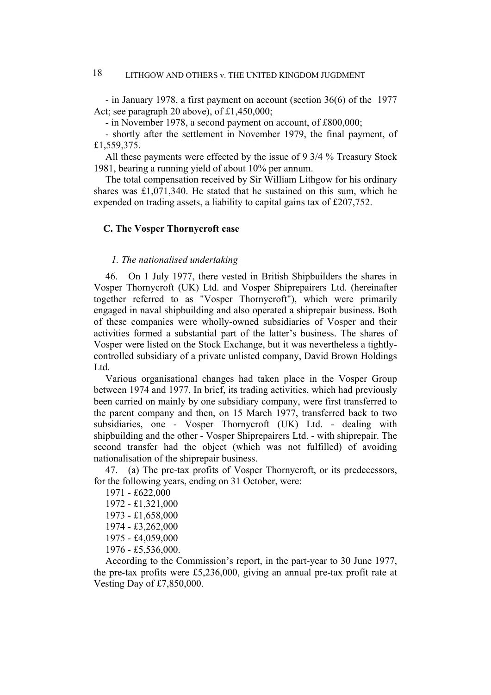# 18 LITHGOW AND OTHERS v. THE UNITED KINGDOM JUGDMENT

- in January 1978, a first payment on account (section 36(6) of the 1977 Act; see paragraph 20 above), of £1,450,000;

- in November 1978, a second payment on account, of £800,000;

- shortly after the settlement in November 1979, the final payment, of £1,559,375.

All these payments were effected by the issue of 9 3/4 % Treasury Stock 1981, bearing a running yield of about 10% per annum.

The total compensation received by Sir William Lithgow for his ordinary shares was £1,071,340. He stated that he sustained on this sum, which he expended on trading assets, a liability to capital gains tax of £207,752.

#### **C. The Vosper Thornycroft case**

## *1. The nationalised undertaking*

46. On 1 July 1977, there vested in British Shipbuilders the shares in Vosper Thornycroft (UK) Ltd. and Vosper Shiprepairers Ltd. (hereinafter together referred to as "Vosper Thornycroft"), which were primarily engaged in naval shipbuilding and also operated a shiprepair business. Both of these companies were wholly-owned subsidiaries of Vosper and their activities formed a substantial part of the latter's business. The shares of Vosper were listed on the Stock Exchange, but it was nevertheless a tightlycontrolled subsidiary of a private unlisted company, David Brown Holdings Ltd.

Various organisational changes had taken place in the Vosper Group between 1974 and 1977. In brief, its trading activities, which had previously been carried on mainly by one subsidiary company, were first transferred to the parent company and then, on 15 March 1977, transferred back to two subsidiaries, one - Vosper Thornycroft (UK) Ltd. - dealing with shipbuilding and the other - Vosper Shiprepairers Ltd. - with shiprepair. The second transfer had the object (which was not fulfilled) of avoiding nationalisation of the shiprepair business.

47. (a) The pre-tax profits of Vosper Thornycroft, or its predecessors, for the following years, ending on 31 October, were:

 - £622,000 - £1,321,000 - £1,658,000 - £3,262,000 - £4,059,000 - £5,536,000.

According to the Commission's report, in the part-year to 30 June 1977, the pre-tax profits were £5,236,000, giving an annual pre-tax profit rate at Vesting Day of £7,850,000.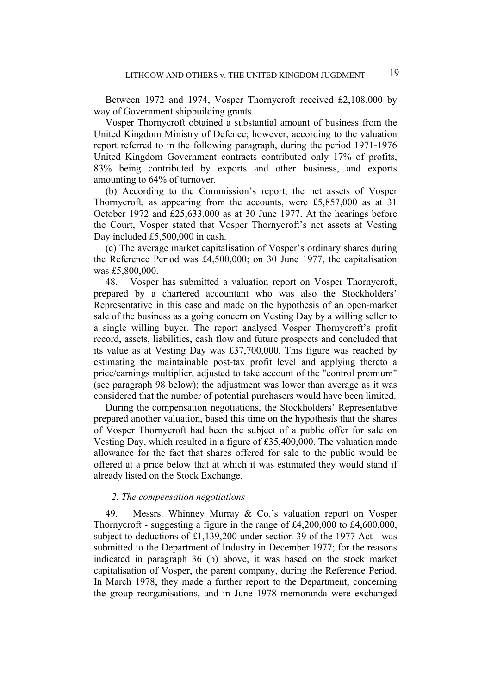Between 1972 and 1974, Vosper Thornycroft received £2,108,000 by way of Government shipbuilding grants.

Vosper Thornycroft obtained a substantial amount of business from the United Kingdom Ministry of Defence; however, according to the valuation report referred to in the following paragraph, during the period 1971-1976 United Kingdom Government contracts contributed only 17% of profits, 83% being contributed by exports and other business, and exports amounting to 64% of turnover.

(b) According to the Commission's report, the net assets of Vosper Thornycroft, as appearing from the accounts, were £5,857,000 as at 31 October 1972 and £25,633,000 as at 30 June 1977. At the hearings before the Court, Vosper stated that Vosper Thornycroft's net assets at Vesting Day included £5,500,000 in cash.

(c) The average market capitalisation of Vosper's ordinary shares during the Reference Period was £4,500,000; on 30 June 1977, the capitalisation was £5,800,000.

48. Vosper has submitted a valuation report on Vosper Thornycroft, prepared by a chartered accountant who was also the Stockholders' Representative in this case and made on the hypothesis of an open-market sale of the business as a going concern on Vesting Day by a willing seller to a single willing buyer. The report analysed Vosper Thornycroft's profit record, assets, liabilities, cash flow and future prospects and concluded that its value as at Vesting Day was £37,700,000. This figure was reached by estimating the maintainable post-tax profit level and applying thereto a price/earnings multiplier, adjusted to take account of the "control premium" (see paragraph 98 below); the adjustment was lower than average as it was considered that the number of potential purchasers would have been limited.

During the compensation negotiations, the Stockholders' Representative prepared another valuation, based this time on the hypothesis that the shares of Vosper Thornycroft had been the subject of a public offer for sale on Vesting Day, which resulted in a figure of £35,400,000. The valuation made allowance for the fact that shares offered for sale to the public would be offered at a price below that at which it was estimated they would stand if already listed on the Stock Exchange.

#### *2. The compensation negotiations*

49. Messrs. Whinney Murray & Co.'s valuation report on Vosper Thornycroft - suggesting a figure in the range of £4,200,000 to £4,600,000, subject to deductions of £1,139,200 under section 39 of the 1977 Act - was submitted to the Department of Industry in December 1977; for the reasons indicated in paragraph 36 (b) above, it was based on the stock market capitalisation of Vosper, the parent company, during the Reference Period. In March 1978, they made a further report to the Department, concerning the group reorganisations, and in June 1978 memoranda were exchanged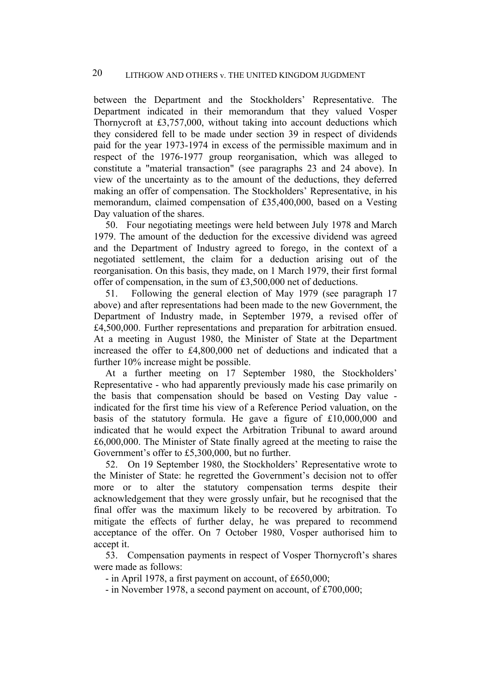between the Department and the Stockholders' Representative. The Department indicated in their memorandum that they valued Vosper Thornycroft at £3,757,000, without taking into account deductions which they considered fell to be made under section 39 in respect of dividends paid for the year 1973-1974 in excess of the permissible maximum and in respect of the 1976-1977 group reorganisation, which was alleged to constitute a "material transaction" (see paragraphs 23 and 24 above). In view of the uncertainty as to the amount of the deductions, they deferred making an offer of compensation. The Stockholders' Representative, in his memorandum, claimed compensation of £35,400,000, based on a Vesting Day valuation of the shares.

50. Four negotiating meetings were held between July 1978 and March 1979. The amount of the deduction for the excessive dividend was agreed and the Department of Industry agreed to forego, in the context of a negotiated settlement, the claim for a deduction arising out of the reorganisation. On this basis, they made, on 1 March 1979, their first formal offer of compensation, in the sum of £3,500,000 net of deductions.

51. Following the general election of May 1979 (see paragraph 17 above) and after representations had been made to the new Government, the Department of Industry made, in September 1979, a revised offer of £4,500,000. Further representations and preparation for arbitration ensued. At a meeting in August 1980, the Minister of State at the Department increased the offer to £4,800,000 net of deductions and indicated that a further 10% increase might be possible.

At a further meeting on 17 September 1980, the Stockholders' Representative - who had apparently previously made his case primarily on the basis that compensation should be based on Vesting Day value indicated for the first time his view of a Reference Period valuation, on the basis of the statutory formula. He gave a figure of £10,000,000 and indicated that he would expect the Arbitration Tribunal to award around £6,000,000. The Minister of State finally agreed at the meeting to raise the Government's offer to £5,300,000, but no further.

52. On 19 September 1980, the Stockholders' Representative wrote to the Minister of State: he regretted the Government's decision not to offer more or to alter the statutory compensation terms despite their acknowledgement that they were grossly unfair, but he recognised that the final offer was the maximum likely to be recovered by arbitration. To mitigate the effects of further delay, he was prepared to recommend acceptance of the offer. On 7 October 1980, Vosper authorised him to accept it.

53. Compensation payments in respect of Vosper Thornycroft's shares were made as follows:

- in April 1978, a first payment on account, of £650,000;

- in November 1978, a second payment on account, of £700,000;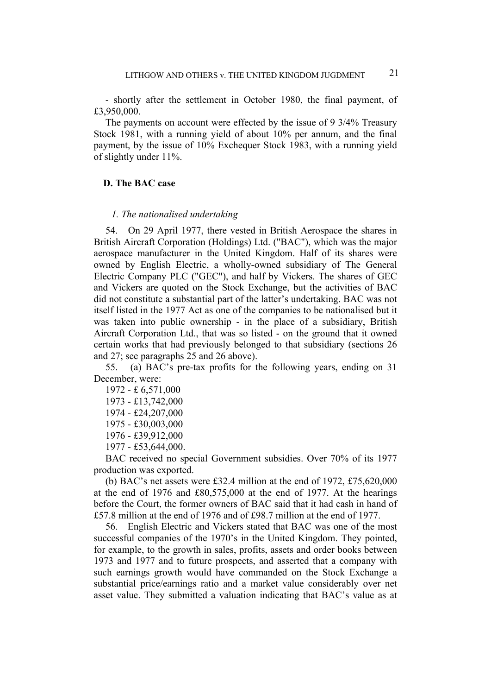- shortly after the settlement in October 1980, the final payment, of £3,950,000.

The payments on account were effected by the issue of 9 3/4% Treasury Stock 1981, with a running yield of about 10% per annum, and the final payment, by the issue of 10% Exchequer Stock 1983, with a running yield of slightly under 11%.

## **D. The BAC case**

#### *1. The nationalised undertaking*

54. On 29 April 1977, there vested in British Aerospace the shares in British Aircraft Corporation (Holdings) Ltd. ("BAC"), which was the major aerospace manufacturer in the United Kingdom. Half of its shares were owned by English Electric, a wholly-owned subsidiary of The General Electric Company PLC ("GEC"), and half by Vickers. The shares of GEC and Vickers are quoted on the Stock Exchange, but the activities of BAC did not constitute a substantial part of the latter's undertaking. BAC was not itself listed in the 1977 Act as one of the companies to be nationalised but it was taken into public ownership - in the place of a subsidiary, British Aircraft Corporation Ltd., that was so listed - on the ground that it owned certain works that had previously belonged to that subsidiary (sections 26 and 27; see paragraphs 25 and 26 above).

55. (a) BAC's pre-tax profits for the following years, ending on 31 December, were:

1972 - £ 6,571,000

- 1973 £13,742,000
- 1974 £24,207,000
- 1975 £30,003,000
- 1976 £39,912,000
- 1977 £53,644,000.

BAC received no special Government subsidies. Over 70% of its 1977 production was exported.

(b) BAC's net assets were £32.4 million at the end of 1972, £75,620,000 at the end of 1976 and £80,575,000 at the end of 1977. At the hearings before the Court, the former owners of BAC said that it had cash in hand of £57.8 million at the end of 1976 and of £98.7 million at the end of 1977.

56. English Electric and Vickers stated that BAC was one of the most successful companies of the 1970's in the United Kingdom. They pointed, for example, to the growth in sales, profits, assets and order books between 1973 and 1977 and to future prospects, and asserted that a company with such earnings growth would have commanded on the Stock Exchange a substantial price/earnings ratio and a market value considerably over net asset value. They submitted a valuation indicating that BAC's value as at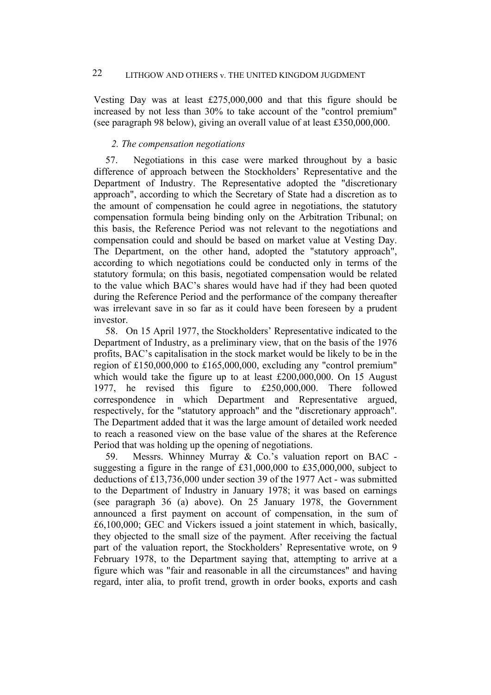Vesting Day was at least £275,000,000 and that this figure should be increased by not less than 30% to take account of the "control premium" (see paragraph 98 below), giving an overall value of at least £350,000,000.

## *2. The compensation negotiations*

57. Negotiations in this case were marked throughout by a basic difference of approach between the Stockholders' Representative and the Department of Industry. The Representative adopted the "discretionary approach", according to which the Secretary of State had a discretion as to the amount of compensation he could agree in negotiations, the statutory compensation formula being binding only on the Arbitration Tribunal; on this basis, the Reference Period was not relevant to the negotiations and compensation could and should be based on market value at Vesting Day. The Department, on the other hand, adopted the "statutory approach", according to which negotiations could be conducted only in terms of the statutory formula; on this basis, negotiated compensation would be related to the value which BAC's shares would have had if they had been quoted during the Reference Period and the performance of the company thereafter was irrelevant save in so far as it could have been foreseen by a prudent investor.

58. On 15 April 1977, the Stockholders' Representative indicated to the Department of Industry, as a preliminary view, that on the basis of the 1976 profits, BAC's capitalisation in the stock market would be likely to be in the region of £150,000,000 to £165,000,000, excluding any "control premium" which would take the figure up to at least £200,000,000. On 15 August 1977, he revised this figure to £250,000,000. There followed correspondence in which Department and Representative argued, respectively, for the "statutory approach" and the "discretionary approach". The Department added that it was the large amount of detailed work needed to reach a reasoned view on the base value of the shares at the Reference Period that was holding up the opening of negotiations.

Messrs. Whinney Murray & Co.'s valuation report on BAC suggesting a figure in the range of £31,000,000 to £35,000,000, subject to deductions of £13,736,000 under section 39 of the 1977 Act - was submitted to the Department of Industry in January 1978; it was based on earnings (see paragraph 36 (a) above). On 25 January 1978, the Government announced a first payment on account of compensation, in the sum of £6,100,000; GEC and Vickers issued a joint statement in which, basically, they objected to the small size of the payment. After receiving the factual part of the valuation report, the Stockholders' Representative wrote, on 9 February 1978, to the Department saying that, attempting to arrive at a figure which was "fair and reasonable in all the circumstances" and having regard, inter alia, to profit trend, growth in order books, exports and cash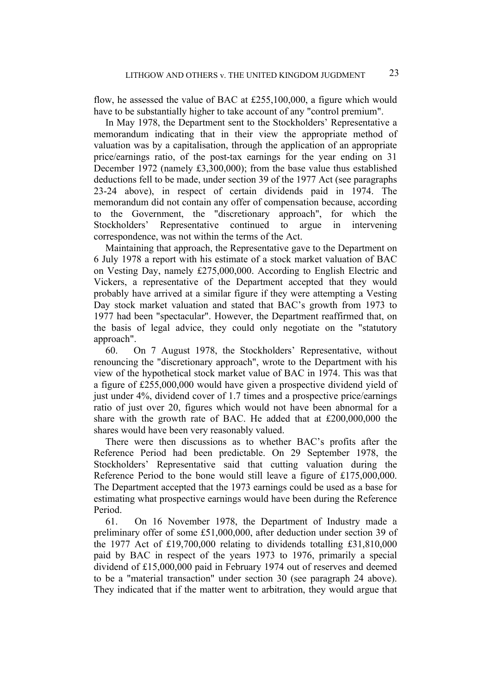flow, he assessed the value of BAC at £255,100,000, a figure which would have to be substantially higher to take account of any "control premium".

In May 1978, the Department sent to the Stockholders' Representative a memorandum indicating that in their view the appropriate method of valuation was by a capitalisation, through the application of an appropriate price/earnings ratio, of the post-tax earnings for the year ending on 31 December 1972 (namely £3,300,000); from the base value thus established deductions fell to be made, under section 39 of the 1977 Act (see paragraphs 23-24 above), in respect of certain dividends paid in 1974. The memorandum did not contain any offer of compensation because, according to the Government, the "discretionary approach", for which the Stockholders' Representative continued to argue in intervening correspondence, was not within the terms of the Act.

Maintaining that approach, the Representative gave to the Department on 6 July 1978 a report with his estimate of a stock market valuation of BAC on Vesting Day, namely £275,000,000. According to English Electric and Vickers, a representative of the Department accepted that they would probably have arrived at a similar figure if they were attempting a Vesting Day stock market valuation and stated that BAC's growth from 1973 to 1977 had been "spectacular". However, the Department reaffirmed that, on the basis of legal advice, they could only negotiate on the "statutory approach".

60. On 7 August 1978, the Stockholders' Representative, without renouncing the "discretionary approach", wrote to the Department with his view of the hypothetical stock market value of BAC in 1974. This was that a figure of £255,000,000 would have given a prospective dividend yield of just under 4%, dividend cover of 1.7 times and a prospective price/earnings ratio of just over 20, figures which would not have been abnormal for a share with the growth rate of BAC. He added that at £200,000,000 the shares would have been very reasonably valued.

There were then discussions as to whether BAC's profits after the Reference Period had been predictable. On 29 September 1978, the Stockholders' Representative said that cutting valuation during the Reference Period to the bone would still leave a figure of £175,000,000. The Department accepted that the 1973 earnings could be used as a base for estimating what prospective earnings would have been during the Reference Period.

61. On 16 November 1978, the Department of Industry made a preliminary offer of some £51,000,000, after deduction under section 39 of the 1977 Act of £19,700,000 relating to dividends totalling £31,810,000 paid by BAC in respect of the years 1973 to 1976, primarily a special dividend of £15,000,000 paid in February 1974 out of reserves and deemed to be a "material transaction" under section 30 (see paragraph 24 above). They indicated that if the matter went to arbitration, they would argue that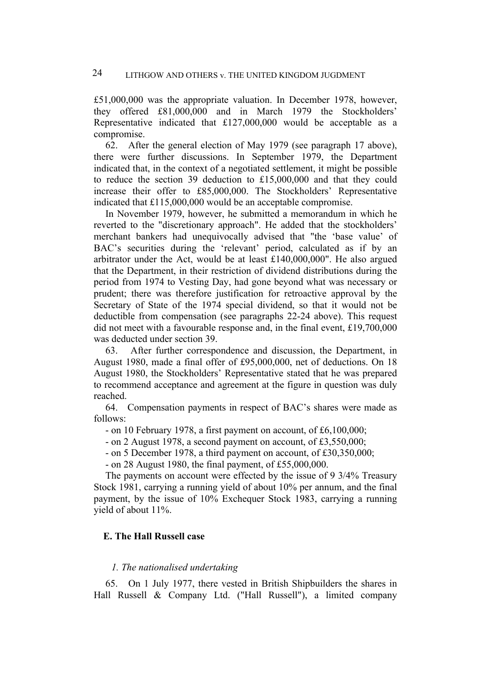£51,000,000 was the appropriate valuation. In December 1978, however, they offered £81,000,000 and in March 1979 the Stockholders' Representative indicated that £127,000,000 would be acceptable as a compromise.

62. After the general election of May 1979 (see paragraph 17 above), there were further discussions. In September 1979, the Department indicated that, in the context of a negotiated settlement, it might be possible to reduce the section 39 deduction to £15,000,000 and that they could increase their offer to £85,000,000. The Stockholders' Representative indicated that £115,000,000 would be an acceptable compromise.

In November 1979, however, he submitted a memorandum in which he reverted to the "discretionary approach". He added that the stockholders' merchant bankers had unequivocally advised that "the 'base value' of BAC's securities during the 'relevant' period, calculated as if by an arbitrator under the Act, would be at least £140,000,000". He also argued that the Department, in their restriction of dividend distributions during the period from 1974 to Vesting Day, had gone beyond what was necessary or prudent; there was therefore justification for retroactive approval by the Secretary of State of the 1974 special dividend, so that it would not be deductible from compensation (see paragraphs 22-24 above). This request did not meet with a favourable response and, in the final event, £19,700,000 was deducted under section 39.

63. After further correspondence and discussion, the Department, in August 1980, made a final offer of £95,000,000, net of deductions. On 18 August 1980, the Stockholders' Representative stated that he was prepared to recommend acceptance and agreement at the figure in question was duly reached.

64. Compensation payments in respect of BAC's shares were made as follows:

- on 10 February 1978, a first payment on account, of £6,100,000;

- on 2 August 1978, a second payment on account, of £3,550,000;

- on 5 December 1978, a third payment on account, of £30,350,000;

- on 28 August 1980, the final payment, of £55,000,000.

The payments on account were effected by the issue of 9 3/4% Treasury Stock 1981, carrying a running yield of about 10% per annum, and the final payment, by the issue of 10% Exchequer Stock 1983, carrying a running yield of about 11%.

## **E. The Hall Russell case**

#### *1. The nationalised undertaking*

65. On 1 July 1977, there vested in British Shipbuilders the shares in Hall Russell & Company Ltd. ("Hall Russell"), a limited company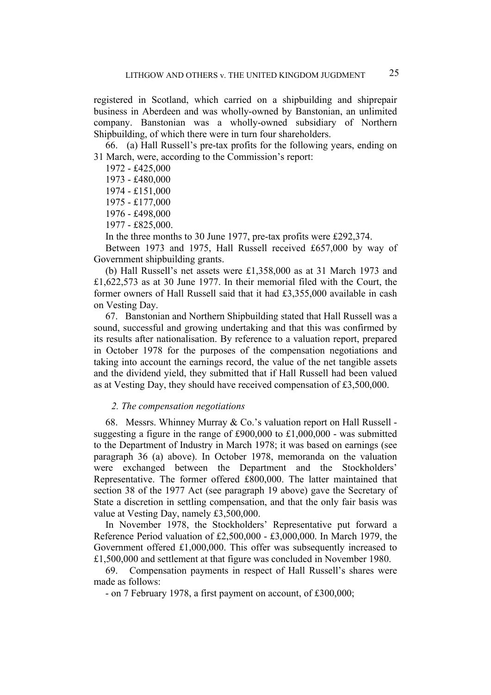registered in Scotland, which carried on a shipbuilding and shiprepair business in Aberdeen and was wholly-owned by Banstonian, an unlimited company. Banstonian was a wholly-owned subsidiary of Northern Shipbuilding, of which there were in turn four shareholders.

66. (a) Hall Russell's pre-tax profits for the following years, ending on 31 March, were, according to the Commission's report:

- 1972 £425,000
	- 1973 £480,000
	- 1974 £151,000
	- 1975 £177,000
	- 1976 £498,000
	- 1977 £825,000.

In the three months to 30 June 1977, pre-tax profits were £292,374.

Between 1973 and 1975, Hall Russell received £657,000 by way of Government shipbuilding grants.

(b) Hall Russell's net assets were £1,358,000 as at 31 March 1973 and £1,622,573 as at 30 June 1977. In their memorial filed with the Court, the former owners of Hall Russell said that it had £3,355,000 available in cash on Vesting Day.

67. Banstonian and Northern Shipbuilding stated that Hall Russell was a sound, successful and growing undertaking and that this was confirmed by its results after nationalisation. By reference to a valuation report, prepared in October 1978 for the purposes of the compensation negotiations and taking into account the earnings record, the value of the net tangible assets and the dividend yield, they submitted that if Hall Russell had been valued as at Vesting Day, they should have received compensation of £3,500,000.

## *2. The compensation negotiations*

68. Messrs. Whinney Murray & Co.'s valuation report on Hall Russell suggesting a figure in the range of £900,000 to £1,000,000 - was submitted to the Department of Industry in March 1978; it was based on earnings (see paragraph 36 (a) above). In October 1978, memoranda on the valuation were exchanged between the Department and the Stockholders' Representative. The former offered £800,000. The latter maintained that section 38 of the 1977 Act (see paragraph 19 above) gave the Secretary of State a discretion in settling compensation, and that the only fair basis was value at Vesting Day, namely £3,500,000.

In November 1978, the Stockholders' Representative put forward a Reference Period valuation of £2,500,000 - £3,000,000. In March 1979, the Government offered £1,000,000. This offer was subsequently increased to £1,500,000 and settlement at that figure was concluded in November 1980.

69. Compensation payments in respect of Hall Russell's shares were made as follows:

- on 7 February 1978, a first payment on account, of £300,000;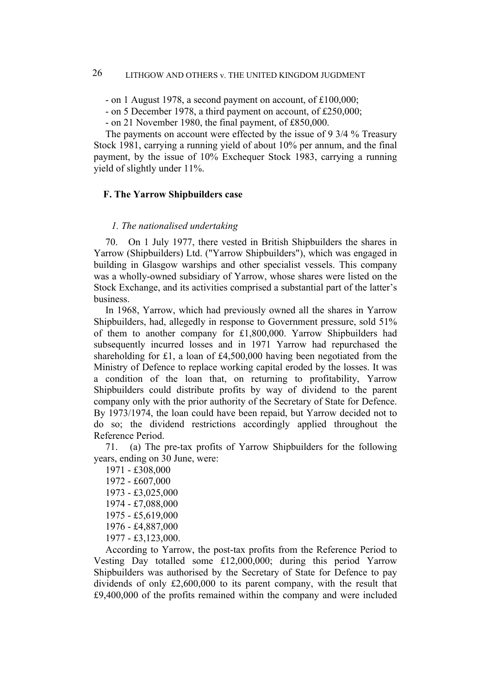# 26 LITHGOW AND OTHERS v. THE UNITED KINGDOM JUGDMENT

- on 1 August 1978, a second payment on account, of £100,000;

- on 5 December 1978, a third payment on account, of £250,000;
- on 21 November 1980, the final payment, of £850,000.

The payments on account were effected by the issue of 9 3/4 % Treasury Stock 1981, carrying a running yield of about 10% per annum, and the final payment, by the issue of 10% Exchequer Stock 1983, carrying a running yield of slightly under 11%.

## **F. The Yarrow Shipbuilders case**

#### *1. The nationalised undertaking*

70. On 1 July 1977, there vested in British Shipbuilders the shares in Yarrow (Shipbuilders) Ltd. ("Yarrow Shipbuilders"), which was engaged in building in Glasgow warships and other specialist vessels. This company was a wholly-owned subsidiary of Yarrow, whose shares were listed on the Stock Exchange, and its activities comprised a substantial part of the latter's business.

In 1968, Yarrow, which had previously owned all the shares in Yarrow Shipbuilders, had, allegedly in response to Government pressure, sold 51% of them to another company for £1,800,000. Yarrow Shipbuilders had subsequently incurred losses and in 1971 Yarrow had repurchased the shareholding for £1, a loan of £4,500,000 having been negotiated from the Ministry of Defence to replace working capital eroded by the losses. It was a condition of the loan that, on returning to profitability, Yarrow Shipbuilders could distribute profits by way of dividend to the parent company only with the prior authority of the Secretary of State for Defence. By 1973/1974, the loan could have been repaid, but Yarrow decided not to do so; the dividend restrictions accordingly applied throughout the Reference Period.

71. (a) The pre-tax profits of Yarrow Shipbuilders for the following years, ending on 30 June, were:

 - £308,000 - £607,000 - £3,025,000 - £7,088,000 - £5,619,000 - £4,887,000 - £3,123,000.

According to Yarrow, the post-tax profits from the Reference Period to Vesting Day totalled some £12,000,000; during this period Yarrow Shipbuilders was authorised by the Secretary of State for Defence to pay dividends of only £2,600,000 to its parent company, with the result that £9,400,000 of the profits remained within the company and were included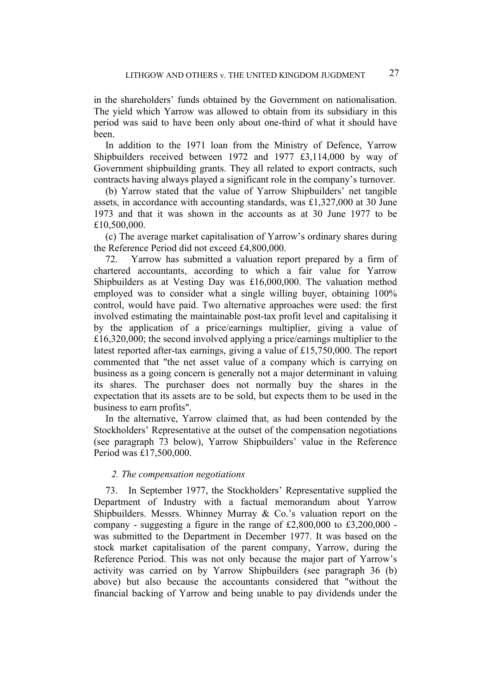in the shareholders' funds obtained by the Government on nationalisation. The yield which Yarrow was allowed to obtain from its subsidiary in this period was said to have been only about one-third of what it should have been.

In addition to the 1971 loan from the Ministry of Defence, Yarrow Shipbuilders received between 1972 and 1977 £3,114,000 by way of Government shipbuilding grants. They all related to export contracts, such contracts having always played a significant role in the company's turnover.

(b) Yarrow stated that the value of Yarrow Shipbuilders' net tangible assets, in accordance with accounting standards, was £1,327,000 at 30 June 1973 and that it was shown in the accounts as at 30 June 1977 to be £10,500,000.

(c) The average market capitalisation of Yarrow's ordinary shares during the Reference Period did not exceed £4,800,000.

72. Yarrow has submitted a valuation report prepared by a firm of chartered accountants, according to which a fair value for Yarrow Shipbuilders as at Vesting Day was £16,000,000. The valuation method employed was to consider what a single willing buyer, obtaining 100% control, would have paid. Two alternative approaches were used: the first involved estimating the maintainable post-tax profit level and capitalising it by the application of a price/earnings multiplier, giving a value of £16,320,000; the second involved applying a price/earnings multiplier to the latest reported after-tax earnings, giving a value of £15,750,000. The report commented that "the net asset value of a company which is carrying on business as a going concern is generally not a major determinant in valuing its shares. The purchaser does not normally buy the shares in the expectation that its assets are to be sold, but expects them to be used in the business to earn profits".

In the alternative, Yarrow claimed that, as had been contended by the Stockholders' Representative at the outset of the compensation negotiations (see paragraph 73 below), Yarrow Shipbuilders' value in the Reference Period was £17,500,000.

#### *2. The compensation negotiations*

73. In September 1977, the Stockholders' Representative supplied the Department of Industry with a factual memorandum about Yarrow Shipbuilders. Messrs. Whinney Murray & Co.'s valuation report on the company - suggesting a figure in the range of  $£2,800,000$  to  $£3,200,000$  was submitted to the Department in December 1977. It was based on the stock market capitalisation of the parent company, Yarrow, during the Reference Period. This was not only because the major part of Yarrow's activity was carried on by Yarrow Shipbuilders (see paragraph 36 (b) above) but also because the accountants considered that "without the financial backing of Yarrow and being unable to pay dividends under the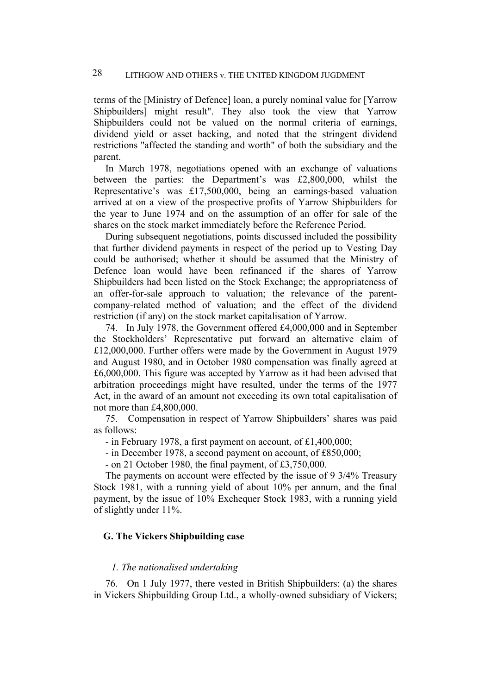terms of the [Ministry of Defence] loan, a purely nominal value for [Yarrow Shipbuilders] might result". They also took the view that Yarrow Shipbuilders could not be valued on the normal criteria of earnings, dividend yield or asset backing, and noted that the stringent dividend restrictions "affected the standing and worth" of both the subsidiary and the parent.

In March 1978, negotiations opened with an exchange of valuations between the parties: the Department's was £2,800,000, whilst the Representative's was £17,500,000, being an earnings-based valuation arrived at on a view of the prospective profits of Yarrow Shipbuilders for the year to June 1974 and on the assumption of an offer for sale of the shares on the stock market immediately before the Reference Period.

During subsequent negotiations, points discussed included the possibility that further dividend payments in respect of the period up to Vesting Day could be authorised; whether it should be assumed that the Ministry of Defence loan would have been refinanced if the shares of Yarrow Shipbuilders had been listed on the Stock Exchange; the appropriateness of an offer-for-sale approach to valuation; the relevance of the parentcompany-related method of valuation; and the effect of the dividend restriction (if any) on the stock market capitalisation of Yarrow.

74. In July 1978, the Government offered £4,000,000 and in September the Stockholders' Representative put forward an alternative claim of £12,000,000. Further offers were made by the Government in August 1979 and August 1980, and in October 1980 compensation was finally agreed at £6,000,000. This figure was accepted by Yarrow as it had been advised that arbitration proceedings might have resulted, under the terms of the 1977 Act, in the award of an amount not exceeding its own total capitalisation of not more than £4,800,000.

75. Compensation in respect of Yarrow Shipbuilders' shares was paid as follows:

- in February 1978, a first payment on account, of £1,400,000;

- in December 1978, a second payment on account, of £850,000;

- on 21 October 1980, the final payment, of £3,750,000.

The payments on account were effected by the issue of 9 3/4% Treasury Stock 1981, with a running yield of about 10% per annum, and the final payment, by the issue of 10% Exchequer Stock 1983, with a running yield of slightly under 11%.

## **G. The Vickers Shipbuilding case**

#### *1. The nationalised undertaking*

76. On 1 July 1977, there vested in British Shipbuilders: (a) the shares in Vickers Shipbuilding Group Ltd., a wholly-owned subsidiary of Vickers;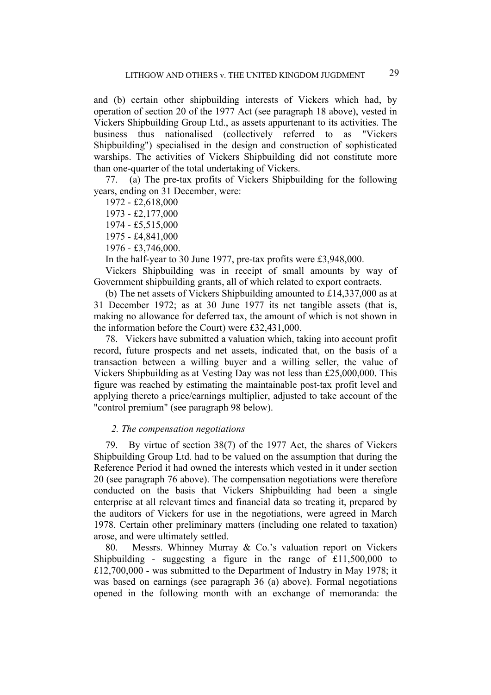and (b) certain other shipbuilding interests of Vickers which had, by operation of section 20 of the 1977 Act (see paragraph 18 above), vested in Vickers Shipbuilding Group Ltd., as assets appurtenant to its activities. The business thus nationalised (collectively referred to as "Vickers Shipbuilding") specialised in the design and construction of sophisticated warships. The activities of Vickers Shipbuilding did not constitute more than one-quarter of the total undertaking of Vickers.

77. (a) The pre-tax profits of Vickers Shipbuilding for the following years, ending on 31 December, were:

- 1972 £2,618,000
- 1973 £2,177,000
- 1974 £5,515,000
- 1975 £4,841,000
- 1976 £3,746,000.

In the half-year to 30 June 1977, pre-tax profits were £3,948,000.

Vickers Shipbuilding was in receipt of small amounts by way of Government shipbuilding grants, all of which related to export contracts.

(b) The net assets of Vickers Shipbuilding amounted to £14,337,000 as at 31 December 1972; as at 30 June 1977 its net tangible assets (that is, making no allowance for deferred tax, the amount of which is not shown in the information before the Court) were £32,431,000.

78. Vickers have submitted a valuation which, taking into account profit record, future prospects and net assets, indicated that, on the basis of a transaction between a willing buyer and a willing seller, the value of Vickers Shipbuilding as at Vesting Day was not less than £25,000,000. This figure was reached by estimating the maintainable post-tax profit level and applying thereto a price/earnings multiplier, adjusted to take account of the "control premium" (see paragraph 98 below).

## *2. The compensation negotiations*

79. By virtue of section 38(7) of the 1977 Act, the shares of Vickers Shipbuilding Group Ltd. had to be valued on the assumption that during the Reference Period it had owned the interests which vested in it under section 20 (see paragraph 76 above). The compensation negotiations were therefore conducted on the basis that Vickers Shipbuilding had been a single enterprise at all relevant times and financial data so treating it, prepared by the auditors of Vickers for use in the negotiations, were agreed in March 1978. Certain other preliminary matters (including one related to taxation) arose, and were ultimately settled.

80. Messrs. Whinney Murray & Co.'s valuation report on Vickers Shipbuilding - suggesting a figure in the range of £11,500,000 to £12,700,000 - was submitted to the Department of Industry in May 1978; it was based on earnings (see paragraph 36 (a) above). Formal negotiations opened in the following month with an exchange of memoranda: the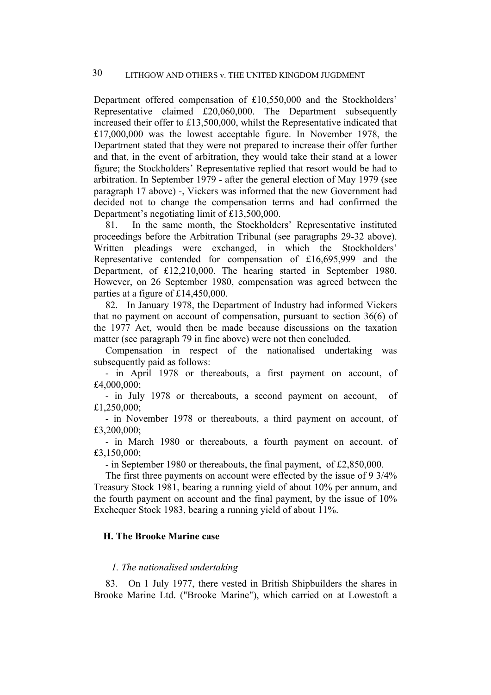Department offered compensation of £10,550,000 and the Stockholders' Representative claimed £20,060,000. The Department subsequently increased their offer to £13,500,000, whilst the Representative indicated that £17,000,000 was the lowest acceptable figure. In November 1978, the Department stated that they were not prepared to increase their offer further and that, in the event of arbitration, they would take their stand at a lower figure; the Stockholders' Representative replied that resort would be had to arbitration. In September 1979 - after the general election of May 1979 (see paragraph 17 above) -, Vickers was informed that the new Government had decided not to change the compensation terms and had confirmed the Department's negotiating limit of £13,500,000.

81. In the same month, the Stockholders' Representative instituted proceedings before the Arbitration Tribunal (see paragraphs 29-32 above). Written pleadings were exchanged, in which the Stockholders' Representative contended for compensation of £16,695,999 and the Department, of £12,210,000. The hearing started in September 1980. However, on 26 September 1980, compensation was agreed between the parties at a figure of £14,450,000.

82. In January 1978, the Department of Industry had informed Vickers that no payment on account of compensation, pursuant to section 36(6) of the 1977 Act, would then be made because discussions on the taxation matter (see paragraph 79 in fine above) were not then concluded.

Compensation in respect of the nationalised undertaking was subsequently paid as follows:

- in April 1978 or thereabouts, a first payment on account, of £4,000,000;

- in July 1978 or thereabouts, a second payment on account, of £1,250,000;

- in November 1978 or thereabouts, a third payment on account, of £3,200,000 $\cdot$ 

- in March 1980 or thereabouts, a fourth payment on account, of £3,150,000;

- in September 1980 or thereabouts, the final payment, of £2,850,000.

The first three payments on account were effected by the issue of 9 3/4% Treasury Stock 1981, bearing a running yield of about 10% per annum, and the fourth payment on account and the final payment, by the issue of 10% Exchequer Stock 1983, bearing a running yield of about 11%.

## **H. The Brooke Marine case**

## *1. The nationalised undertaking*

83. On 1 July 1977, there vested in British Shipbuilders the shares in Brooke Marine Ltd. ("Brooke Marine"), which carried on at Lowestoft a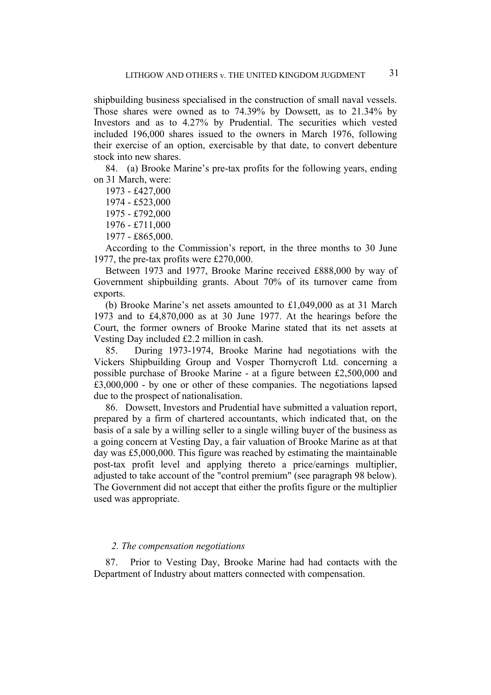shipbuilding business specialised in the construction of small naval vessels. Those shares were owned as to 74.39% by Dowsett, as to 21.34% by Investors and as to 4.27% by Prudential. The securities which vested included 196,000 shares issued to the owners in March 1976, following their exercise of an option, exercisable by that date, to convert debenture stock into new shares.

84. (a) Brooke Marine's pre-tax profits for the following years, ending on 31 March, were:

 - £427,000 - £523,000 - £792,000 - £711,000 - £865,000.

According to the Commission's report, in the three months to 30 June 1977, the pre-tax profits were £270,000.

Between 1973 and 1977, Brooke Marine received £888,000 by way of Government shipbuilding grants. About 70% of its turnover came from exports.

(b) Brooke Marine's net assets amounted to £1,049,000 as at 31 March 1973 and to £4,870,000 as at 30 June 1977. At the hearings before the Court, the former owners of Brooke Marine stated that its net assets at Vesting Day included £2.2 million in cash.

85. During 1973-1974, Brooke Marine had negotiations with the Vickers Shipbuilding Group and Vosper Thornycroft Ltd. concerning a possible purchase of Brooke Marine - at a figure between £2,500,000 and £3,000,000 - by one or other of these companies. The negotiations lapsed due to the prospect of nationalisation.

86. Dowsett, Investors and Prudential have submitted a valuation report, prepared by a firm of chartered accountants, which indicated that, on the basis of a sale by a willing seller to a single willing buyer of the business as a going concern at Vesting Day, a fair valuation of Brooke Marine as at that day was £5,000,000. This figure was reached by estimating the maintainable post-tax profit level and applying thereto a price/earnings multiplier, adjusted to take account of the "control premium" (see paragraph 98 below). The Government did not accept that either the profits figure or the multiplier used was appropriate.

#### *2. The compensation negotiations*

87. Prior to Vesting Day, Brooke Marine had had contacts with the Department of Industry about matters connected with compensation.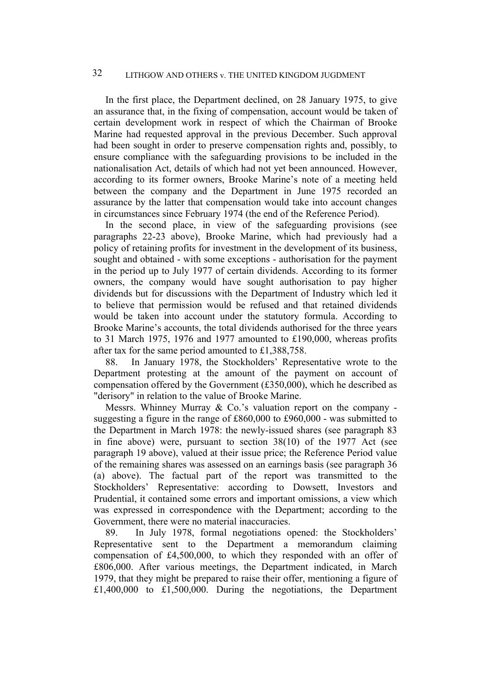In the first place, the Department declined, on 28 January 1975, to give an assurance that, in the fixing of compensation, account would be taken of certain development work in respect of which the Chairman of Brooke Marine had requested approval in the previous December. Such approval had been sought in order to preserve compensation rights and, possibly, to ensure compliance with the safeguarding provisions to be included in the nationalisation Act, details of which had not yet been announced. However, according to its former owners, Brooke Marine's note of a meeting held between the company and the Department in June 1975 recorded an assurance by the latter that compensation would take into account changes in circumstances since February 1974 (the end of the Reference Period).

In the second place, in view of the safeguarding provisions (see paragraphs 22-23 above), Brooke Marine, which had previously had a policy of retaining profits for investment in the development of its business, sought and obtained - with some exceptions - authorisation for the payment in the period up to July 1977 of certain dividends. According to its former owners, the company would have sought authorisation to pay higher dividends but for discussions with the Department of Industry which led it to believe that permission would be refused and that retained dividends would be taken into account under the statutory formula. According to Brooke Marine's accounts, the total dividends authorised for the three years to 31 March 1975, 1976 and 1977 amounted to £190,000, whereas profits after tax for the same period amounted to £1,388,758.

88. In January 1978, the Stockholders' Representative wrote to the Department protesting at the amount of the payment on account of compensation offered by the Government (£350,000), which he described as "derisory" in relation to the value of Brooke Marine.

Messrs. Whinney Murray & Co.'s valuation report on the company suggesting a figure in the range of £860,000 to £960,000 - was submitted to the Department in March 1978: the newly-issued shares (see paragraph 83 in fine above) were, pursuant to section 38(10) of the 1977 Act (see paragraph 19 above), valued at their issue price; the Reference Period value of the remaining shares was assessed on an earnings basis (see paragraph 36 (a) above). The factual part of the report was transmitted to the Stockholders' Representative: according to Dowsett, Investors and Prudential, it contained some errors and important omissions, a view which was expressed in correspondence with the Department; according to the Government, there were no material inaccuracies.

89. In July 1978, formal negotiations opened: the Stockholders' Representative sent to the Department a memorandum claiming compensation of £4,500,000, to which they responded with an offer of £806,000. After various meetings, the Department indicated, in March 1979, that they might be prepared to raise their offer, mentioning a figure of £1,400,000 to £1,500,000. During the negotiations, the Department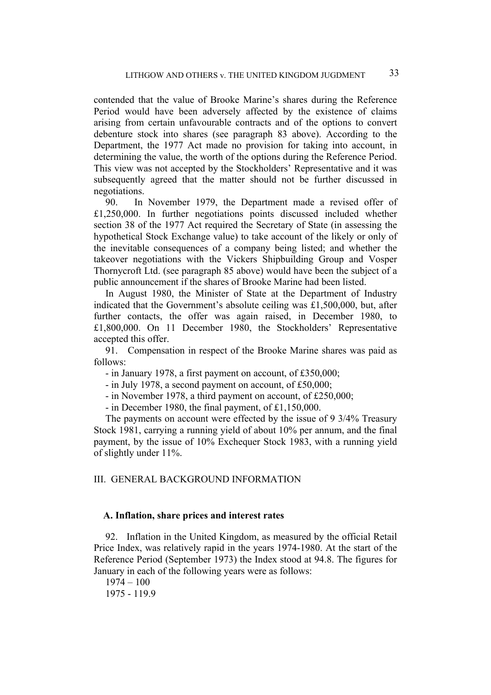contended that the value of Brooke Marine's shares during the Reference Period would have been adversely affected by the existence of claims arising from certain unfavourable contracts and of the options to convert debenture stock into shares (see paragraph 83 above). According to the Department, the 1977 Act made no provision for taking into account, in determining the value, the worth of the options during the Reference Period. This view was not accepted by the Stockholders' Representative and it was subsequently agreed that the matter should not be further discussed in negotiations.

90. In November 1979, the Department made a revised offer of £1,250,000. In further negotiations points discussed included whether section 38 of the 1977 Act required the Secretary of State (in assessing the hypothetical Stock Exchange value) to take account of the likely or only of the inevitable consequences of a company being listed; and whether the takeover negotiations with the Vickers Shipbuilding Group and Vosper Thornycroft Ltd. (see paragraph 85 above) would have been the subject of a public announcement if the shares of Brooke Marine had been listed.

In August 1980, the Minister of State at the Department of Industry indicated that the Government's absolute ceiling was £1,500,000, but, after further contacts, the offer was again raised, in December 1980, to £1,800,000. On 11 December 1980, the Stockholders' Representative accepted this offer.

91. Compensation in respect of the Brooke Marine shares was paid as follows:

- in January 1978, a first payment on account, of £350,000;

- in July 1978, a second payment on account, of £50,000;

- in November 1978, a third payment on account, of £250,000;

- in December 1980, the final payment, of £1,150,000.

The payments on account were effected by the issue of 9 3/4% Treasury Stock 1981, carrying a running yield of about 10% per annum, and the final payment, by the issue of 10% Exchequer Stock 1983, with a running yield of slightly under 11%.

III. GENERAL BACKGROUND INFORMATION

## **A. Inflation, share prices and interest rates**

92. Inflation in the United Kingdom, as measured by the official Retail Price Index, was relatively rapid in the years 1974-1980. At the start of the Reference Period (September 1973) the Index stood at 94.8. The figures for January in each of the following years were as follows:

 $1974 - 100$ 1975 - 119.9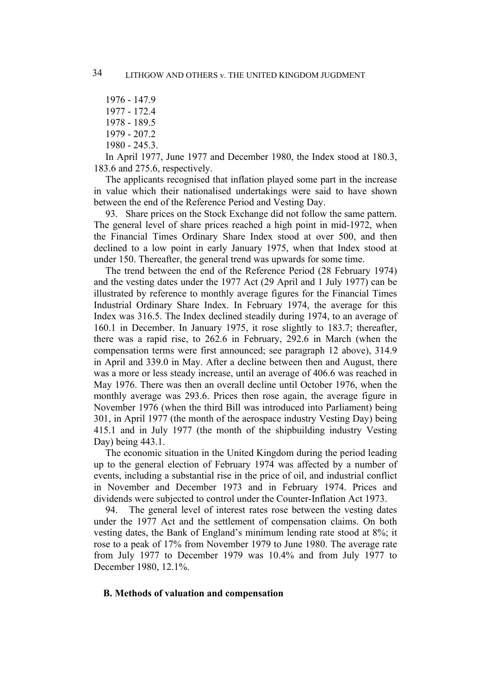- 1976 147.9
- 1977 172.4
- 1978 189.5
- 1979 207.2
- 1980 245.3.

In April 1977, June 1977 and December 1980, the Index stood at 180.3, 183.6 and 275.6, respectively.

The applicants recognised that inflation played some part in the increase in value which their nationalised undertakings were said to have shown between the end of the Reference Period and Vesting Day.

93. Share prices on the Stock Exchange did not follow the same pattern. The general level of share prices reached a high point in mid-1972, when the Financial Times Ordinary Share Index stood at over 500, and then declined to a low point in early January 1975, when that Index stood at under 150. Thereafter, the general trend was upwards for some time.

The trend between the end of the Reference Period (28 February 1974) and the vesting dates under the 1977 Act (29 April and 1 July 1977) can be illustrated by reference to monthly average figures for the Financial Times Industrial Ordinary Share Index. In February 1974, the average for this Index was 316.5. The Index declined steadily during 1974, to an average of 160.1 in December. In January 1975, it rose slightly to 183.7; thereafter, there was a rapid rise, to 262.6 in February, 292.6 in March (when the compensation terms were first announced; see paragraph 12 above), 314.9 in April and 339.0 in May. After a decline between then and August, there was a more or less steady increase, until an average of 406.6 was reached in May 1976. There was then an overall decline until October 1976, when the monthly average was 293.6. Prices then rose again, the average figure in November 1976 (when the third Bill was introduced into Parliament) being 301, in April 1977 (the month of the aerospace industry Vesting Day) being 415.1 and in July 1977 (the month of the shipbuilding industry Vesting Day) being 443.1.

The economic situation in the United Kingdom during the period leading up to the general election of February 1974 was affected by a number of events, including a substantial rise in the price of oil, and industrial conflict in November and December 1973 and in February 1974. Prices and dividends were subjected to control under the Counter-Inflation Act 1973.

94. The general level of interest rates rose between the vesting dates under the 1977 Act and the settlement of compensation claims. On both vesting dates, the Bank of England's minimum lending rate stood at 8%; it rose to a peak of 17% from November 1979 to June 1980. The average rate from July 1977 to December 1979 was 10.4% and from July 1977 to December 1980, 12.1%.

#### **B. Methods of valuation and compensation**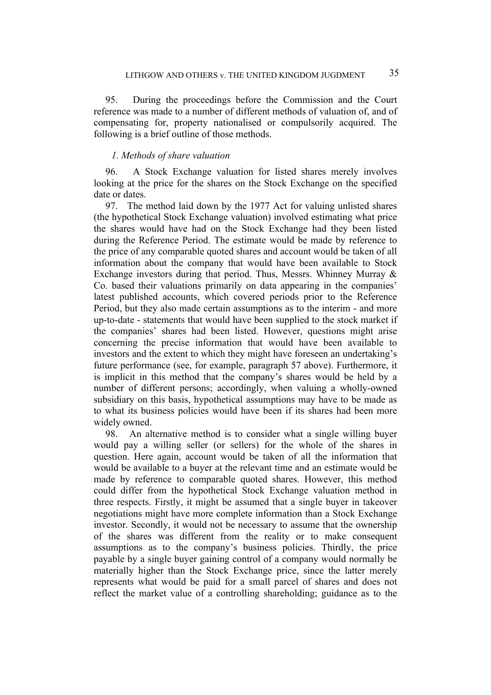95. During the proceedings before the Commission and the Court reference was made to a number of different methods of valuation of, and of compensating for, property nationalised or compulsorily acquired. The following is a brief outline of those methods.

## *1. Methods of share valuation*

96. A Stock Exchange valuation for listed shares merely involves looking at the price for the shares on the Stock Exchange on the specified date or dates.

97. The method laid down by the 1977 Act for valuing unlisted shares (the hypothetical Stock Exchange valuation) involved estimating what price the shares would have had on the Stock Exchange had they been listed during the Reference Period. The estimate would be made by reference to the price of any comparable quoted shares and account would be taken of all information about the company that would have been available to Stock Exchange investors during that period. Thus, Messrs. Whinney Murray & Co. based their valuations primarily on data appearing in the companies' latest published accounts, which covered periods prior to the Reference Period, but they also made certain assumptions as to the interim - and more up-to-date - statements that would have been supplied to the stock market if the companies' shares had been listed. However, questions might arise concerning the precise information that would have been available to investors and the extent to which they might have foreseen an undertaking's future performance (see, for example, paragraph 57 above). Furthermore, it is implicit in this method that the company's shares would be held by a number of different persons; accordingly, when valuing a wholly-owned subsidiary on this basis, hypothetical assumptions may have to be made as to what its business policies would have been if its shares had been more widely owned.

98. An alternative method is to consider what a single willing buyer would pay a willing seller (or sellers) for the whole of the shares in question. Here again, account would be taken of all the information that would be available to a buyer at the relevant time and an estimate would be made by reference to comparable quoted shares. However, this method could differ from the hypothetical Stock Exchange valuation method in three respects. Firstly, it might be assumed that a single buyer in takeover negotiations might have more complete information than a Stock Exchange investor. Secondly, it would not be necessary to assume that the ownership of the shares was different from the reality or to make consequent assumptions as to the company's business policies. Thirdly, the price payable by a single buyer gaining control of a company would normally be materially higher than the Stock Exchange price, since the latter merely represents what would be paid for a small parcel of shares and does not reflect the market value of a controlling shareholding; guidance as to the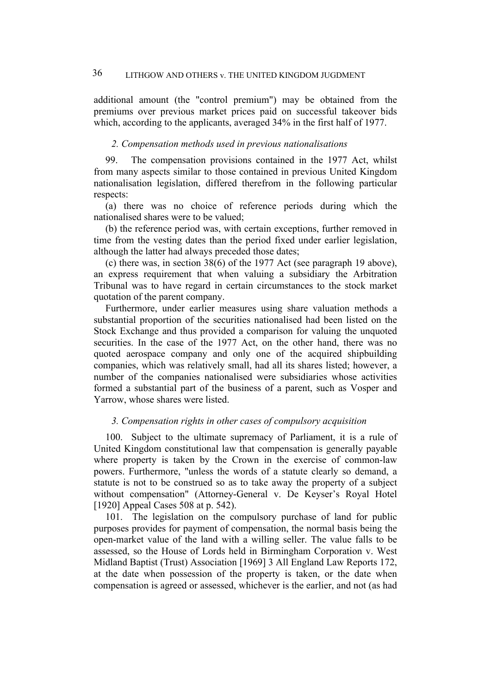additional amount (the "control premium") may be obtained from the premiums over previous market prices paid on successful takeover bids which, according to the applicants, averaged 34% in the first half of 1977.

### *2. Compensation methods used in previous nationalisations*

99. The compensation provisions contained in the 1977 Act, whilst from many aspects similar to those contained in previous United Kingdom nationalisation legislation, differed therefrom in the following particular respects:

(a) there was no choice of reference periods during which the nationalised shares were to be valued;

(b) the reference period was, with certain exceptions, further removed in time from the vesting dates than the period fixed under earlier legislation, although the latter had always preceded those dates;

(c) there was, in section 38(6) of the 1977 Act (see paragraph 19 above), an express requirement that when valuing a subsidiary the Arbitration Tribunal was to have regard in certain circumstances to the stock market quotation of the parent company.

Furthermore, under earlier measures using share valuation methods a substantial proportion of the securities nationalised had been listed on the Stock Exchange and thus provided a comparison for valuing the unquoted securities. In the case of the 1977 Act, on the other hand, there was no quoted aerospace company and only one of the acquired shipbuilding companies, which was relatively small, had all its shares listed; however, a number of the companies nationalised were subsidiaries whose activities formed a substantial part of the business of a parent, such as Vosper and Yarrow, whose shares were listed.

### *3. Compensation rights in other cases of compulsory acquisition*

100. Subject to the ultimate supremacy of Parliament, it is a rule of United Kingdom constitutional law that compensation is generally payable where property is taken by the Crown in the exercise of common-law powers. Furthermore, "unless the words of a statute clearly so demand, a statute is not to be construed so as to take away the property of a subject without compensation" (Attorney-General v. De Keyser's Royal Hotel [1920] Appeal Cases 508 at p. 542).

101. The legislation on the compulsory purchase of land for public purposes provides for payment of compensation, the normal basis being the open-market value of the land with a willing seller. The value falls to be assessed, so the House of Lords held in Birmingham Corporation v. West Midland Baptist (Trust) Association [1969] 3 All England Law Reports 172, at the date when possession of the property is taken, or the date when compensation is agreed or assessed, whichever is the earlier, and not (as had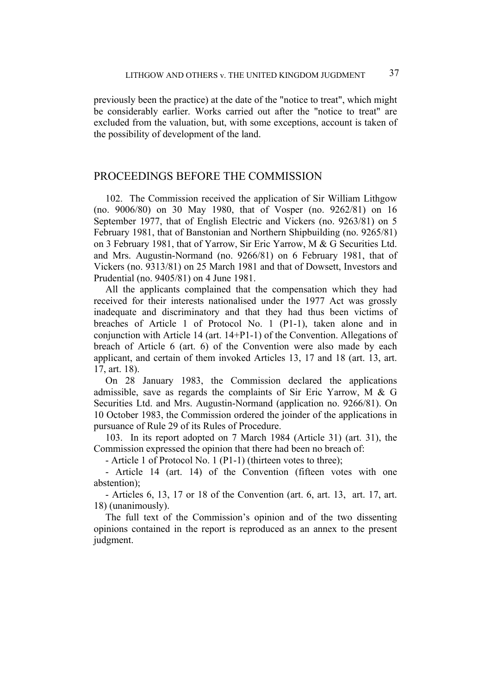previously been the practice) at the date of the "notice to treat", which might be considerably earlier. Works carried out after the "notice to treat" are excluded from the valuation, but, with some exceptions, account is taken of the possibility of development of the land.

## PROCEEDINGS BEFORE THE COMMISSION

102. The Commission received the application of Sir William Lithgow (no. 9006/80) on 30 May 1980, that of Vosper (no. 9262/81) on 16 September 1977, that of English Electric and Vickers (no. 9263/81) on 5 February 1981, that of Banstonian and Northern Shipbuilding (no. 9265/81) on 3 February 1981, that of Yarrow, Sir Eric Yarrow, M & G Securities Ltd. and Mrs. Augustin-Normand (no. 9266/81) on 6 February 1981, that of Vickers (no. 9313/81) on 25 March 1981 and that of Dowsett, Investors and Prudential (no. 9405/81) on 4 June 1981.

All the applicants complained that the compensation which they had received for their interests nationalised under the 1977 Act was grossly inadequate and discriminatory and that they had thus been victims of breaches of Article 1 of Protocol No. 1 (P1-1), taken alone and in conjunction with Article 14 (art. 14+P1-1) of the Convention. Allegations of breach of Article 6 (art. 6) of the Convention were also made by each applicant, and certain of them invoked Articles 13, 17 and 18 (art. 13, art. 17, art. 18).

On 28 January 1983, the Commission declared the applications admissible, save as regards the complaints of Sir Eric Yarrow, M & G Securities Ltd. and Mrs. Augustin-Normand (application no. 9266/81). On 10 October 1983, the Commission ordered the joinder of the applications in pursuance of Rule 29 of its Rules of Procedure.

103. In its report adopted on 7 March 1984 (Article 31) (art. 31), the Commission expressed the opinion that there had been no breach of:

- Article 1 of Protocol No. 1 (P1-1) (thirteen votes to three);

- Article 14 (art. 14) of the Convention (fifteen votes with one abstention);

- Articles 6, 13, 17 or 18 of the Convention (art. 6, art. 13, art. 17, art. 18) (unanimously).

The full text of the Commission's opinion and of the two dissenting opinions contained in the report is reproduced as an annex to the present judgment.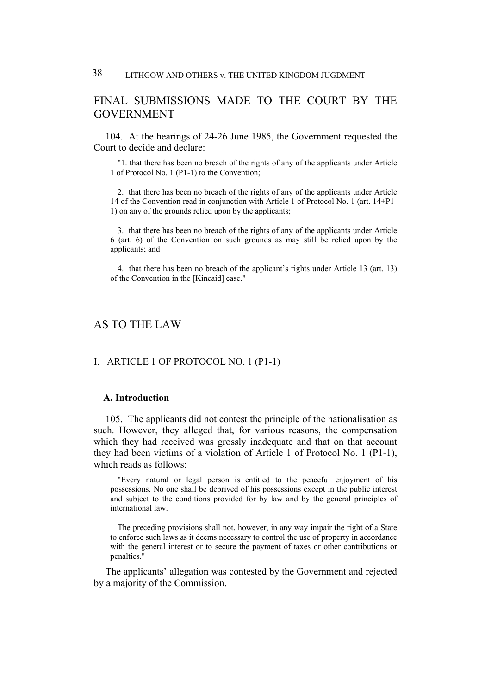# FINAL SUBMISSIONS MADE TO THE COURT BY THE GOVERNMENT

104. At the hearings of 24-26 June 1985, the Government requested the Court to decide and declare:

"1. that there has been no breach of the rights of any of the applicants under Article 1 of Protocol No. 1 (P1-1) to the Convention;

2. that there has been no breach of the rights of any of the applicants under Article 14 of the Convention read in conjunction with Article 1 of Protocol No. 1 (art. 14+P1- 1) on any of the grounds relied upon by the applicants;

3. that there has been no breach of the rights of any of the applicants under Article 6 (art. 6) of the Convention on such grounds as may still be relied upon by the applicants; and

4. that there has been no breach of the applicant's rights under Article 13 (art. 13) of the Convention in the [Kincaid] case."

# AS TO THE LAW

### I. ARTICLE 1 OF PROTOCOL NO. 1 (P1-1)

#### **A. Introduction**

105. The applicants did not contest the principle of the nationalisation as such. However, they alleged that, for various reasons, the compensation which they had received was grossly inadequate and that on that account they had been victims of a violation of Article 1 of Protocol No. 1 (P1-1), which reads as follows:

"Every natural or legal person is entitled to the peaceful enjoyment of his possessions. No one shall be deprived of his possessions except in the public interest and subject to the conditions provided for by law and by the general principles of international law.

The preceding provisions shall not, however, in any way impair the right of a State to enforce such laws as it deems necessary to control the use of property in accordance with the general interest or to secure the payment of taxes or other contributions or penalties."

The applicants' allegation was contested by the Government and rejected by a majority of the Commission.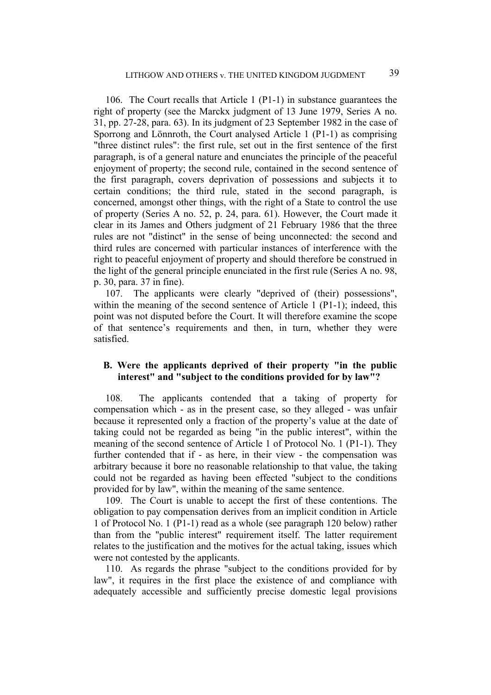106. The Court recalls that Article 1 (P1-1) in substance guarantees the right of property (see the Marckx judgment of 13 June 1979, Series A no. 31, pp. 27-28, para. 63). In its judgment of 23 September 1982 in the case of Sporrong and Lönnroth, the Court analysed Article 1 (P1-1) as comprising "three distinct rules": the first rule, set out in the first sentence of the first paragraph, is of a general nature and enunciates the principle of the peaceful enjoyment of property; the second rule, contained in the second sentence of the first paragraph, covers deprivation of possessions and subjects it to certain conditions; the third rule, stated in the second paragraph, is concerned, amongst other things, with the right of a State to control the use of property (Series A no. 52, p. 24, para. 61). However, the Court made it clear in its James and Others judgment of 21 February 1986 that the three rules are not "distinct" in the sense of being unconnected: the second and third rules are concerned with particular instances of interference with the right to peaceful enjoyment of property and should therefore be construed in the light of the general principle enunciated in the first rule (Series A no. 98, p. 30, para. 37 in fine).

107. The applicants were clearly "deprived of (their) possessions", within the meaning of the second sentence of Article 1 (P1-1); indeed, this point was not disputed before the Court. It will therefore examine the scope of that sentence's requirements and then, in turn, whether they were satisfied.

## **B. Were the applicants deprived of their property "in the public interest" and "subject to the conditions provided for by law"?**

108. The applicants contended that a taking of property for compensation which - as in the present case, so they alleged - was unfair because it represented only a fraction of the property's value at the date of taking could not be regarded as being "in the public interest", within the meaning of the second sentence of Article 1 of Protocol No. 1 (P1-1). They further contended that if - as here, in their view - the compensation was arbitrary because it bore no reasonable relationship to that value, the taking could not be regarded as having been effected "subject to the conditions provided for by law", within the meaning of the same sentence.

109. The Court is unable to accept the first of these contentions. The obligation to pay compensation derives from an implicit condition in Article 1 of Protocol No. 1 (P1-1) read as a whole (see paragraph 120 below) rather than from the "public interest" requirement itself. The latter requirement relates to the justification and the motives for the actual taking, issues which were not contested by the applicants.

110. As regards the phrase "subject to the conditions provided for by law", it requires in the first place the existence of and compliance with adequately accessible and sufficiently precise domestic legal provisions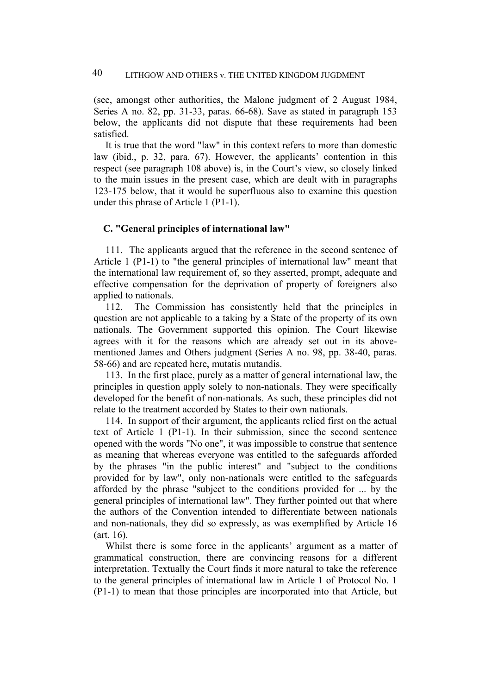(see, amongst other authorities, the Malone judgment of 2 August 1984, Series A no. 82, pp. 31-33, paras. 66-68). Save as stated in paragraph 153 below, the applicants did not dispute that these requirements had been satisfied.

It is true that the word "law" in this context refers to more than domestic law (ibid., p. 32, para. 67). However, the applicants' contention in this respect (see paragraph 108 above) is, in the Court's view, so closely linked to the main issues in the present case, which are dealt with in paragraphs 123-175 below, that it would be superfluous also to examine this question under this phrase of Article 1 (P1-1).

#### **C. "General principles of international law"**

111. The applicants argued that the reference in the second sentence of Article 1 (P1-1) to "the general principles of international law" meant that the international law requirement of, so they asserted, prompt, adequate and effective compensation for the deprivation of property of foreigners also applied to nationals.

112. The Commission has consistently held that the principles in question are not applicable to a taking by a State of the property of its own nationals. The Government supported this opinion. The Court likewise agrees with it for the reasons which are already set out in its abovementioned James and Others judgment (Series A no. 98, pp. 38-40, paras. 58-66) and are repeated here, mutatis mutandis.

113. In the first place, purely as a matter of general international law, the principles in question apply solely to non-nationals. They were specifically developed for the benefit of non-nationals. As such, these principles did not relate to the treatment accorded by States to their own nationals.

114. In support of their argument, the applicants relied first on the actual text of Article 1 (P1-1). In their submission, since the second sentence opened with the words "No one", it was impossible to construe that sentence as meaning that whereas everyone was entitled to the safeguards afforded by the phrases "in the public interest" and "subject to the conditions provided for by law", only non-nationals were entitled to the safeguards afforded by the phrase "subject to the conditions provided for ... by the general principles of international law". They further pointed out that where the authors of the Convention intended to differentiate between nationals and non-nationals, they did so expressly, as was exemplified by Article 16 (art. 16).

Whilst there is some force in the applicants' argument as a matter of grammatical construction, there are convincing reasons for a different interpretation. Textually the Court finds it more natural to take the reference to the general principles of international law in Article 1 of Protocol No. 1 (P1-1) to mean that those principles are incorporated into that Article, but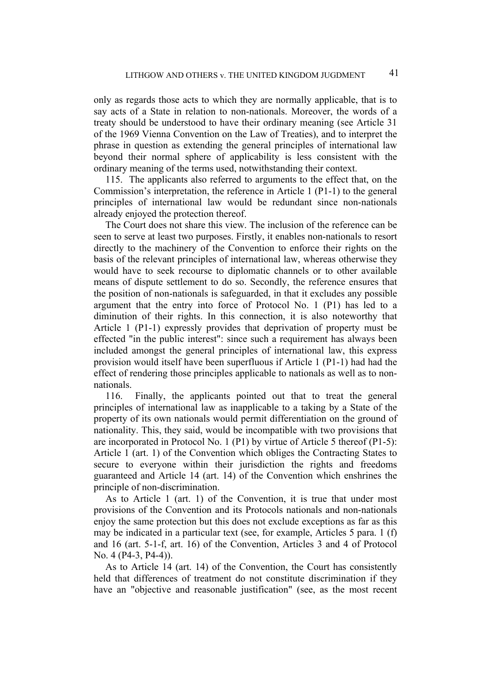only as regards those acts to which they are normally applicable, that is to say acts of a State in relation to non-nationals. Moreover, the words of a treaty should be understood to have their ordinary meaning (see Article 31 of the 1969 Vienna Convention on the Law of Treaties), and to interpret the phrase in question as extending the general principles of international law beyond their normal sphere of applicability is less consistent with the ordinary meaning of the terms used, notwithstanding their context.

115. The applicants also referred to arguments to the effect that, on the Commission's interpretation, the reference in Article 1 (P1-1) to the general principles of international law would be redundant since non-nationals already enjoyed the protection thereof.

The Court does not share this view. The inclusion of the reference can be seen to serve at least two purposes. Firstly, it enables non-nationals to resort directly to the machinery of the Convention to enforce their rights on the basis of the relevant principles of international law, whereas otherwise they would have to seek recourse to diplomatic channels or to other available means of dispute settlement to do so. Secondly, the reference ensures that the position of non-nationals is safeguarded, in that it excludes any possible argument that the entry into force of Protocol No. 1 (P1) has led to a diminution of their rights. In this connection, it is also noteworthy that Article 1 (P1-1) expressly provides that deprivation of property must be effected "in the public interest": since such a requirement has always been included amongst the general principles of international law, this express provision would itself have been superfluous if Article 1 (P1-1) had had the effect of rendering those principles applicable to nationals as well as to nonnationals.

116. Finally, the applicants pointed out that to treat the general principles of international law as inapplicable to a taking by a State of the property of its own nationals would permit differentiation on the ground of nationality. This, they said, would be incompatible with two provisions that are incorporated in Protocol No. 1 (P1) by virtue of Article 5 thereof (P1-5): Article 1 (art. 1) of the Convention which obliges the Contracting States to secure to everyone within their jurisdiction the rights and freedoms guaranteed and Article 14 (art. 14) of the Convention which enshrines the principle of non-discrimination.

As to Article 1 (art. 1) of the Convention, it is true that under most provisions of the Convention and its Protocols nationals and non-nationals enjoy the same protection but this does not exclude exceptions as far as this may be indicated in a particular text (see, for example, Articles 5 para. 1 (f) and 16 (art. 5-1-f, art. 16) of the Convention, Articles 3 and 4 of Protocol No. 4 (P4-3, P4-4)).

As to Article 14 (art. 14) of the Convention, the Court has consistently held that differences of treatment do not constitute discrimination if they have an "objective and reasonable justification" (see, as the most recent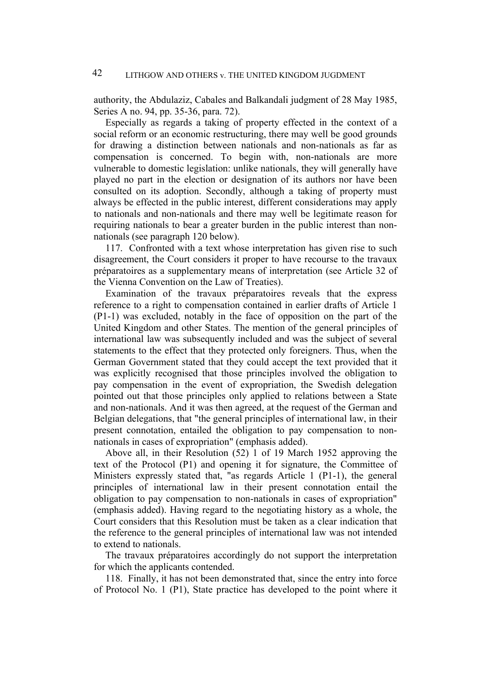authority, the Abdulaziz, Cabales and Balkandali judgment of 28 May 1985, Series A no. 94, pp. 35-36, para. 72).

Especially as regards a taking of property effected in the context of a social reform or an economic restructuring, there may well be good grounds for drawing a distinction between nationals and non-nationals as far as compensation is concerned. To begin with, non-nationals are more vulnerable to domestic legislation: unlike nationals, they will generally have played no part in the election or designation of its authors nor have been consulted on its adoption. Secondly, although a taking of property must always be effected in the public interest, different considerations may apply to nationals and non-nationals and there may well be legitimate reason for requiring nationals to bear a greater burden in the public interest than nonnationals (see paragraph 120 below).

117. Confronted with a text whose interpretation has given rise to such disagreement, the Court considers it proper to have recourse to the travaux préparatoires as a supplementary means of interpretation (see Article 32 of the Vienna Convention on the Law of Treaties).

Examination of the travaux préparatoires reveals that the express reference to a right to compensation contained in earlier drafts of Article 1 (P1-1) was excluded, notably in the face of opposition on the part of the United Kingdom and other States. The mention of the general principles of international law was subsequently included and was the subject of several statements to the effect that they protected only foreigners. Thus, when the German Government stated that they could accept the text provided that it was explicitly recognised that those principles involved the obligation to pay compensation in the event of expropriation, the Swedish delegation pointed out that those principles only applied to relations between a State and non-nationals. And it was then agreed, at the request of the German and Belgian delegations, that "the general principles of international law, in their present connotation, entailed the obligation to pay compensation to nonnationals in cases of expropriation" (emphasis added).

Above all, in their Resolution (52) 1 of 19 March 1952 approving the text of the Protocol (P1) and opening it for signature, the Committee of Ministers expressly stated that, "as regards Article 1 (P1-1), the general principles of international law in their present connotation entail the obligation to pay compensation to non-nationals in cases of expropriation" (emphasis added). Having regard to the negotiating history as a whole, the Court considers that this Resolution must be taken as a clear indication that the reference to the general principles of international law was not intended to extend to nationals.

The travaux préparatoires accordingly do not support the interpretation for which the applicants contended.

118. Finally, it has not been demonstrated that, since the entry into force of Protocol No. 1 (P1), State practice has developed to the point where it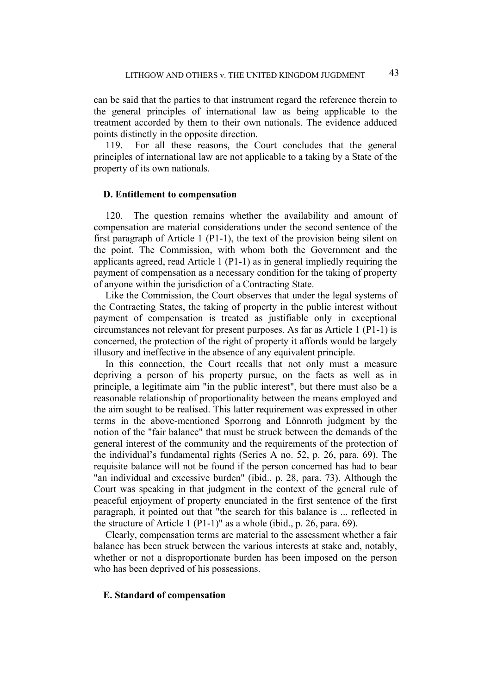can be said that the parties to that instrument regard the reference therein to the general principles of international law as being applicable to the treatment accorded by them to their own nationals. The evidence adduced points distinctly in the opposite direction.

119. For all these reasons, the Court concludes that the general principles of international law are not applicable to a taking by a State of the property of its own nationals.

#### **D. Entitlement to compensation**

120. The question remains whether the availability and amount of compensation are material considerations under the second sentence of the first paragraph of Article 1 (P1-1), the text of the provision being silent on the point. The Commission, with whom both the Government and the applicants agreed, read Article 1 (P1-1) as in general impliedly requiring the payment of compensation as a necessary condition for the taking of property of anyone within the jurisdiction of a Contracting State.

Like the Commission, the Court observes that under the legal systems of the Contracting States, the taking of property in the public interest without payment of compensation is treated as justifiable only in exceptional circumstances not relevant for present purposes. As far as Article 1 (P1-1) is concerned, the protection of the right of property it affords would be largely illusory and ineffective in the absence of any equivalent principle.

In this connection, the Court recalls that not only must a measure depriving a person of his property pursue, on the facts as well as in principle, a legitimate aim "in the public interest", but there must also be a reasonable relationship of proportionality between the means employed and the aim sought to be realised. This latter requirement was expressed in other terms in the above-mentioned Sporrong and Lönnroth judgment by the notion of the "fair balance" that must be struck between the demands of the general interest of the community and the requirements of the protection of the individual's fundamental rights (Series A no. 52, p. 26, para. 69). The requisite balance will not be found if the person concerned has had to bear "an individual and excessive burden" (ibid., p. 28, para. 73). Although the Court was speaking in that judgment in the context of the general rule of peaceful enjoyment of property enunciated in the first sentence of the first paragraph, it pointed out that "the search for this balance is ... reflected in the structure of Article 1 (P1-1)" as a whole (ibid., p. 26, para. 69).

Clearly, compensation terms are material to the assessment whether a fair balance has been struck between the various interests at stake and, notably, whether or not a disproportionate burden has been imposed on the person who has been deprived of his possessions.

#### **E. Standard of compensation**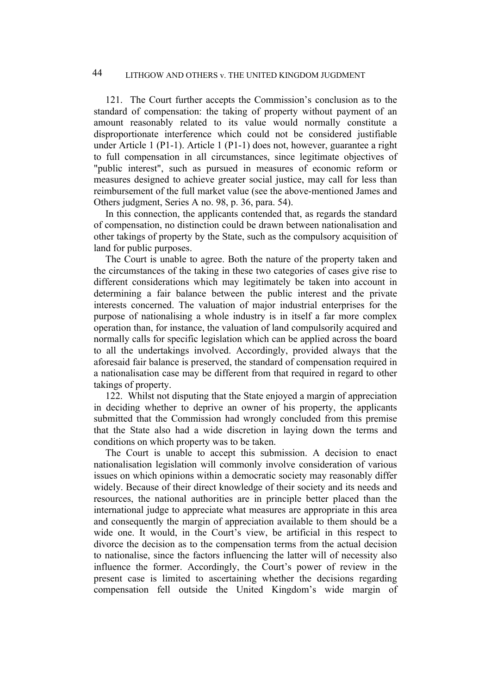121. The Court further accepts the Commission's conclusion as to the standard of compensation: the taking of property without payment of an amount reasonably related to its value would normally constitute a disproportionate interference which could not be considered justifiable under Article 1 (P1-1). Article 1 (P1-1) does not, however, guarantee a right to full compensation in all circumstances, since legitimate objectives of "public interest", such as pursued in measures of economic reform or measures designed to achieve greater social justice, may call for less than reimbursement of the full market value (see the above-mentioned James and Others judgment, Series A no. 98, p. 36, para. 54).

In this connection, the applicants contended that, as regards the standard of compensation, no distinction could be drawn between nationalisation and other takings of property by the State, such as the compulsory acquisition of land for public purposes.

The Court is unable to agree. Both the nature of the property taken and the circumstances of the taking in these two categories of cases give rise to different considerations which may legitimately be taken into account in determining a fair balance between the public interest and the private interests concerned. The valuation of major industrial enterprises for the purpose of nationalising a whole industry is in itself a far more complex operation than, for instance, the valuation of land compulsorily acquired and normally calls for specific legislation which can be applied across the board to all the undertakings involved. Accordingly, provided always that the aforesaid fair balance is preserved, the standard of compensation required in a nationalisation case may be different from that required in regard to other takings of property.

122. Whilst not disputing that the State enjoyed a margin of appreciation in deciding whether to deprive an owner of his property, the applicants submitted that the Commission had wrongly concluded from this premise that the State also had a wide discretion in laying down the terms and conditions on which property was to be taken.

The Court is unable to accept this submission. A decision to enact nationalisation legislation will commonly involve consideration of various issues on which opinions within a democratic society may reasonably differ widely. Because of their direct knowledge of their society and its needs and resources, the national authorities are in principle better placed than the international judge to appreciate what measures are appropriate in this area and consequently the margin of appreciation available to them should be a wide one. It would, in the Court's view, be artificial in this respect to divorce the decision as to the compensation terms from the actual decision to nationalise, since the factors influencing the latter will of necessity also influence the former. Accordingly, the Court's power of review in the present case is limited to ascertaining whether the decisions regarding compensation fell outside the United Kingdom's wide margin of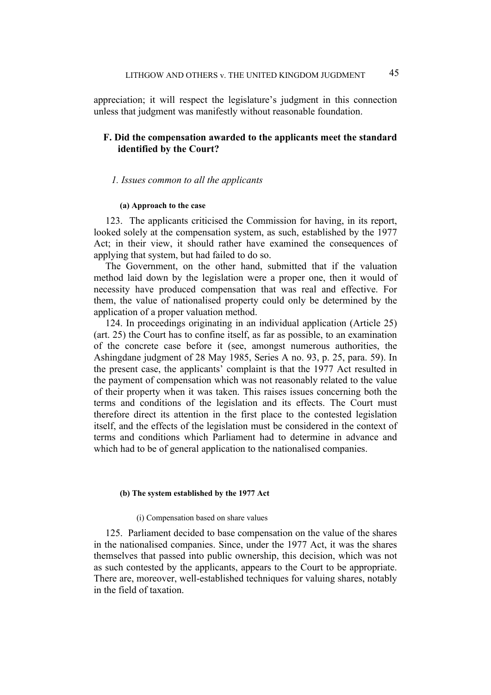appreciation; it will respect the legislature's judgment in this connection unless that judgment was manifestly without reasonable foundation.

## **F. Did the compensation awarded to the applicants meet the standard identified by the Court?**

#### *1. Issues common to all the applicants*

#### **(a) Approach to the case**

123. The applicants criticised the Commission for having, in its report, looked solely at the compensation system, as such, established by the 1977 Act; in their view, it should rather have examined the consequences of applying that system, but had failed to do so.

The Government, on the other hand, submitted that if the valuation method laid down by the legislation were a proper one, then it would of necessity have produced compensation that was real and effective. For them, the value of nationalised property could only be determined by the application of a proper valuation method.

124. In proceedings originating in an individual application (Article 25) (art. 25) the Court has to confine itself, as far as possible, to an examination of the concrete case before it (see, amongst numerous authorities, the Ashingdane judgment of 28 May 1985, Series A no. 93, p. 25, para. 59). In the present case, the applicants' complaint is that the 1977 Act resulted in the payment of compensation which was not reasonably related to the value of their property when it was taken. This raises issues concerning both the terms and conditions of the legislation and its effects. The Court must therefore direct its attention in the first place to the contested legislation itself, and the effects of the legislation must be considered in the context of terms and conditions which Parliament had to determine in advance and which had to be of general application to the nationalised companies.

#### **(b) The system established by the 1977 Act**

#### (i) Compensation based on share values

125. Parliament decided to base compensation on the value of the shares in the nationalised companies. Since, under the 1977 Act, it was the shares themselves that passed into public ownership, this decision, which was not as such contested by the applicants, appears to the Court to be appropriate. There are, moreover, well-established techniques for valuing shares, notably in the field of taxation.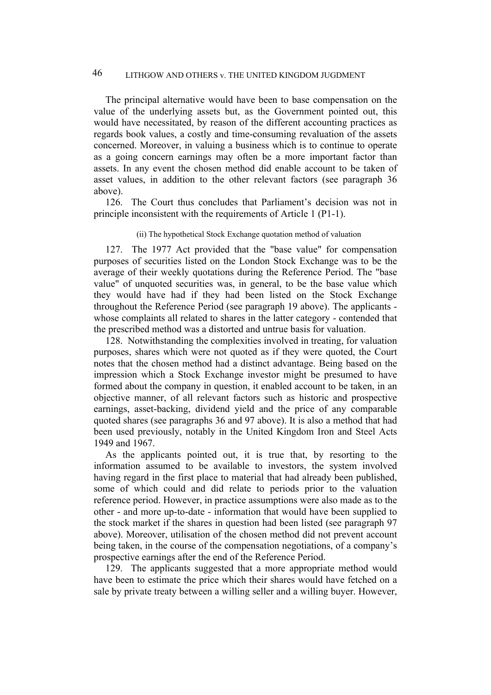The principal alternative would have been to base compensation on the value of the underlying assets but, as the Government pointed out, this would have necessitated, by reason of the different accounting practices as regards book values, a costly and time-consuming revaluation of the assets concerned. Moreover, in valuing a business which is to continue to operate as a going concern earnings may often be a more important factor than assets. In any event the chosen method did enable account to be taken of asset values, in addition to the other relevant factors (see paragraph 36 above).

126. The Court thus concludes that Parliament's decision was not in principle inconsistent with the requirements of Article 1 (P1-1).

#### (ii) The hypothetical Stock Exchange quotation method of valuation

127. The 1977 Act provided that the "base value" for compensation purposes of securities listed on the London Stock Exchange was to be the average of their weekly quotations during the Reference Period. The "base value" of unquoted securities was, in general, to be the base value which they would have had if they had been listed on the Stock Exchange throughout the Reference Period (see paragraph 19 above). The applicants whose complaints all related to shares in the latter category - contended that the prescribed method was a distorted and untrue basis for valuation.

128. Notwithstanding the complexities involved in treating, for valuation purposes, shares which were not quoted as if they were quoted, the Court notes that the chosen method had a distinct advantage. Being based on the impression which a Stock Exchange investor might be presumed to have formed about the company in question, it enabled account to be taken, in an objective manner, of all relevant factors such as historic and prospective earnings, asset-backing, dividend yield and the price of any comparable quoted shares (see paragraphs 36 and 97 above). It is also a method that had been used previously, notably in the United Kingdom Iron and Steel Acts 1949 and 1967.

As the applicants pointed out, it is true that, by resorting to the information assumed to be available to investors, the system involved having regard in the first place to material that had already been published, some of which could and did relate to periods prior to the valuation reference period. However, in practice assumptions were also made as to the other - and more up-to-date - information that would have been supplied to the stock market if the shares in question had been listed (see paragraph 97 above). Moreover, utilisation of the chosen method did not prevent account being taken, in the course of the compensation negotiations, of a company's prospective earnings after the end of the Reference Period.

129. The applicants suggested that a more appropriate method would have been to estimate the price which their shares would have fetched on a sale by private treaty between a willing seller and a willing buyer. However,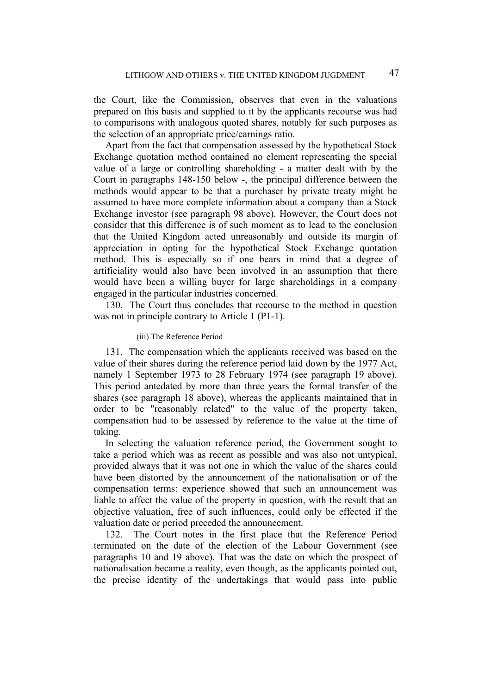the Court, like the Commission, observes that even in the valuations prepared on this basis and supplied to it by the applicants recourse was had to comparisons with analogous quoted shares, notably for such purposes as the selection of an appropriate price/earnings ratio.

Apart from the fact that compensation assessed by the hypothetical Stock Exchange quotation method contained no element representing the special value of a large or controlling shareholding - a matter dealt with by the Court in paragraphs 148-150 below -, the principal difference between the methods would appear to be that a purchaser by private treaty might be assumed to have more complete information about a company than a Stock Exchange investor (see paragraph 98 above). However, the Court does not consider that this difference is of such moment as to lead to the conclusion that the United Kingdom acted unreasonably and outside its margin of appreciation in opting for the hypothetical Stock Exchange quotation method. This is especially so if one bears in mind that a degree of artificiality would also have been involved in an assumption that there would have been a willing buyer for large shareholdings in a company engaged in the particular industries concerned.

130. The Court thus concludes that recourse to the method in question was not in principle contrary to Article 1 (P1-1).

### (iii) The Reference Period

131. The compensation which the applicants received was based on the value of their shares during the reference period laid down by the 1977 Act, namely 1 September 1973 to 28 February 1974 (see paragraph 19 above). This period antedated by more than three years the formal transfer of the shares (see paragraph 18 above), whereas the applicants maintained that in order to be "reasonably related" to the value of the property taken, compensation had to be assessed by reference to the value at the time of taking.

In selecting the valuation reference period, the Government sought to take a period which was as recent as possible and was also not untypical, provided always that it was not one in which the value of the shares could have been distorted by the announcement of the nationalisation or of the compensation terms: experience showed that such an announcement was liable to affect the value of the property in question, with the result that an objective valuation, free of such influences, could only be effected if the valuation date or period preceded the announcement.

132. The Court notes in the first place that the Reference Period terminated on the date of the election of the Labour Government (see paragraphs 10 and 19 above). That was the date on which the prospect of nationalisation became a reality, even though, as the applicants pointed out, the precise identity of the undertakings that would pass into public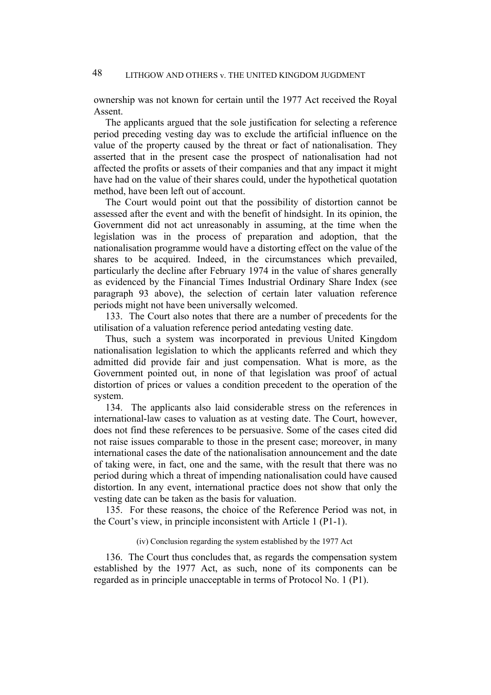ownership was not known for certain until the 1977 Act received the Royal Assent.

The applicants argued that the sole justification for selecting a reference period preceding vesting day was to exclude the artificial influence on the value of the property caused by the threat or fact of nationalisation. They asserted that in the present case the prospect of nationalisation had not affected the profits or assets of their companies and that any impact it might have had on the value of their shares could, under the hypothetical quotation method, have been left out of account.

The Court would point out that the possibility of distortion cannot be assessed after the event and with the benefit of hindsight. In its opinion, the Government did not act unreasonably in assuming, at the time when the legislation was in the process of preparation and adoption, that the nationalisation programme would have a distorting effect on the value of the shares to be acquired. Indeed, in the circumstances which prevailed, particularly the decline after February 1974 in the value of shares generally as evidenced by the Financial Times Industrial Ordinary Share Index (see paragraph 93 above), the selection of certain later valuation reference periods might not have been universally welcomed.

133. The Court also notes that there are a number of precedents for the utilisation of a valuation reference period antedating vesting date.

Thus, such a system was incorporated in previous United Kingdom nationalisation legislation to which the applicants referred and which they admitted did provide fair and just compensation. What is more, as the Government pointed out, in none of that legislation was proof of actual distortion of prices or values a condition precedent to the operation of the system.

134. The applicants also laid considerable stress on the references in international-law cases to valuation as at vesting date. The Court, however, does not find these references to be persuasive. Some of the cases cited did not raise issues comparable to those in the present case; moreover, in many international cases the date of the nationalisation announcement and the date of taking were, in fact, one and the same, with the result that there was no period during which a threat of impending nationalisation could have caused distortion. In any event, international practice does not show that only the vesting date can be taken as the basis for valuation.

135. For these reasons, the choice of the Reference Period was not, in the Court's view, in principle inconsistent with Article 1 (P1-1).

(iv) Conclusion regarding the system established by the 1977 Act

136. The Court thus concludes that, as regards the compensation system established by the 1977 Act, as such, none of its components can be regarded as in principle unacceptable in terms of Protocol No. 1 (P1).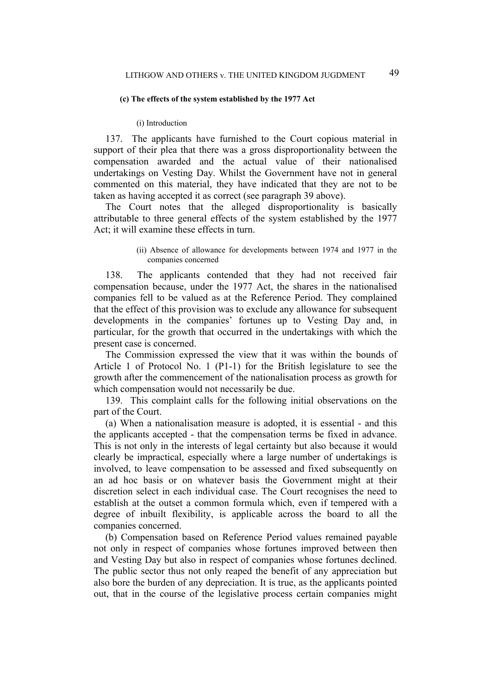#### **(c) The effects of the system established by the 1977 Act**

(i) Introduction

137. The applicants have furnished to the Court copious material in support of their plea that there was a gross disproportionality between the compensation awarded and the actual value of their nationalised undertakings on Vesting Day. Whilst the Government have not in general commented on this material, they have indicated that they are not to be taken as having accepted it as correct (see paragraph 39 above).

The Court notes that the alleged disproportionality is basically attributable to three general effects of the system established by the 1977 Act; it will examine these effects in turn.

> (ii) Absence of allowance for developments between 1974 and 1977 in the companies concerned

138. The applicants contended that they had not received fair compensation because, under the 1977 Act, the shares in the nationalised companies fell to be valued as at the Reference Period. They complained that the effect of this provision was to exclude any allowance for subsequent developments in the companies' fortunes up to Vesting Day and, in particular, for the growth that occurred in the undertakings with which the present case is concerned.

The Commission expressed the view that it was within the bounds of Article 1 of Protocol No. 1 (P1-1) for the British legislature to see the growth after the commencement of the nationalisation process as growth for which compensation would not necessarily be due.

139. This complaint calls for the following initial observations on the part of the Court.

(a) When a nationalisation measure is adopted, it is essential - and this the applicants accepted - that the compensation terms be fixed in advance. This is not only in the interests of legal certainty but also because it would clearly be impractical, especially where a large number of undertakings is involved, to leave compensation to be assessed and fixed subsequently on an ad hoc basis or on whatever basis the Government might at their discretion select in each individual case. The Court recognises the need to establish at the outset a common formula which, even if tempered with a degree of inbuilt flexibility, is applicable across the board to all the companies concerned.

(b) Compensation based on Reference Period values remained payable not only in respect of companies whose fortunes improved between then and Vesting Day but also in respect of companies whose fortunes declined. The public sector thus not only reaped the benefit of any appreciation but also bore the burden of any depreciation. It is true, as the applicants pointed out, that in the course of the legislative process certain companies might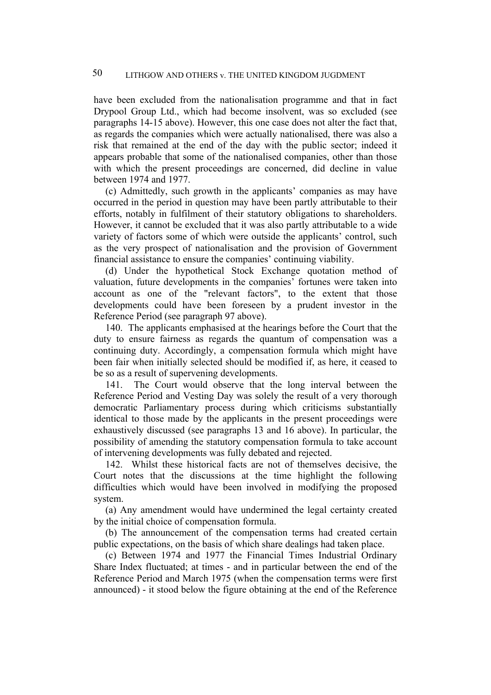have been excluded from the nationalisation programme and that in fact Drypool Group Ltd., which had become insolvent, was so excluded (see paragraphs 14-15 above). However, this one case does not alter the fact that, as regards the companies which were actually nationalised, there was also a risk that remained at the end of the day with the public sector; indeed it appears probable that some of the nationalised companies, other than those with which the present proceedings are concerned, did decline in value between 1974 and 1977.

(c) Admittedly, such growth in the applicants' companies as may have occurred in the period in question may have been partly attributable to their efforts, notably in fulfilment of their statutory obligations to shareholders. However, it cannot be excluded that it was also partly attributable to a wide variety of factors some of which were outside the applicants' control, such as the very prospect of nationalisation and the provision of Government financial assistance to ensure the companies' continuing viability.

(d) Under the hypothetical Stock Exchange quotation method of valuation, future developments in the companies' fortunes were taken into account as one of the "relevant factors", to the extent that those developments could have been foreseen by a prudent investor in the Reference Period (see paragraph 97 above).

140. The applicants emphasised at the hearings before the Court that the duty to ensure fairness as regards the quantum of compensation was a continuing duty. Accordingly, a compensation formula which might have been fair when initially selected should be modified if, as here, it ceased to be so as a result of supervening developments.

141. The Court would observe that the long interval between the Reference Period and Vesting Day was solely the result of a very thorough democratic Parliamentary process during which criticisms substantially identical to those made by the applicants in the present proceedings were exhaustively discussed (see paragraphs 13 and 16 above). In particular, the possibility of amending the statutory compensation formula to take account of intervening developments was fully debated and rejected.

142. Whilst these historical facts are not of themselves decisive, the Court notes that the discussions at the time highlight the following difficulties which would have been involved in modifying the proposed system.

(a) Any amendment would have undermined the legal certainty created by the initial choice of compensation formula.

(b) The announcement of the compensation terms had created certain public expectations, on the basis of which share dealings had taken place.

(c) Between 1974 and 1977 the Financial Times Industrial Ordinary Share Index fluctuated; at times - and in particular between the end of the Reference Period and March 1975 (when the compensation terms were first announced) - it stood below the figure obtaining at the end of the Reference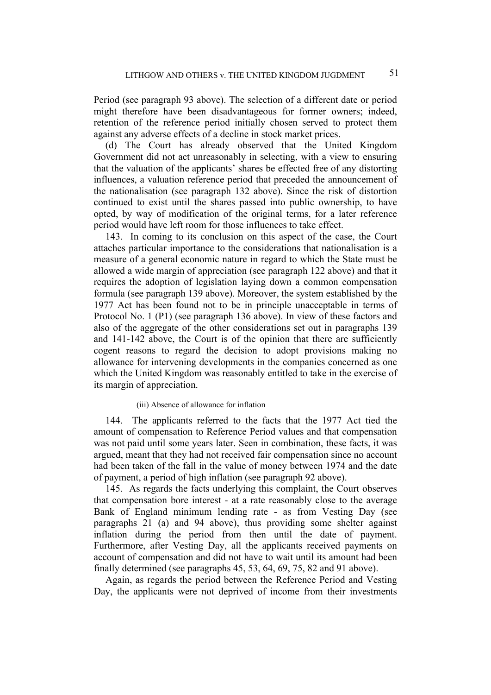Period (see paragraph 93 above). The selection of a different date or period might therefore have been disadvantageous for former owners; indeed, retention of the reference period initially chosen served to protect them against any adverse effects of a decline in stock market prices.

(d) The Court has already observed that the United Kingdom Government did not act unreasonably in selecting, with a view to ensuring that the valuation of the applicants' shares be effected free of any distorting influences, a valuation reference period that preceded the announcement of the nationalisation (see paragraph 132 above). Since the risk of distortion continued to exist until the shares passed into public ownership, to have opted, by way of modification of the original terms, for a later reference period would have left room for those influences to take effect.

143. In coming to its conclusion on this aspect of the case, the Court attaches particular importance to the considerations that nationalisation is a measure of a general economic nature in regard to which the State must be allowed a wide margin of appreciation (see paragraph 122 above) and that it requires the adoption of legislation laying down a common compensation formula (see paragraph 139 above). Moreover, the system established by the 1977 Act has been found not to be in principle unacceptable in terms of Protocol No. 1 (P1) (see paragraph 136 above). In view of these factors and also of the aggregate of the other considerations set out in paragraphs 139 and 141-142 above, the Court is of the opinion that there are sufficiently cogent reasons to regard the decision to adopt provisions making no allowance for intervening developments in the companies concerned as one which the United Kingdom was reasonably entitled to take in the exercise of its margin of appreciation.

#### (iii) Absence of allowance for inflation

144. The applicants referred to the facts that the 1977 Act tied the amount of compensation to Reference Period values and that compensation was not paid until some years later. Seen in combination, these facts, it was argued, meant that they had not received fair compensation since no account had been taken of the fall in the value of money between 1974 and the date of payment, a period of high inflation (see paragraph 92 above).

145. As regards the facts underlying this complaint, the Court observes that compensation bore interest - at a rate reasonably close to the average Bank of England minimum lending rate - as from Vesting Day (see paragraphs 21 (a) and 94 above), thus providing some shelter against inflation during the period from then until the date of payment. Furthermore, after Vesting Day, all the applicants received payments on account of compensation and did not have to wait until its amount had been finally determined (see paragraphs 45, 53, 64, 69, 75, 82 and 91 above).

Again, as regards the period between the Reference Period and Vesting Day, the applicants were not deprived of income from their investments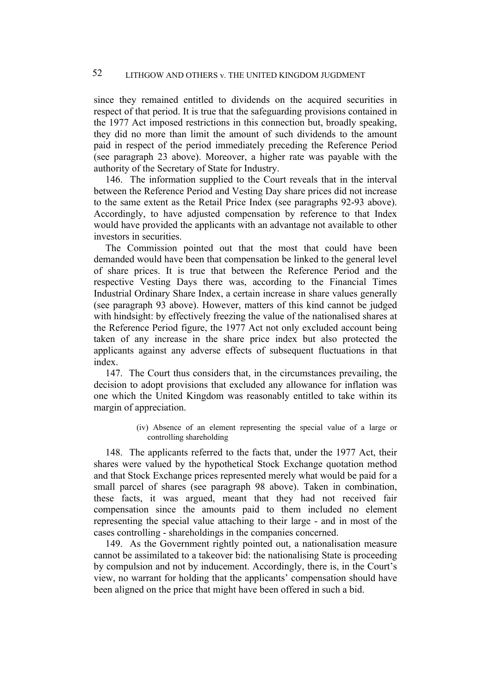since they remained entitled to dividends on the acquired securities in respect of that period. It is true that the safeguarding provisions contained in the 1977 Act imposed restrictions in this connection but, broadly speaking, they did no more than limit the amount of such dividends to the amount paid in respect of the period immediately preceding the Reference Period (see paragraph 23 above). Moreover, a higher rate was payable with the authority of the Secretary of State for Industry.

146. The information supplied to the Court reveals that in the interval between the Reference Period and Vesting Day share prices did not increase to the same extent as the Retail Price Index (see paragraphs 92-93 above). Accordingly, to have adjusted compensation by reference to that Index would have provided the applicants with an advantage not available to other investors in securities.

The Commission pointed out that the most that could have been demanded would have been that compensation be linked to the general level of share prices. It is true that between the Reference Period and the respective Vesting Days there was, according to the Financial Times Industrial Ordinary Share Index, a certain increase in share values generally (see paragraph 93 above). However, matters of this kind cannot be judged with hindsight: by effectively freezing the value of the nationalised shares at the Reference Period figure, the 1977 Act not only excluded account being taken of any increase in the share price index but also protected the applicants against any adverse effects of subsequent fluctuations in that index.

147. The Court thus considers that, in the circumstances prevailing, the decision to adopt provisions that excluded any allowance for inflation was one which the United Kingdom was reasonably entitled to take within its margin of appreciation.

> (iv) Absence of an element representing the special value of a large or controlling shareholding

148. The applicants referred to the facts that, under the 1977 Act, their shares were valued by the hypothetical Stock Exchange quotation method and that Stock Exchange prices represented merely what would be paid for a small parcel of shares (see paragraph 98 above). Taken in combination, these facts, it was argued, meant that they had not received fair compensation since the amounts paid to them included no element representing the special value attaching to their large - and in most of the cases controlling - shareholdings in the companies concerned.

149. As the Government rightly pointed out, a nationalisation measure cannot be assimilated to a takeover bid: the nationalising State is proceeding by compulsion and not by inducement. Accordingly, there is, in the Court's view, no warrant for holding that the applicants' compensation should have been aligned on the price that might have been offered in such a bid.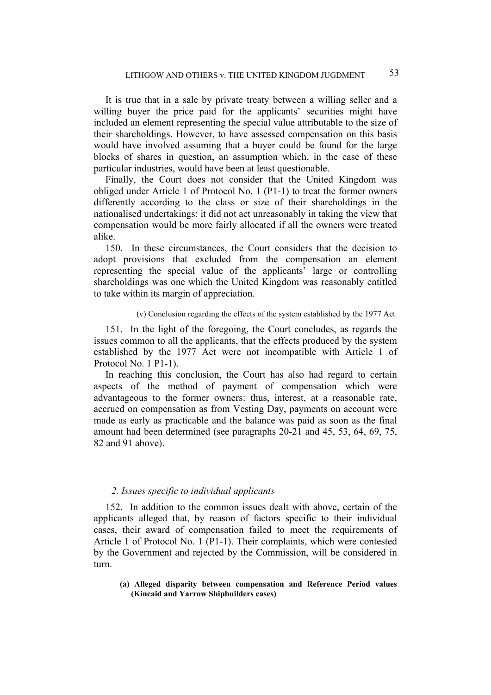It is true that in a sale by private treaty between a willing seller and a willing buyer the price paid for the applicants' securities might have included an element representing the special value attributable to the size of their shareholdings. However, to have assessed compensation on this basis would have involved assuming that a buyer could be found for the large blocks of shares in question, an assumption which, in the case of these particular industries, would have been at least questionable.

Finally, the Court does not consider that the United Kingdom was obliged under Article 1 of Protocol No. 1 (P1-1) to treat the former owners differently according to the class or size of their shareholdings in the nationalised undertakings: it did not act unreasonably in taking the view that compensation would be more fairly allocated if all the owners were treated alike.

150. In these circumstances, the Court considers that the decision to adopt provisions that excluded from the compensation an element representing the special value of the applicants' large or controlling shareholdings was one which the United Kingdom was reasonably entitled to take within its margin of appreciation.

## (v) Conclusion regarding the effects of the system established by the 1977 Act

151. In the light of the foregoing, the Court concludes, as regards the issues common to all the applicants, that the effects produced by the system established by the 1977 Act were not incompatible with Article 1 of Protocol No. 1 P1-1).

In reaching this conclusion, the Court has also had regard to certain aspects of the method of payment of compensation which were advantageous to the former owners: thus, interest, at a reasonable rate, accrued on compensation as from Vesting Day, payments on account were made as early as practicable and the balance was paid as soon as the final amount had been determined (see paragraphs 20-21 and 45, 53, 64, 69, 75, 82 and 91 above).

#### *2. Issues specific to individual applicants*

152. In addition to the common issues dealt with above, certain of the applicants alleged that, by reason of factors specific to their individual cases, their award of compensation failed to meet the requirements of Article 1 of Protocol No. 1 (P1-1). Their complaints, which were contested by the Government and rejected by the Commission, will be considered in turn.

**(a) Alleged disparity between compensation and Reference Period values (Kincaid and Yarrow Shipbuilders cases)**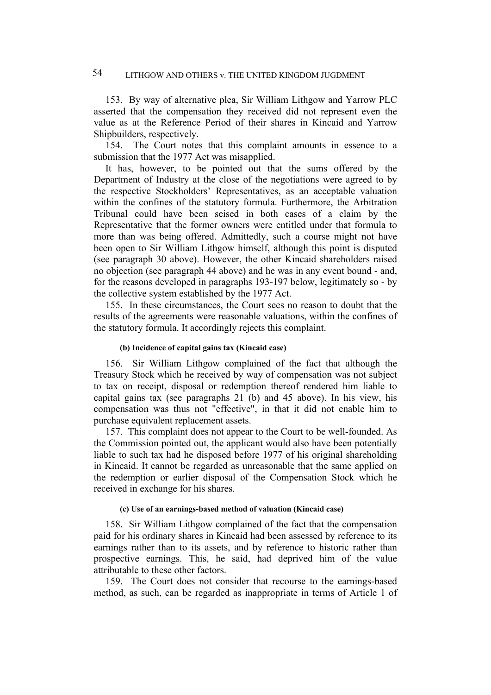## 54 LITHGOW AND OTHERS v. THE UNITED KINGDOM JUGDMENT

153. By way of alternative plea, Sir William Lithgow and Yarrow PLC asserted that the compensation they received did not represent even the value as at the Reference Period of their shares in Kincaid and Yarrow Shipbuilders, respectively.

154. The Court notes that this complaint amounts in essence to a submission that the 1977 Act was misapplied.

It has, however, to be pointed out that the sums offered by the Department of Industry at the close of the negotiations were agreed to by the respective Stockholders' Representatives, as an acceptable valuation within the confines of the statutory formula. Furthermore, the Arbitration Tribunal could have been seised in both cases of a claim by the Representative that the former owners were entitled under that formula to more than was being offered. Admittedly, such a course might not have been open to Sir William Lithgow himself, although this point is disputed (see paragraph 30 above). However, the other Kincaid shareholders raised no objection (see paragraph 44 above) and he was in any event bound - and, for the reasons developed in paragraphs 193-197 below, legitimately so - by the collective system established by the 1977 Act.

155. In these circumstances, the Court sees no reason to doubt that the results of the agreements were reasonable valuations, within the confines of the statutory formula. It accordingly rejects this complaint.

## **(b) Incidence of capital gains tax (Kincaid case)**

156. Sir William Lithgow complained of the fact that although the Treasury Stock which he received by way of compensation was not subject to tax on receipt, disposal or redemption thereof rendered him liable to capital gains tax (see paragraphs 21 (b) and 45 above). In his view, his compensation was thus not "effective", in that it did not enable him to purchase equivalent replacement assets.

157. This complaint does not appear to the Court to be well-founded. As the Commission pointed out, the applicant would also have been potentially liable to such tax had he disposed before 1977 of his original shareholding in Kincaid. It cannot be regarded as unreasonable that the same applied on the redemption or earlier disposal of the Compensation Stock which he received in exchange for his shares.

#### **(c) Use of an earnings-based method of valuation (Kincaid case)**

158. Sir William Lithgow complained of the fact that the compensation paid for his ordinary shares in Kincaid had been assessed by reference to its earnings rather than to its assets, and by reference to historic rather than prospective earnings. This, he said, had deprived him of the value attributable to these other factors.

159. The Court does not consider that recourse to the earnings-based method, as such, can be regarded as inappropriate in terms of Article 1 of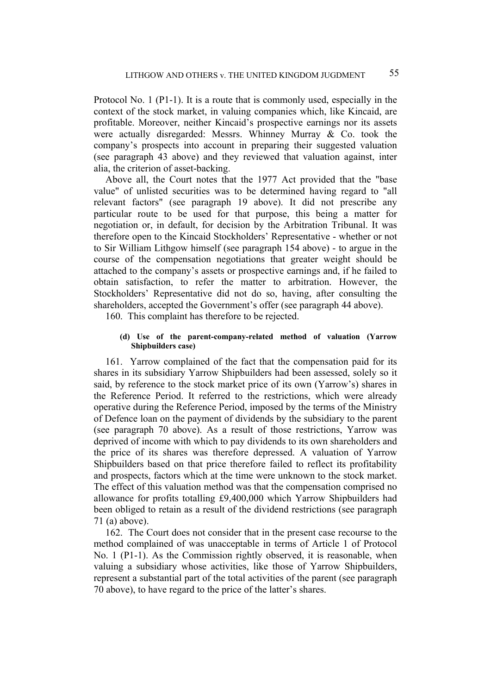Protocol No. 1 (P1-1). It is a route that is commonly used, especially in the context of the stock market, in valuing companies which, like Kincaid, are profitable. Moreover, neither Kincaid's prospective earnings nor its assets were actually disregarded: Messrs. Whinney Murray & Co. took the company's prospects into account in preparing their suggested valuation (see paragraph 43 above) and they reviewed that valuation against, inter alia, the criterion of asset-backing.

Above all, the Court notes that the 1977 Act provided that the "base value" of unlisted securities was to be determined having regard to "all relevant factors" (see paragraph 19 above). It did not prescribe any particular route to be used for that purpose, this being a matter for negotiation or, in default, for decision by the Arbitration Tribunal. It was therefore open to the Kincaid Stockholders' Representative - whether or not to Sir William Lithgow himself (see paragraph 154 above) - to argue in the course of the compensation negotiations that greater weight should be attached to the company's assets or prospective earnings and, if he failed to obtain satisfaction, to refer the matter to arbitration. However, the Stockholders' Representative did not do so, having, after consulting the shareholders, accepted the Government's offer (see paragraph 44 above).

160. This complaint has therefore to be rejected.

**(d) Use of the parent-company-related method of valuation (Yarrow Shipbuilders case)**

161. Yarrow complained of the fact that the compensation paid for its shares in its subsidiary Yarrow Shipbuilders had been assessed, solely so it said, by reference to the stock market price of its own (Yarrow's) shares in the Reference Period. It referred to the restrictions, which were already operative during the Reference Period, imposed by the terms of the Ministry of Defence loan on the payment of dividends by the subsidiary to the parent (see paragraph 70 above). As a result of those restrictions, Yarrow was deprived of income with which to pay dividends to its own shareholders and the price of its shares was therefore depressed. A valuation of Yarrow Shipbuilders based on that price therefore failed to reflect its profitability and prospects, factors which at the time were unknown to the stock market. The effect of this valuation method was that the compensation comprised no allowance for profits totalling £9,400,000 which Yarrow Shipbuilders had been obliged to retain as a result of the dividend restrictions (see paragraph 71 (a) above).

162. The Court does not consider that in the present case recourse to the method complained of was unacceptable in terms of Article 1 of Protocol No. 1 (P1-1). As the Commission rightly observed, it is reasonable, when valuing a subsidiary whose activities, like those of Yarrow Shipbuilders, represent a substantial part of the total activities of the parent (see paragraph 70 above), to have regard to the price of the latter's shares.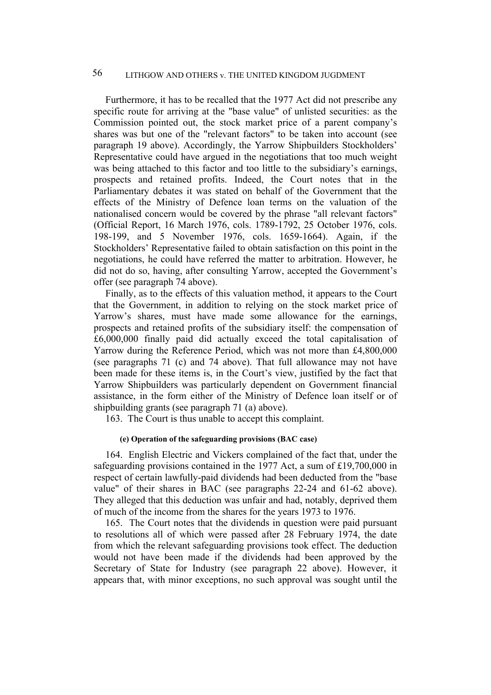## 56 LITHGOW AND OTHERS v. THE UNITED KINGDOM JUGDMENT

Furthermore, it has to be recalled that the 1977 Act did not prescribe any specific route for arriving at the "base value" of unlisted securities: as the Commission pointed out, the stock market price of a parent company's shares was but one of the "relevant factors" to be taken into account (see paragraph 19 above). Accordingly, the Yarrow Shipbuilders Stockholders' Representative could have argued in the negotiations that too much weight was being attached to this factor and too little to the subsidiary's earnings, prospects and retained profits. Indeed, the Court notes that in the Parliamentary debates it was stated on behalf of the Government that the effects of the Ministry of Defence loan terms on the valuation of the nationalised concern would be covered by the phrase "all relevant factors" (Official Report, 16 March 1976, cols. 1789-1792, 25 October 1976, cols. 198-199, and 5 November 1976, cols. 1659-1664). Again, if the Stockholders' Representative failed to obtain satisfaction on this point in the negotiations, he could have referred the matter to arbitration. However, he did not do so, having, after consulting Yarrow, accepted the Government's offer (see paragraph 74 above).

Finally, as to the effects of this valuation method, it appears to the Court that the Government, in addition to relying on the stock market price of Yarrow's shares, must have made some allowance for the earnings, prospects and retained profits of the subsidiary itself: the compensation of £6,000,000 finally paid did actually exceed the total capitalisation of Yarrow during the Reference Period, which was not more than £4,800,000 (see paragraphs 71 (c) and 74 above). That full allowance may not have been made for these items is, in the Court's view, justified by the fact that Yarrow Shipbuilders was particularly dependent on Government financial assistance, in the form either of the Ministry of Defence loan itself or of shipbuilding grants (see paragraph 71 (a) above).

163. The Court is thus unable to accept this complaint.

## **(e) Operation of the safeguarding provisions (BAC case)**

164. English Electric and Vickers complained of the fact that, under the safeguarding provisions contained in the 1977 Act, a sum of £19,700,000 in respect of certain lawfully-paid dividends had been deducted from the "base value" of their shares in BAC (see paragraphs 22-24 and 61-62 above). They alleged that this deduction was unfair and had, notably, deprived them of much of the income from the shares for the years 1973 to 1976.

165. The Court notes that the dividends in question were paid pursuant to resolutions all of which were passed after 28 February 1974, the date from which the relevant safeguarding provisions took effect. The deduction would not have been made if the dividends had been approved by the Secretary of State for Industry (see paragraph 22 above). However, it appears that, with minor exceptions, no such approval was sought until the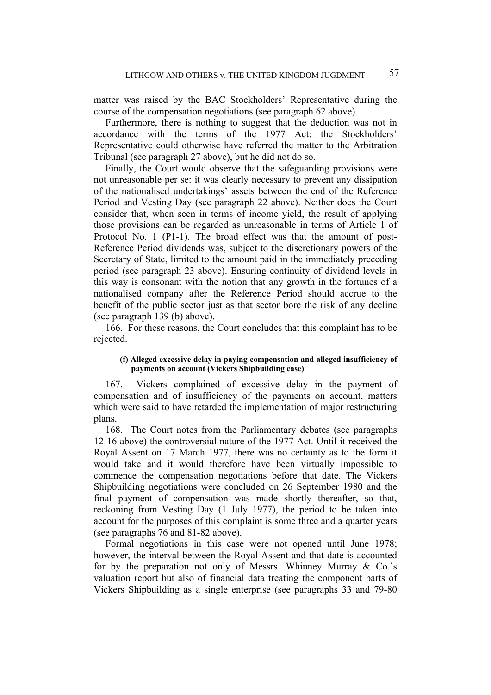matter was raised by the BAC Stockholders' Representative during the course of the compensation negotiations (see paragraph 62 above).

Furthermore, there is nothing to suggest that the deduction was not in accordance with the terms of the 1977 Act: the Stockholders' Representative could otherwise have referred the matter to the Arbitration Tribunal (see paragraph 27 above), but he did not do so.

Finally, the Court would observe that the safeguarding provisions were not unreasonable per se: it was clearly necessary to prevent any dissipation of the nationalised undertakings' assets between the end of the Reference Period and Vesting Day (see paragraph 22 above). Neither does the Court consider that, when seen in terms of income yield, the result of applying those provisions can be regarded as unreasonable in terms of Article 1 of Protocol No. 1 (P1-1). The broad effect was that the amount of post-Reference Period dividends was, subject to the discretionary powers of the Secretary of State, limited to the amount paid in the immediately preceding period (see paragraph 23 above). Ensuring continuity of dividend levels in this way is consonant with the notion that any growth in the fortunes of a nationalised company after the Reference Period should accrue to the benefit of the public sector just as that sector bore the risk of any decline (see paragraph 139 (b) above).

166. For these reasons, the Court concludes that this complaint has to be rejected.

#### **(f) Alleged excessive delay in paying compensation and alleged insufficiency of payments on account (Vickers Shipbuilding case)**

167. Vickers complained of excessive delay in the payment of compensation and of insufficiency of the payments on account, matters which were said to have retarded the implementation of major restructuring plans.

168. The Court notes from the Parliamentary debates (see paragraphs 12-16 above) the controversial nature of the 1977 Act. Until it received the Royal Assent on 17 March 1977, there was no certainty as to the form it would take and it would therefore have been virtually impossible to commence the compensation negotiations before that date. The Vickers Shipbuilding negotiations were concluded on 26 September 1980 and the final payment of compensation was made shortly thereafter, so that, reckoning from Vesting Day (1 July 1977), the period to be taken into account for the purposes of this complaint is some three and a quarter years (see paragraphs 76 and 81-82 above).

Formal negotiations in this case were not opened until June 1978; however, the interval between the Royal Assent and that date is accounted for by the preparation not only of Messrs. Whinney Murray & Co.'s valuation report but also of financial data treating the component parts of Vickers Shipbuilding as a single enterprise (see paragraphs 33 and 79-80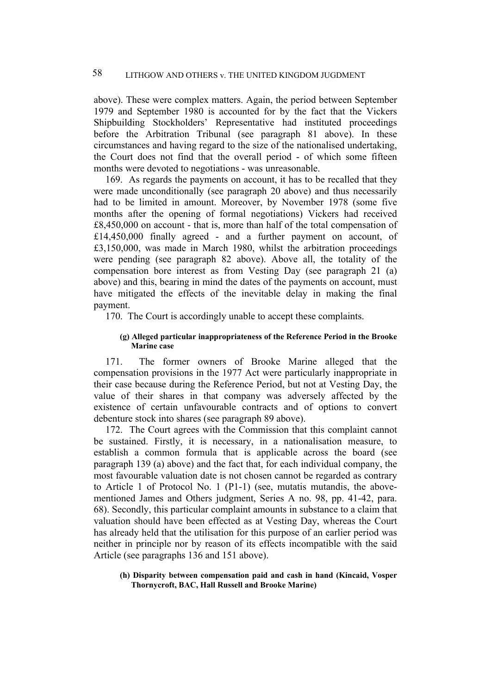above). These were complex matters. Again, the period between September 1979 and September 1980 is accounted for by the fact that the Vickers Shipbuilding Stockholders' Representative had instituted proceedings before the Arbitration Tribunal (see paragraph 81 above). In these circumstances and having regard to the size of the nationalised undertaking, the Court does not find that the overall period - of which some fifteen months were devoted to negotiations - was unreasonable.

169. As regards the payments on account, it has to be recalled that they were made unconditionally (see paragraph 20 above) and thus necessarily had to be limited in amount. Moreover, by November 1978 (some five months after the opening of formal negotiations) Vickers had received £8,450,000 on account - that is, more than half of the total compensation of £14,450,000 finally agreed - and a further payment on account, of £3,150,000, was made in March 1980, whilst the arbitration proceedings were pending (see paragraph 82 above). Above all, the totality of the compensation bore interest as from Vesting Day (see paragraph 21 (a) above) and this, bearing in mind the dates of the payments on account, must have mitigated the effects of the inevitable delay in making the final payment.

170. The Court is accordingly unable to accept these complaints.

### **(g) Alleged particular inappropriateness of the Reference Period in the Brooke Marine case**

171. The former owners of Brooke Marine alleged that the compensation provisions in the 1977 Act were particularly inappropriate in their case because during the Reference Period, but not at Vesting Day, the value of their shares in that company was adversely affected by the existence of certain unfavourable contracts and of options to convert debenture stock into shares (see paragraph 89 above).

172. The Court agrees with the Commission that this complaint cannot be sustained. Firstly, it is necessary, in a nationalisation measure, to establish a common formula that is applicable across the board (see paragraph 139 (a) above) and the fact that, for each individual company, the most favourable valuation date is not chosen cannot be regarded as contrary to Article 1 of Protocol No. 1 (P1-1) (see, mutatis mutandis, the abovementioned James and Others judgment, Series A no. 98, pp. 41-42, para. 68). Secondly, this particular complaint amounts in substance to a claim that valuation should have been effected as at Vesting Day, whereas the Court has already held that the utilisation for this purpose of an earlier period was neither in principle nor by reason of its effects incompatible with the said Article (see paragraphs 136 and 151 above).

#### **(h) Disparity between compensation paid and cash in hand (Kincaid, Vosper Thornycroft, BAC, Hall Russell and Brooke Marine)**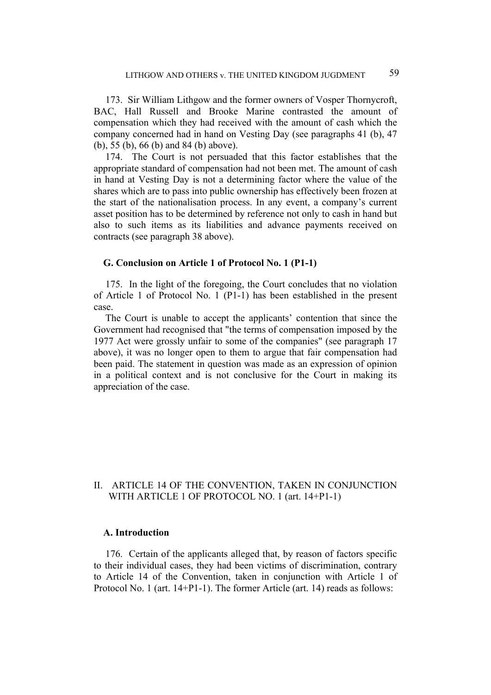173. Sir William Lithgow and the former owners of Vosper Thornycroft, BAC, Hall Russell and Brooke Marine contrasted the amount of compensation which they had received with the amount of cash which the company concerned had in hand on Vesting Day (see paragraphs 41 (b), 47 (b), 55 (b), 66 (b) and 84 (b) above).

174. The Court is not persuaded that this factor establishes that the appropriate standard of compensation had not been met. The amount of cash in hand at Vesting Day is not a determining factor where the value of the shares which are to pass into public ownership has effectively been frozen at the start of the nationalisation process. In any event, a company's current asset position has to be determined by reference not only to cash in hand but also to such items as its liabilities and advance payments received on contracts (see paragraph 38 above).

#### **G. Conclusion on Article 1 of Protocol No. 1 (P1-1)**

175. In the light of the foregoing, the Court concludes that no violation of Article 1 of Protocol No. 1 (P1-1) has been established in the present case.

The Court is unable to accept the applicants' contention that since the Government had recognised that "the terms of compensation imposed by the 1977 Act were grossly unfair to some of the companies" (see paragraph 17 above), it was no longer open to them to argue that fair compensation had been paid. The statement in question was made as an expression of opinion in a political context and is not conclusive for the Court in making its appreciation of the case.

## II. ARTICLE 14 OF THE CONVENTION, TAKEN IN CONJUNCTION WITH ARTICLE 1 OF PROTOCOL NO. 1 (art. 14+P1-1)

#### **A. Introduction**

176. Certain of the applicants alleged that, by reason of factors specific to their individual cases, they had been victims of discrimination, contrary to Article 14 of the Convention, taken in conjunction with Article 1 of Protocol No. 1 (art. 14+P1-1). The former Article (art. 14) reads as follows: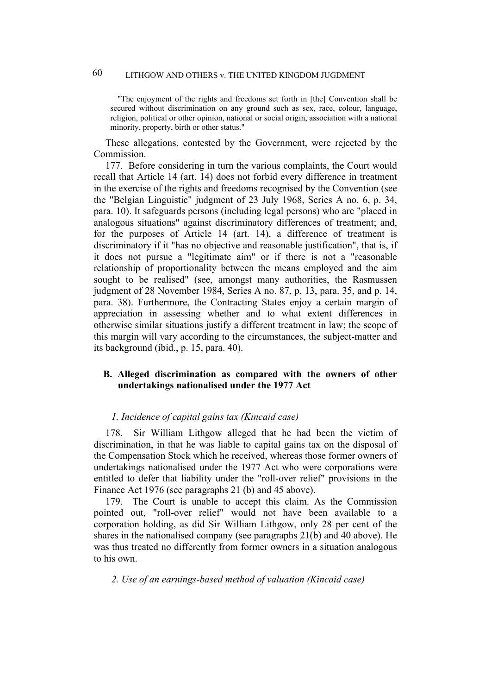"The enjoyment of the rights and freedoms set forth in [the] Convention shall be secured without discrimination on any ground such as sex, race, colour, language, religion, political or other opinion, national or social origin, association with a national minority, property, birth or other status."

These allegations, contested by the Government, were rejected by the Commission.

177. Before considering in turn the various complaints, the Court would recall that Article 14 (art. 14) does not forbid every difference in treatment in the exercise of the rights and freedoms recognised by the Convention (see the "Belgian Linguistic" judgment of 23 July 1968, Series A no. 6, p. 34, para. 10). It safeguards persons (including legal persons) who are "placed in analogous situations" against discriminatory differences of treatment; and, for the purposes of Article 14 (art. 14), a difference of treatment is discriminatory if it "has no objective and reasonable justification", that is, if it does not pursue a "legitimate aim" or if there is not a "reasonable relationship of proportionality between the means employed and the aim sought to be realised" (see, amongst many authorities, the Rasmussen judgment of 28 November 1984, Series A no. 87, p. 13, para. 35, and p. 14, para. 38). Furthermore, the Contracting States enjoy a certain margin of appreciation in assessing whether and to what extent differences in otherwise similar situations justify a different treatment in law; the scope of this margin will vary according to the circumstances, the subject-matter and its background (ibid., p. 15, para. 40).

## **B. Alleged discrimination as compared with the owners of other undertakings nationalised under the 1977 Act**

### *1. Incidence of capital gains tax (Kincaid case)*

178. Sir William Lithgow alleged that he had been the victim of discrimination, in that he was liable to capital gains tax on the disposal of the Compensation Stock which he received, whereas those former owners of undertakings nationalised under the 1977 Act who were corporations were entitled to defer that liability under the "roll-over relief" provisions in the Finance Act 1976 (see paragraphs 21 (b) and 45 above).

179. The Court is unable to accept this claim. As the Commission pointed out, "roll-over relief" would not have been available to a corporation holding, as did Sir William Lithgow, only 28 per cent of the shares in the nationalised company (see paragraphs 21(b) and 40 above). He was thus treated no differently from former owners in a situation analogous to his own.

*2. Use of an earnings-based method of valuation (Kincaid case)*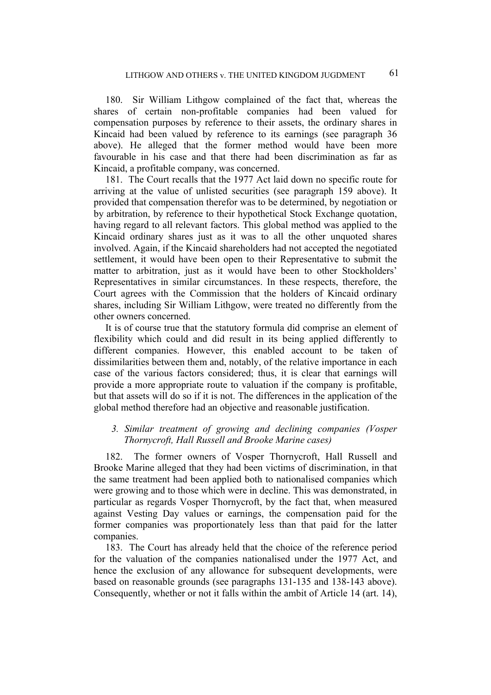180. Sir William Lithgow complained of the fact that, whereas the shares of certain non-profitable companies had been valued for compensation purposes by reference to their assets, the ordinary shares in Kincaid had been valued by reference to its earnings (see paragraph 36 above). He alleged that the former method would have been more favourable in his case and that there had been discrimination as far as Kincaid, a profitable company, was concerned.

181. The Court recalls that the 1977 Act laid down no specific route for arriving at the value of unlisted securities (see paragraph 159 above). It provided that compensation therefor was to be determined, by negotiation or by arbitration, by reference to their hypothetical Stock Exchange quotation, having regard to all relevant factors. This global method was applied to the Kincaid ordinary shares just as it was to all the other unquoted shares involved. Again, if the Kincaid shareholders had not accepted the negotiated settlement, it would have been open to their Representative to submit the matter to arbitration, just as it would have been to other Stockholders' Representatives in similar circumstances. In these respects, therefore, the Court agrees with the Commission that the holders of Kincaid ordinary shares, including Sir William Lithgow, were treated no differently from the other owners concerned.

It is of course true that the statutory formula did comprise an element of flexibility which could and did result in its being applied differently to different companies. However, this enabled account to be taken of dissimilarities between them and, notably, of the relative importance in each case of the various factors considered; thus, it is clear that earnings will provide a more appropriate route to valuation if the company is profitable, but that assets will do so if it is not. The differences in the application of the global method therefore had an objective and reasonable justification.

## *3. Similar treatment of growing and declining companies (Vosper Thornycroft, Hall Russell and Brooke Marine cases)*

182. The former owners of Vosper Thornycroft, Hall Russell and Brooke Marine alleged that they had been victims of discrimination, in that the same treatment had been applied both to nationalised companies which were growing and to those which were in decline. This was demonstrated, in particular as regards Vosper Thornycroft, by the fact that, when measured against Vesting Day values or earnings, the compensation paid for the former companies was proportionately less than that paid for the latter companies.

183. The Court has already held that the choice of the reference period for the valuation of the companies nationalised under the 1977 Act, and hence the exclusion of any allowance for subsequent developments, were based on reasonable grounds (see paragraphs 131-135 and 138-143 above). Consequently, whether or not it falls within the ambit of Article 14 (art. 14),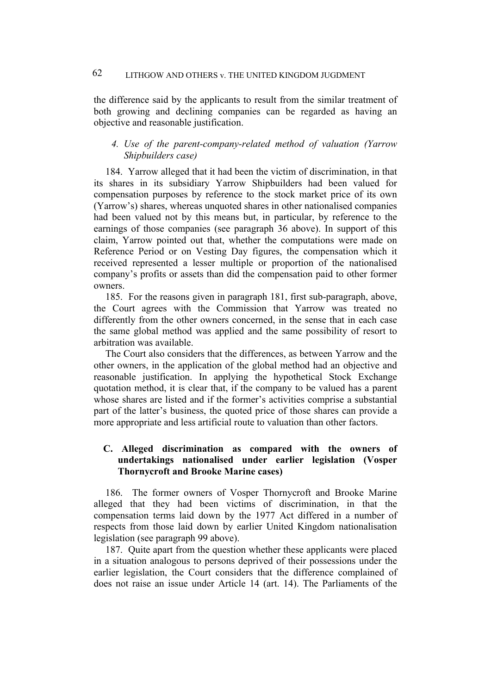## 62 LITHGOW AND OTHERS v. THE UNITED KINGDOM JUGDMENT

the difference said by the applicants to result from the similar treatment of both growing and declining companies can be regarded as having an objective and reasonable justification.

## *4. Use of the parent-company-related method of valuation (Yarrow Shipbuilders case)*

184. Yarrow alleged that it had been the victim of discrimination, in that its shares in its subsidiary Yarrow Shipbuilders had been valued for compensation purposes by reference to the stock market price of its own (Yarrow's) shares, whereas unquoted shares in other nationalised companies had been valued not by this means but, in particular, by reference to the earnings of those companies (see paragraph 36 above). In support of this claim, Yarrow pointed out that, whether the computations were made on Reference Period or on Vesting Day figures, the compensation which it received represented a lesser multiple or proportion of the nationalised company's profits or assets than did the compensation paid to other former owners.

185. For the reasons given in paragraph 181, first sub-paragraph, above, the Court agrees with the Commission that Yarrow was treated no differently from the other owners concerned, in the sense that in each case the same global method was applied and the same possibility of resort to arbitration was available.

The Court also considers that the differences, as between Yarrow and the other owners, in the application of the global method had an objective and reasonable justification. In applying the hypothetical Stock Exchange quotation method, it is clear that, if the company to be valued has a parent whose shares are listed and if the former's activities comprise a substantial part of the latter's business, the quoted price of those shares can provide a more appropriate and less artificial route to valuation than other factors.

## **C. Alleged discrimination as compared with the owners of undertakings nationalised under earlier legislation (Vosper Thornycroft and Brooke Marine cases)**

186. The former owners of Vosper Thornycroft and Brooke Marine alleged that they had been victims of discrimination, in that the compensation terms laid down by the 1977 Act differed in a number of respects from those laid down by earlier United Kingdom nationalisation legislation (see paragraph 99 above).

187. Quite apart from the question whether these applicants were placed in a situation analogous to persons deprived of their possessions under the earlier legislation, the Court considers that the difference complained of does not raise an issue under Article 14 (art. 14). The Parliaments of the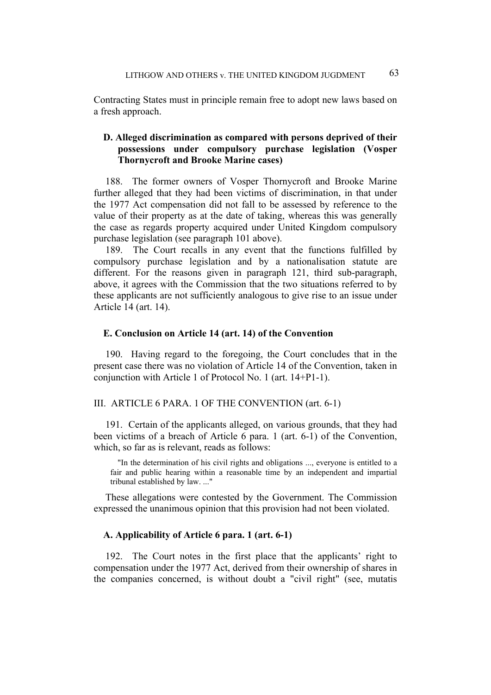Contracting States must in principle remain free to adopt new laws based on a fresh approach.

## **D. Alleged discrimination as compared with persons deprived of their possessions under compulsory purchase legislation (Vosper Thornycroft and Brooke Marine cases)**

188. The former owners of Vosper Thornycroft and Brooke Marine further alleged that they had been victims of discrimination, in that under the 1977 Act compensation did not fall to be assessed by reference to the value of their property as at the date of taking, whereas this was generally the case as regards property acquired under United Kingdom compulsory purchase legislation (see paragraph 101 above).

189. The Court recalls in any event that the functions fulfilled by compulsory purchase legislation and by a nationalisation statute are different. For the reasons given in paragraph 121, third sub-paragraph, above, it agrees with the Commission that the two situations referred to by these applicants are not sufficiently analogous to give rise to an issue under Article 14 (art. 14).

### **E. Conclusion on Article 14 (art. 14) of the Convention**

190. Having regard to the foregoing, the Court concludes that in the present case there was no violation of Article 14 of the Convention, taken in conjunction with Article 1 of Protocol No. 1 (art. 14+P1-1).

### III. ARTICLE 6 PARA. 1 OF THE CONVENTION (art. 6-1)

191. Certain of the applicants alleged, on various grounds, that they had been victims of a breach of Article 6 para. 1 (art. 6-1) of the Convention, which, so far as is relevant, reads as follows:

"In the determination of his civil rights and obligations ..., everyone is entitled to a fair and public hearing within a reasonable time by an independent and impartial tribunal established by law. ..."

These allegations were contested by the Government. The Commission expressed the unanimous opinion that this provision had not been violated.

#### **A. Applicability of Article 6 para. 1 (art. 6-1)**

192. The Court notes in the first place that the applicants' right to compensation under the 1977 Act, derived from their ownership of shares in the companies concerned, is without doubt a "civil right" (see, mutatis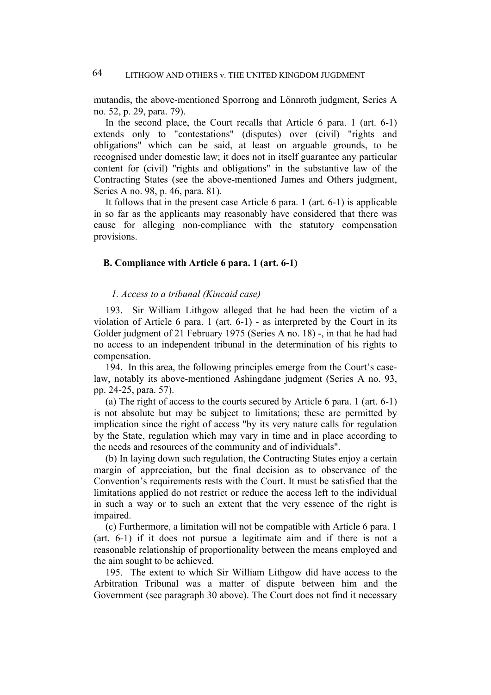mutandis, the above-mentioned Sporrong and Lönnroth judgment, Series A no. 52, p. 29, para. 79).

In the second place, the Court recalls that Article 6 para. 1 (art. 6-1) extends only to "contestations" (disputes) over (civil) "rights and obligations" which can be said, at least on arguable grounds, to be recognised under domestic law; it does not in itself guarantee any particular content for (civil) "rights and obligations" in the substantive law of the Contracting States (see the above-mentioned James and Others judgment, Series A no. 98, p. 46, para. 81).

It follows that in the present case Article 6 para. 1 (art. 6-1) is applicable in so far as the applicants may reasonably have considered that there was cause for alleging non-compliance with the statutory compensation provisions.

### **B. Compliance with Article 6 para. 1 (art. 6-1)**

### *1. Access to a tribunal (Kincaid case)*

193. Sir William Lithgow alleged that he had been the victim of a violation of Article 6 para. 1 (art. 6-1) - as interpreted by the Court in its Golder judgment of 21 February 1975 (Series A no. 18) -, in that he had had no access to an independent tribunal in the determination of his rights to compensation.

194. In this area, the following principles emerge from the Court's caselaw, notably its above-mentioned Ashingdane judgment (Series A no. 93, pp. 24-25, para. 57).

(a) The right of access to the courts secured by Article 6 para. 1 (art. 6-1) is not absolute but may be subject to limitations; these are permitted by implication since the right of access "by its very nature calls for regulation by the State, regulation which may vary in time and in place according to the needs and resources of the community and of individuals".

(b) In laying down such regulation, the Contracting States enjoy a certain margin of appreciation, but the final decision as to observance of the Convention's requirements rests with the Court. It must be satisfied that the limitations applied do not restrict or reduce the access left to the individual in such a way or to such an extent that the very essence of the right is impaired.

(c) Furthermore, a limitation will not be compatible with Article 6 para. 1 (art. 6-1) if it does not pursue a legitimate aim and if there is not a reasonable relationship of proportionality between the means employed and the aim sought to be achieved.

195. The extent to which Sir William Lithgow did have access to the Arbitration Tribunal was a matter of dispute between him and the Government (see paragraph 30 above). The Court does not find it necessary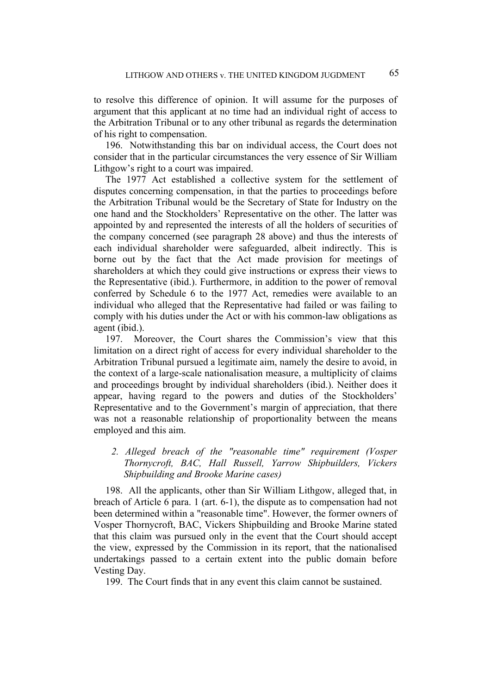to resolve this difference of opinion. It will assume for the purposes of argument that this applicant at no time had an individual right of access to the Arbitration Tribunal or to any other tribunal as regards the determination of his right to compensation.

196. Notwithstanding this bar on individual access, the Court does not consider that in the particular circumstances the very essence of Sir William Lithgow's right to a court was impaired.

The 1977 Act established a collective system for the settlement of disputes concerning compensation, in that the parties to proceedings before the Arbitration Tribunal would be the Secretary of State for Industry on the one hand and the Stockholders' Representative on the other. The latter was appointed by and represented the interests of all the holders of securities of the company concerned (see paragraph 28 above) and thus the interests of each individual shareholder were safeguarded, albeit indirectly. This is borne out by the fact that the Act made provision for meetings of shareholders at which they could give instructions or express their views to the Representative (ibid.). Furthermore, in addition to the power of removal conferred by Schedule 6 to the 1977 Act, remedies were available to an individual who alleged that the Representative had failed or was failing to comply with his duties under the Act or with his common-law obligations as agent (ibid.).

197. Moreover, the Court shares the Commission's view that this limitation on a direct right of access for every individual shareholder to the Arbitration Tribunal pursued a legitimate aim, namely the desire to avoid, in the context of a large-scale nationalisation measure, a multiplicity of claims and proceedings brought by individual shareholders (ibid.). Neither does it appear, having regard to the powers and duties of the Stockholders' Representative and to the Government's margin of appreciation, that there was not a reasonable relationship of proportionality between the means employed and this aim.

*2. Alleged breach of the "reasonable time" requirement (Vosper Thornycroft, BAC, Hall Russell, Yarrow Shipbuilders, Vickers Shipbuilding and Brooke Marine cases)*

198. All the applicants, other than Sir William Lithgow, alleged that, in breach of Article 6 para. 1 (art. 6-1), the dispute as to compensation had not been determined within a "reasonable time". However, the former owners of Vosper Thornycroft, BAC, Vickers Shipbuilding and Brooke Marine stated that this claim was pursued only in the event that the Court should accept the view, expressed by the Commission in its report, that the nationalised undertakings passed to a certain extent into the public domain before Vesting Day.

199. The Court finds that in any event this claim cannot be sustained.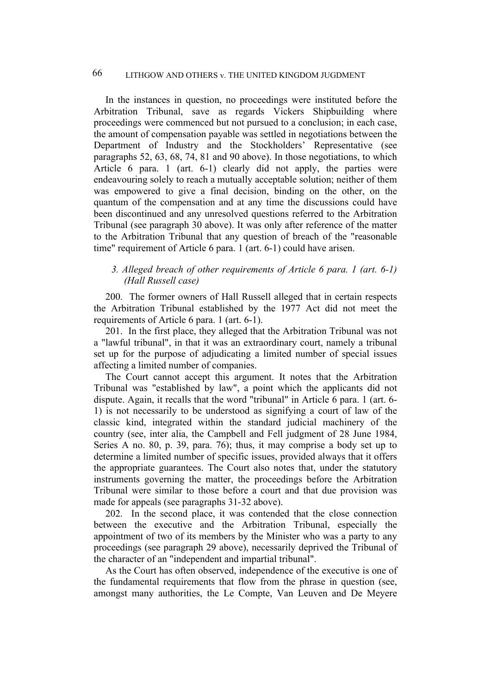## 66 LITHGOW AND OTHERS v. THE UNITED KINGDOM JUGDMENT

In the instances in question, no proceedings were instituted before the Arbitration Tribunal, save as regards Vickers Shipbuilding where proceedings were commenced but not pursued to a conclusion; in each case, the amount of compensation payable was settled in negotiations between the Department of Industry and the Stockholders' Representative (see paragraphs 52, 63, 68, 74, 81 and 90 above). In those negotiations, to which Article 6 para. 1 (art. 6-1) clearly did not apply, the parties were endeavouring solely to reach a mutually acceptable solution; neither of them was empowered to give a final decision, binding on the other, on the quantum of the compensation and at any time the discussions could have been discontinued and any unresolved questions referred to the Arbitration Tribunal (see paragraph 30 above). It was only after reference of the matter to the Arbitration Tribunal that any question of breach of the "reasonable time" requirement of Article 6 para. 1 (art. 6-1) could have arisen.

## *3. Alleged breach of other requirements of Article 6 para. 1 (art. 6-1) (Hall Russell case)*

200. The former owners of Hall Russell alleged that in certain respects the Arbitration Tribunal established by the 1977 Act did not meet the requirements of Article 6 para. 1 (art. 6-1).

201. In the first place, they alleged that the Arbitration Tribunal was not a "lawful tribunal", in that it was an extraordinary court, namely a tribunal set up for the purpose of adjudicating a limited number of special issues affecting a limited number of companies.

The Court cannot accept this argument. It notes that the Arbitration Tribunal was "established by law", a point which the applicants did not dispute. Again, it recalls that the word "tribunal" in Article 6 para. 1 (art. 6- 1) is not necessarily to be understood as signifying a court of law of the classic kind, integrated within the standard judicial machinery of the country (see, inter alia, the Campbell and Fell judgment of 28 June 1984, Series A no. 80, p. 39, para. 76); thus, it may comprise a body set up to determine a limited number of specific issues, provided always that it offers the appropriate guarantees. The Court also notes that, under the statutory instruments governing the matter, the proceedings before the Arbitration Tribunal were similar to those before a court and that due provision was made for appeals (see paragraphs 31-32 above).

202. In the second place, it was contended that the close connection between the executive and the Arbitration Tribunal, especially the appointment of two of its members by the Minister who was a party to any proceedings (see paragraph 29 above), necessarily deprived the Tribunal of the character of an "independent and impartial tribunal".

As the Court has often observed, independence of the executive is one of the fundamental requirements that flow from the phrase in question (see, amongst many authorities, the Le Compte, Van Leuven and De Meyere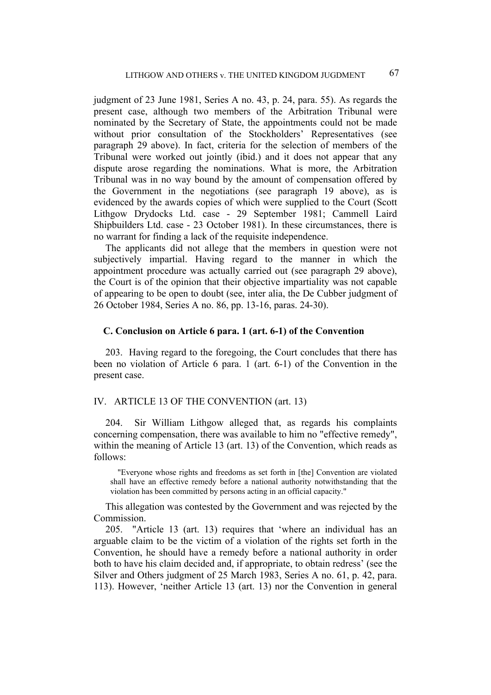judgment of 23 June 1981, Series A no. 43, p. 24, para. 55). As regards the present case, although two members of the Arbitration Tribunal were nominated by the Secretary of State, the appointments could not be made without prior consultation of the Stockholders' Representatives (see paragraph 29 above). In fact, criteria for the selection of members of the Tribunal were worked out jointly (ibid.) and it does not appear that any dispute arose regarding the nominations. What is more, the Arbitration Tribunal was in no way bound by the amount of compensation offered by the Government in the negotiations (see paragraph 19 above), as is evidenced by the awards copies of which were supplied to the Court (Scott Lithgow Drydocks Ltd. case - 29 September 1981; Cammell Laird Shipbuilders Ltd. case - 23 October 1981). In these circumstances, there is no warrant for finding a lack of the requisite independence.

The applicants did not allege that the members in question were not subjectively impartial. Having regard to the manner in which the appointment procedure was actually carried out (see paragraph 29 above), the Court is of the opinion that their objective impartiality was not capable of appearing to be open to doubt (see, inter alia, the De Cubber judgment of 26 October 1984, Series A no. 86, pp. 13-16, paras. 24-30).

### **C. Conclusion on Article 6 para. 1 (art. 6-1) of the Convention**

203. Having regard to the foregoing, the Court concludes that there has been no violation of Article 6 para. 1 (art. 6-1) of the Convention in the present case.

## IV. ARTICLE 13 OF THE CONVENTION (art. 13)

204. Sir William Lithgow alleged that, as regards his complaints concerning compensation, there was available to him no "effective remedy", within the meaning of Article 13 (art. 13) of the Convention, which reads as follows:

"Everyone whose rights and freedoms as set forth in [the] Convention are violated shall have an effective remedy before a national authority notwithstanding that the violation has been committed by persons acting in an official capacity."

This allegation was contested by the Government and was rejected by the Commission.

205. "Article 13 (art. 13) requires that 'where an individual has an arguable claim to be the victim of a violation of the rights set forth in the Convention, he should have a remedy before a national authority in order both to have his claim decided and, if appropriate, to obtain redress' (see the Silver and Others judgment of 25 March 1983, Series A no. 61, p. 42, para. 113). However, 'neither Article 13 (art. 13) nor the Convention in general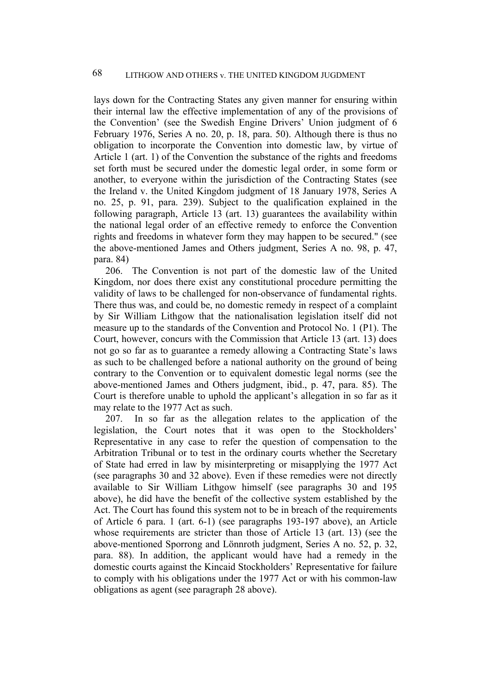lays down for the Contracting States any given manner for ensuring within their internal law the effective implementation of any of the provisions of the Convention' (see the Swedish Engine Drivers' Union judgment of 6 February 1976, Series A no. 20, p. 18, para. 50). Although there is thus no obligation to incorporate the Convention into domestic law, by virtue of Article 1 (art. 1) of the Convention the substance of the rights and freedoms set forth must be secured under the domestic legal order, in some form or another, to everyone within the jurisdiction of the Contracting States (see the Ireland v. the United Kingdom judgment of 18 January 1978, Series A no. 25, p. 91, para. 239). Subject to the qualification explained in the following paragraph, Article 13 (art. 13) guarantees the availability within the national legal order of an effective remedy to enforce the Convention rights and freedoms in whatever form they may happen to be secured." (see the above-mentioned James and Others judgment, Series A no. 98, p. 47, para. 84)

206. The Convention is not part of the domestic law of the United Kingdom, nor does there exist any constitutional procedure permitting the validity of laws to be challenged for non-observance of fundamental rights. There thus was, and could be, no domestic remedy in respect of a complaint by Sir William Lithgow that the nationalisation legislation itself did not measure up to the standards of the Convention and Protocol No. 1 (P1). The Court, however, concurs with the Commission that Article 13 (art. 13) does not go so far as to guarantee a remedy allowing a Contracting State's laws as such to be challenged before a national authority on the ground of being contrary to the Convention or to equivalent domestic legal norms (see the above-mentioned James and Others judgment, ibid., p. 47, para. 85). The Court is therefore unable to uphold the applicant's allegation in so far as it may relate to the 1977 Act as such.

207. In so far as the allegation relates to the application of the legislation, the Court notes that it was open to the Stockholders' Representative in any case to refer the question of compensation to the Arbitration Tribunal or to test in the ordinary courts whether the Secretary of State had erred in law by misinterpreting or misapplying the 1977 Act (see paragraphs 30 and 32 above). Even if these remedies were not directly available to Sir William Lithgow himself (see paragraphs 30 and 195 above), he did have the benefit of the collective system established by the Act. The Court has found this system not to be in breach of the requirements of Article 6 para. 1 (art. 6-1) (see paragraphs 193-197 above), an Article whose requirements are stricter than those of Article 13 (art. 13) (see the above-mentioned Sporrong and Lönnroth judgment, Series A no. 52, p. 32, para. 88). In addition, the applicant would have had a remedy in the domestic courts against the Kincaid Stockholders' Representative for failure to comply with his obligations under the 1977 Act or with his common-law obligations as agent (see paragraph 28 above).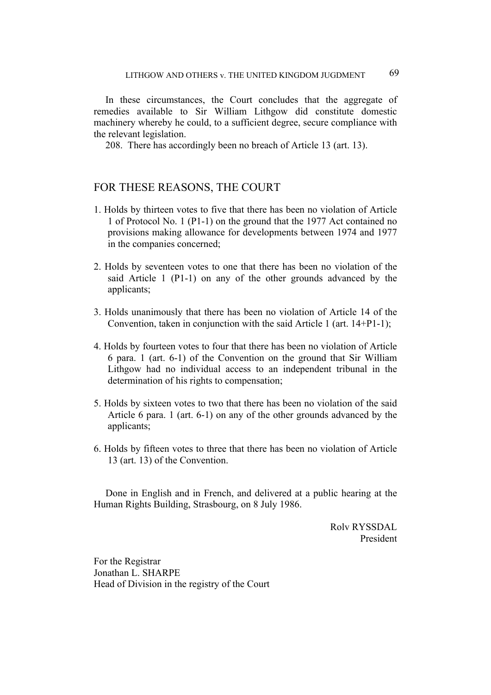In these circumstances, the Court concludes that the aggregate of remedies available to Sir William Lithgow did constitute domestic machinery whereby he could, to a sufficient degree, secure compliance with the relevant legislation.

208. There has accordingly been no breach of Article 13 (art. 13).

## FOR THESE REASONS, THE COURT

- 1. Holds by thirteen votes to five that there has been no violation of Article 1 of Protocol No. 1 (P1-1) on the ground that the 1977 Act contained no provisions making allowance for developments between 1974 and 1977 in the companies concerned;
- 2. Holds by seventeen votes to one that there has been no violation of the said Article 1 (P1-1) on any of the other grounds advanced by the applicants;
- 3. Holds unanimously that there has been no violation of Article 14 of the Convention, taken in conjunction with the said Article 1 (art. 14+P1-1);
- 4. Holds by fourteen votes to four that there has been no violation of Article 6 para. 1 (art. 6-1) of the Convention on the ground that Sir William Lithgow had no individual access to an independent tribunal in the determination of his rights to compensation;
- 5. Holds by sixteen votes to two that there has been no violation of the said Article 6 para. 1 (art. 6-1) on any of the other grounds advanced by the applicants;
- 6. Holds by fifteen votes to three that there has been no violation of Article 13 (art. 13) of the Convention.

Done in English and in French, and delivered at a public hearing at the Human Rights Building, Strasbourg, on 8 July 1986.

> Rolv RYSSDAL President

For the Registrar Jonathan L. SHARPE Head of Division in the registry of the Court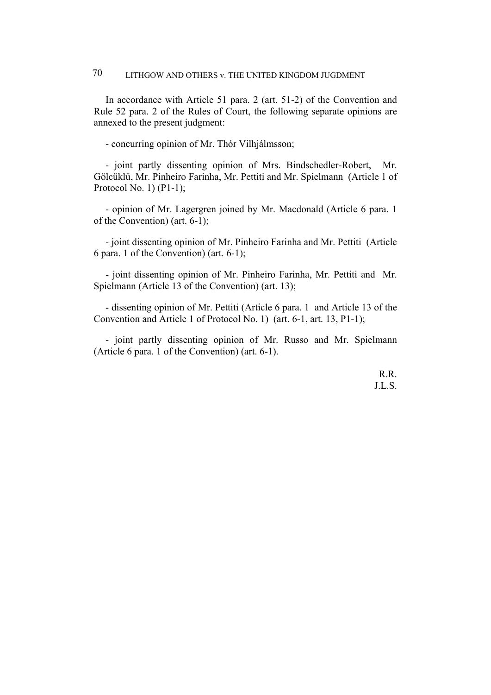70 LITHGOW AND OTHERS v. THE UNITED KINGDOM JUGDMENT

In accordance with Article 51 para. 2 (art. 51-2) of the Convention and Rule 52 para. 2 of the Rules of Court, the following separate opinions are annexed to the present judgment:

- concurring opinion of Mr. Thór Vilhjálmsson;

- joint partly dissenting opinion of Mrs. Bindschedler-Robert, Mr. Gölcüklü, Mr. Pinheiro Farinha, Mr. Pettiti and Mr. Spielmann (Article 1 of Protocol No. 1) (P1-1);

- opinion of Mr. Lagergren joined by Mr. Macdonald (Article 6 para. 1 of the Convention) (art. 6-1);

- joint dissenting opinion of Mr. Pinheiro Farinha and Mr. Pettiti (Article 6 para. 1 of the Convention) (art. 6-1);

- joint dissenting opinion of Mr. Pinheiro Farinha, Mr. Pettiti and Mr. Spielmann (Article 13 of the Convention) (art. 13);

- dissenting opinion of Mr. Pettiti (Article 6 para. 1 and Article 13 of the Convention and Article 1 of Protocol No. 1) (art. 6-1, art. 13, P1-1);

- joint partly dissenting opinion of Mr. Russo and Mr. Spielmann (Article 6 para. 1 of the Convention) (art. 6-1).

> R.R. J.L.S.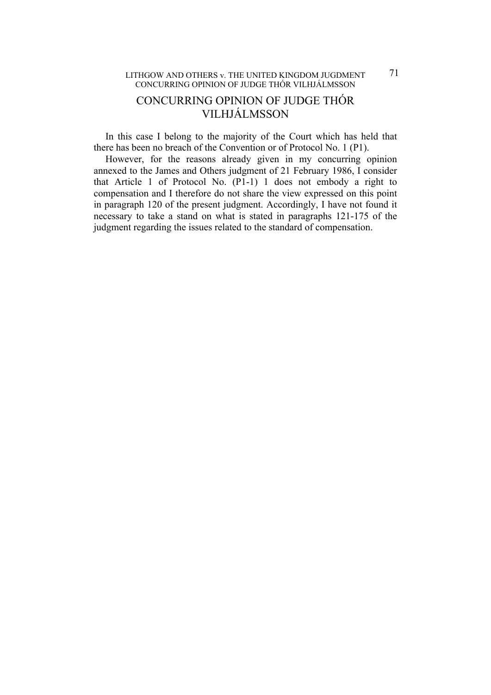### LITHGOW AND OTHERS v. THE UNITED KINGDOM JUGDMENT CONCURRING OPINION OF JUDGE THÓR VILHJÁLMSSON

# CONCURRING OPINION OF JUDGE THÓR VILHJÁLMSSON

In this case I belong to the majority of the Court which has held that there has been no breach of the Convention or of Protocol No. 1 (P1).

However, for the reasons already given in my concurring opinion annexed to the James and Others judgment of 21 February 1986, I consider that Article 1 of Protocol No. (P1-1) 1 does not embody a right to compensation and I therefore do not share the view expressed on this point in paragraph 120 of the present judgment. Accordingly, I have not found it necessary to take a stand on what is stated in paragraphs 121-175 of the judgment regarding the issues related to the standard of compensation.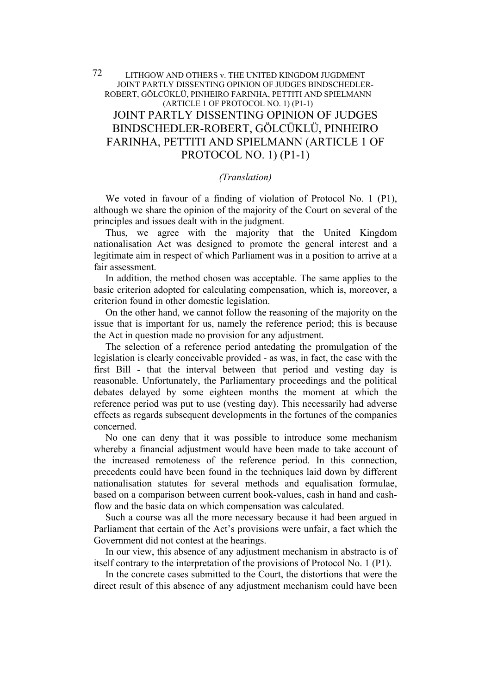# LITHGOW AND OTHERS v. THE UNITED KINGDOM JUGDMENT JOINT PARTLY DISSENTING OPINION OF JUDGES BINDSCHEDLER-ROBERT, GÖLCÜKLÜ, PINHEIRO FARINHA, PETTITI AND SPIELMANN (ARTICLE 1 OF PROTOCOL NO. 1) (P1-1) JOINT PARTLY DISSENTING OPINION OF JUDGES BINDSCHEDLER-ROBERT, GÖLCÜKLÜ, PINHEIRO FARINHA, PETTITI AND SPIELMANN (ARTICLE 1 OF PROTOCOL NO. 1) (P1-1)

# *(Translation)*

We voted in favour of a finding of violation of Protocol No. 1 (P1), although we share the opinion of the majority of the Court on several of the principles and issues dealt with in the judgment.

Thus, we agree with the majority that the United Kingdom nationalisation Act was designed to promote the general interest and a legitimate aim in respect of which Parliament was in a position to arrive at a fair assessment.

In addition, the method chosen was acceptable. The same applies to the basic criterion adopted for calculating compensation, which is, moreover, a criterion found in other domestic legislation.

On the other hand, we cannot follow the reasoning of the majority on the issue that is important for us, namely the reference period; this is because the Act in question made no provision for any adjustment.

The selection of a reference period antedating the promulgation of the legislation is clearly conceivable provided - as was, in fact, the case with the first Bill - that the interval between that period and vesting day is reasonable. Unfortunately, the Parliamentary proceedings and the political debates delayed by some eighteen months the moment at which the reference period was put to use (vesting day). This necessarily had adverse effects as regards subsequent developments in the fortunes of the companies concerned.

No one can deny that it was possible to introduce some mechanism whereby a financial adjustment would have been made to take account of the increased remoteness of the reference period. In this connection, precedents could have been found in the techniques laid down by different nationalisation statutes for several methods and equalisation formulae, based on a comparison between current book-values, cash in hand and cashflow and the basic data on which compensation was calculated.

Such a course was all the more necessary because it had been argued in Parliament that certain of the Act's provisions were unfair, a fact which the Government did not contest at the hearings.

In our view, this absence of any adjustment mechanism in abstracto is of itself contrary to the interpretation of the provisions of Protocol No. 1 (P1).

In the concrete cases submitted to the Court, the distortions that were the direct result of this absence of any adjustment mechanism could have been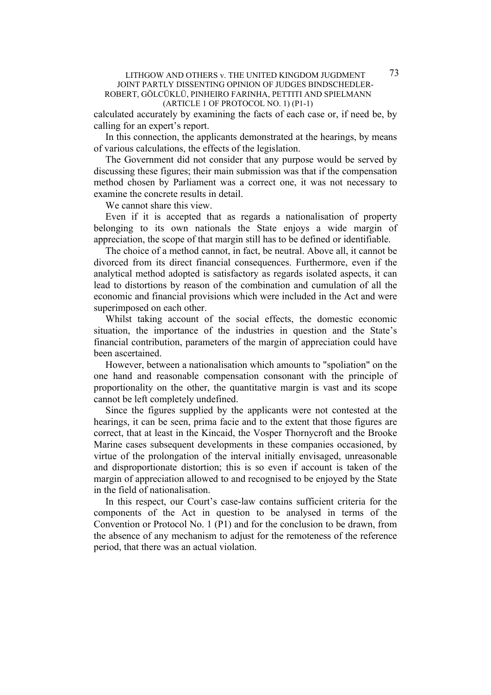#### LITHGOW AND OTHERS v. THE UNITED KINGDOM JUGDMENT JOINT PARTLY DISSENTING OPINION OF JUDGES BINDSCHEDLER-ROBERT, GÖLCÜKLÜ, PINHEIRO FARINHA, PETTITI AND SPIELMANN (ARTICLE 1 OF PROTOCOL NO. 1) (P1-1)

calculated accurately by examining the facts of each case or, if need be, by calling for an expert's report.

In this connection, the applicants demonstrated at the hearings, by means of various calculations, the effects of the legislation.

The Government did not consider that any purpose would be served by discussing these figures; their main submission was that if the compensation method chosen by Parliament was a correct one, it was not necessary to examine the concrete results in detail.

We cannot share this view.

Even if it is accepted that as regards a nationalisation of property belonging to its own nationals the State enjoys a wide margin of appreciation, the scope of that margin still has to be defined or identifiable.

The choice of a method cannot, in fact, be neutral. Above all, it cannot be divorced from its direct financial consequences. Furthermore, even if the analytical method adopted is satisfactory as regards isolated aspects, it can lead to distortions by reason of the combination and cumulation of all the economic and financial provisions which were included in the Act and were superimposed on each other.

Whilst taking account of the social effects, the domestic economic situation, the importance of the industries in question and the State's financial contribution, parameters of the margin of appreciation could have been ascertained.

However, between a nationalisation which amounts to "spoliation" on the one hand and reasonable compensation consonant with the principle of proportionality on the other, the quantitative margin is vast and its scope cannot be left completely undefined.

Since the figures supplied by the applicants were not contested at the hearings, it can be seen, prima facie and to the extent that those figures are correct, that at least in the Kincaid, the Vosper Thornycroft and the Brooke Marine cases subsequent developments in these companies occasioned, by virtue of the prolongation of the interval initially envisaged, unreasonable and disproportionate distortion; this is so even if account is taken of the margin of appreciation allowed to and recognised to be enjoyed by the State in the field of nationalisation.

In this respect, our Court's case-law contains sufficient criteria for the components of the Act in question to be analysed in terms of the Convention or Protocol No. 1 (P1) and for the conclusion to be drawn, from the absence of any mechanism to adjust for the remoteness of the reference period, that there was an actual violation.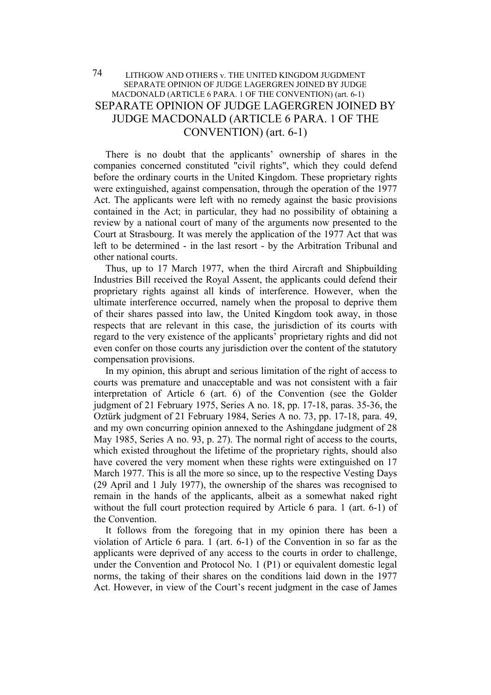# LITHGOW AND OTHERS v. THE UNITED KINGDOM JUGDMENT SEPARATE OPINION OF JUDGE LAGERGREN JOINED BY JUDGE MACDONALD (ARTICLE 6 PARA. 1 OF THE CONVENTION) (art. 6-1) SEPARATE OPINION OF JUDGE LAGERGREN JOINED BY JUDGE MACDONALD (ARTICLE 6 PARA. 1 OF THE CONVENTION) (art. 6-1)

There is no doubt that the applicants' ownership of shares in the companies concerned constituted "civil rights", which they could defend before the ordinary courts in the United Kingdom. These proprietary rights were extinguished, against compensation, through the operation of the 1977 Act. The applicants were left with no remedy against the basic provisions contained in the Act; in particular, they had no possibility of obtaining a review by a national court of many of the arguments now presented to the Court at Strasbourg. It was merely the application of the 1977 Act that was left to be determined - in the last resort - by the Arbitration Tribunal and other national courts.

Thus, up to 17 March 1977, when the third Aircraft and Shipbuilding Industries Bill received the Royal Assent, the applicants could defend their proprietary rights against all kinds of interference. However, when the ultimate interference occurred, namely when the proposal to deprive them of their shares passed into law, the United Kingdom took away, in those respects that are relevant in this case, the jurisdiction of its courts with regard to the very existence of the applicants' proprietary rights and did not even confer on those courts any jurisdiction over the content of the statutory compensation provisions.

In my opinion, this abrupt and serious limitation of the right of access to courts was premature and unacceptable and was not consistent with a fair interpretation of Article 6 (art. 6) of the Convention (see the Golder judgment of 21 February 1975, Series A no. 18, pp. 17-18, paras. 35-36, the Oztürk judgment of 21 February 1984, Series A no. 73, pp. 17-18, para. 49, and my own concurring opinion annexed to the Ashingdane judgment of 28 May 1985, Series A no. 93, p. 27). The normal right of access to the courts, which existed throughout the lifetime of the proprietary rights, should also have covered the very moment when these rights were extinguished on 17 March 1977. This is all the more so since, up to the respective Vesting Days (29 April and 1 July 1977), the ownership of the shares was recognised to remain in the hands of the applicants, albeit as a somewhat naked right without the full court protection required by Article 6 para. 1 (art. 6-1) of the Convention.

It follows from the foregoing that in my opinion there has been a violation of Article 6 para. 1 (art. 6-1) of the Convention in so far as the applicants were deprived of any access to the courts in order to challenge, under the Convention and Protocol No. 1 (P1) or equivalent domestic legal norms, the taking of their shares on the conditions laid down in the 1977 Act. However, in view of the Court's recent judgment in the case of James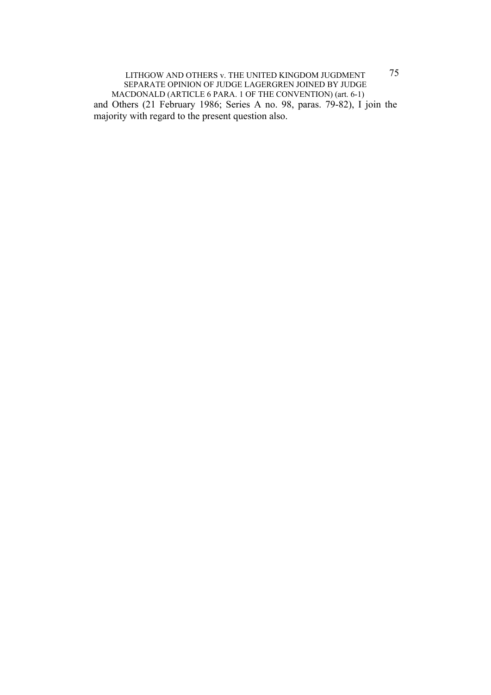LITHGOW AND OTHERS v. THE UNITED KINGDOM JUGDMENT SEPARATE OPINION OF JUDGE LAGERGREN JOINED BY JUDGE MACDONALD (ARTICLE 6 PARA. 1 OF THE CONVENTION) (art. 6-1) and Others (21 February 1986; Series A no. 98, paras. 79-82), I join the majority with regard to the present question also.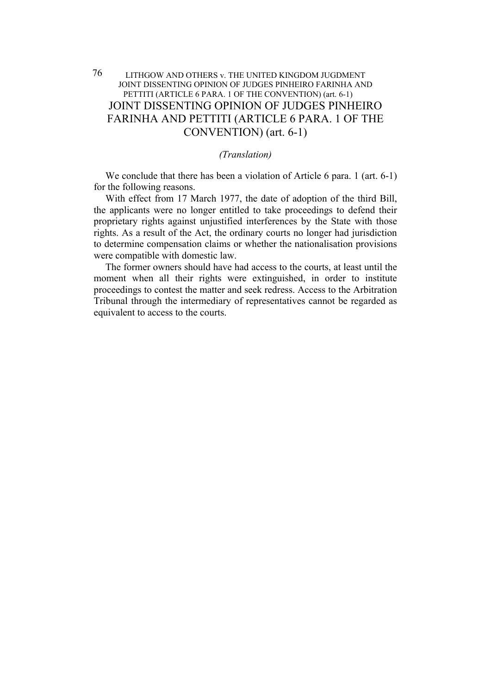### LITHGOW AND OTHERS v. THE UNITED KINGDOM JUGDMENT JOINT DISSENTING OPINION OF JUDGES PINHEIRO FARINHA AND PETTITI (ARTICLE 6 PARA. 1 OF THE CONVENTION) (art. 6-1) 76 JOINT DISSENTING OPINION OF JUDGES PINHEIRO FARINHA AND PETTITI (ARTICLE 6 PARA. 1 OF THE CONVENTION) (art. 6-1)

## *(Translation)*

We conclude that there has been a violation of Article 6 para. 1 (art. 6-1) for the following reasons.

With effect from 17 March 1977, the date of adoption of the third Bill, the applicants were no longer entitled to take proceedings to defend their proprietary rights against unjustified interferences by the State with those rights. As a result of the Act, the ordinary courts no longer had jurisdiction to determine compensation claims or whether the nationalisation provisions were compatible with domestic law.

The former owners should have had access to the courts, at least until the moment when all their rights were extinguished, in order to institute proceedings to contest the matter and seek redress. Access to the Arbitration Tribunal through the intermediary of representatives cannot be regarded as equivalent to access to the courts.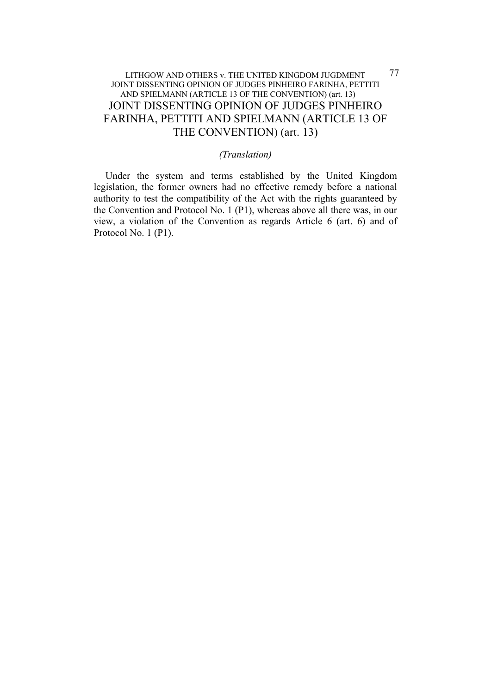# LITHGOW AND OTHERS v. THE UNITED KINGDOM JUGDMENT JOINT DISSENTING OPINION OF JUDGES PINHEIRO FARINHA, PETTITI AND SPIELMANN (ARTICLE 13 OF THE CONVENTION) (art. 13) JOINT DISSENTING OPINION OF JUDGES PINHEIRO FARINHA, PETTITI AND SPIELMANN (ARTICLE 13 OF THE CONVENTION) (art. 13)

## *(Translation)*

Under the system and terms established by the United Kingdom legislation, the former owners had no effective remedy before a national authority to test the compatibility of the Act with the rights guaranteed by the Convention and Protocol No. 1 (P1), whereas above all there was, in our view, a violation of the Convention as regards Article 6 (art. 6) and of Protocol No. 1 (P1).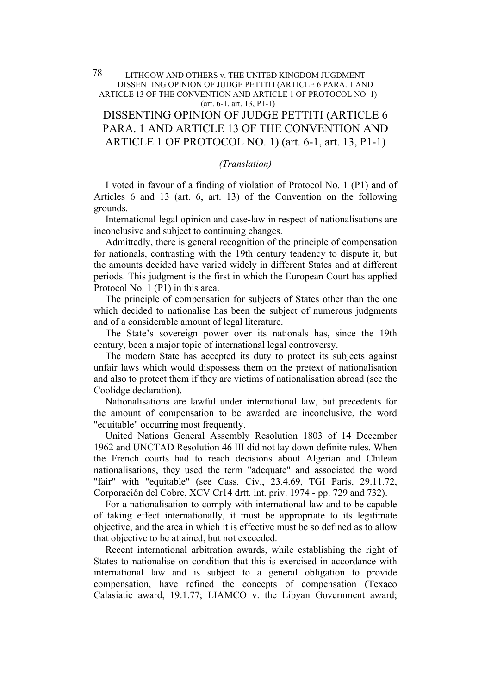### LITHGOW AND OTHERS v. THE UNITED KINGDOM JUGDMENT DISSENTING OPINION OF JUDGE PETTITI (ARTICLE 6 PARA. 1 AND ARTICLE 13 OF THE CONVENTION AND ARTICLE 1 OF PROTOCOL NO. 1) (art. 6-1, art. 13, P1-1) 78 DISSENTING OPINION OF JUDGE PETTITI (ARTICLE 6 PARA. 1 AND ARTICLE 13 OF THE CONVENTION AND ARTICLE 1 OF PROTOCOL NO. 1) (art. 6-1, art. 13, P1-1)

### *(Translation)*

I voted in favour of a finding of violation of Protocol No. 1 (P1) and of Articles 6 and 13 (art. 6, art. 13) of the Convention on the following grounds.

International legal opinion and case-law in respect of nationalisations are inconclusive and subject to continuing changes.

Admittedly, there is general recognition of the principle of compensation for nationals, contrasting with the 19th century tendency to dispute it, but the amounts decided have varied widely in different States and at different periods. This judgment is the first in which the European Court has applied Protocol No. 1 (P1) in this area.

The principle of compensation for subjects of States other than the one which decided to nationalise has been the subject of numerous judgments and of a considerable amount of legal literature.

The State's sovereign power over its nationals has, since the 19th century, been a major topic of international legal controversy.

The modern State has accepted its duty to protect its subjects against unfair laws which would dispossess them on the pretext of nationalisation and also to protect them if they are victims of nationalisation abroad (see the Coolidge declaration).

Nationalisations are lawful under international law, but precedents for the amount of compensation to be awarded are inconclusive, the word "equitable" occurring most frequently.

United Nations General Assembly Resolution 1803 of 14 December 1962 and UNCTAD Resolution 46 III did not lay down definite rules. When the French courts had to reach decisions about Algerian and Chilean nationalisations, they used the term "adequate" and associated the word "fair" with "equitable" (see Cass. Civ., 23.4.69, TGI Paris, 29.11.72, Corporación del Cobre, XCV Cr14 drtt. int. priv. 1974 - pp. 729 and 732).

For a nationalisation to comply with international law and to be capable of taking effect internationally, it must be appropriate to its legitimate objective, and the area in which it is effective must be so defined as to allow that objective to be attained, but not exceeded.

Recent international arbitration awards, while establishing the right of States to nationalise on condition that this is exercised in accordance with international law and is subject to a general obligation to provide compensation, have refined the concepts of compensation (Texaco Calasiatic award, 19.1.77; LIAMCO v. the Libyan Government award;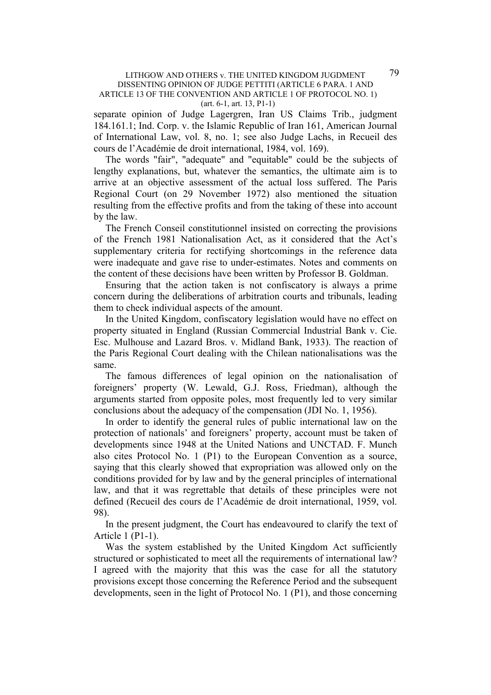#### LITHGOW AND OTHERS v. THE UNITED KINGDOM JUGDMENT DISSENTING OPINION OF JUDGE PETTITI (ARTICLE 6 PARA. 1 AND ARTICLE 13 OF THE CONVENTION AND ARTICLE 1 OF PROTOCOL NO. 1) (art. 6-1, art. 13, P1-1)

separate opinion of Judge Lagergren, Iran US Claims Trib., judgment 184.161.1; Ind. Corp. v. the Islamic Republic of Iran 161, American Journal of International Law, vol. 8, no. 1; see also Judge Lachs, in Recueil des cours de l'Académie de droit international, 1984, vol. 169).

The words "fair", "adequate" and "equitable" could be the subjects of lengthy explanations, but, whatever the semantics, the ultimate aim is to arrive at an objective assessment of the actual loss suffered. The Paris Regional Court (on 29 November 1972) also mentioned the situation resulting from the effective profits and from the taking of these into account by the law.

The French Conseil constitutionnel insisted on correcting the provisions of the French 1981 Nationalisation Act, as it considered that the Act's supplementary criteria for rectifying shortcomings in the reference data were inadequate and gave rise to under-estimates. Notes and comments on the content of these decisions have been written by Professor B. Goldman.

Ensuring that the action taken is not confiscatory is always a prime concern during the deliberations of arbitration courts and tribunals, leading them to check individual aspects of the amount.

In the United Kingdom, confiscatory legislation would have no effect on property situated in England (Russian Commercial Industrial Bank v. Cie. Esc. Mulhouse and Lazard Bros. v. Midland Bank, 1933). The reaction of the Paris Regional Court dealing with the Chilean nationalisations was the same.

The famous differences of legal opinion on the nationalisation of foreigners' property (W. Lewald, G.J. Ross, Friedman), although the arguments started from opposite poles, most frequently led to very similar conclusions about the adequacy of the compensation (JDI No. 1, 1956).

In order to identify the general rules of public international law on the protection of nationals' and foreigners' property, account must be taken of developments since 1948 at the United Nations and UNCTAD. F. Munch also cites Protocol No. 1 (P1) to the European Convention as a source, saying that this clearly showed that expropriation was allowed only on the conditions provided for by law and by the general principles of international law, and that it was regrettable that details of these principles were not defined (Recueil des cours de l'Académie de droit international, 1959, vol. 98).

In the present judgment, the Court has endeavoured to clarify the text of Article 1 (P1-1).

Was the system established by the United Kingdom Act sufficiently structured or sophisticated to meet all the requirements of international law? I agreed with the majority that this was the case for all the statutory provisions except those concerning the Reference Period and the subsequent developments, seen in the light of Protocol No. 1 (P1), and those concerning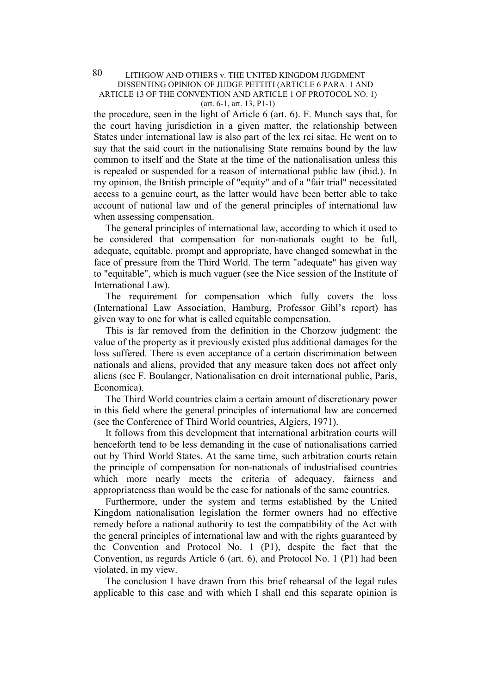#### LITHGOW AND OTHERS v. THE UNITED KINGDOM JUGDMENT DISSENTING OPINION OF JUDGE PETTITI (ARTICLE 6 PARA. 1 AND ARTICLE 13 OF THE CONVENTION AND ARTICLE 1 OF PROTOCOL NO. 1) (art. 6-1, art. 13, P1-1) 80

the procedure, seen in the light of Article 6 (art. 6). F. Munch says that, for the court having jurisdiction in a given matter, the relationship between States under international law is also part of the lex rei sitae. He went on to say that the said court in the nationalising State remains bound by the law common to itself and the State at the time of the nationalisation unless this is repealed or suspended for a reason of international public law (ibid.). In my opinion, the British principle of "equity" and of a "fair trial" necessitated access to a genuine court, as the latter would have been better able to take account of national law and of the general principles of international law when assessing compensation.

The general principles of international law, according to which it used to be considered that compensation for non-nationals ought to be full, adequate, equitable, prompt and appropriate, have changed somewhat in the face of pressure from the Third World. The term "adequate" has given way to "equitable", which is much vaguer (see the Nice session of the Institute of International Law).

The requirement for compensation which fully covers the loss (International Law Association, Hamburg, Professor Gihl's report) has given way to one for what is called equitable compensation.

This is far removed from the definition in the Chorzow judgment: the value of the property as it previously existed plus additional damages for the loss suffered. There is even acceptance of a certain discrimination between nationals and aliens, provided that any measure taken does not affect only aliens (see F. Boulanger, Nationalisation en droit international public, Paris, Economica).

The Third World countries claim a certain amount of discretionary power in this field where the general principles of international law are concerned (see the Conference of Third World countries, Algiers, 1971).

It follows from this development that international arbitration courts will henceforth tend to be less demanding in the case of nationalisations carried out by Third World States. At the same time, such arbitration courts retain the principle of compensation for non-nationals of industrialised countries which more nearly meets the criteria of adequacy, fairness and appropriateness than would be the case for nationals of the same countries.

Furthermore, under the system and terms established by the United Kingdom nationalisation legislation the former owners had no effective remedy before a national authority to test the compatibility of the Act with the general principles of international law and with the rights guaranteed by the Convention and Protocol No. 1 (P1), despite the fact that the Convention, as regards Article 6 (art. 6), and Protocol No. 1 (P1) had been violated, in my view.

The conclusion I have drawn from this brief rehearsal of the legal rules applicable to this case and with which I shall end this separate opinion is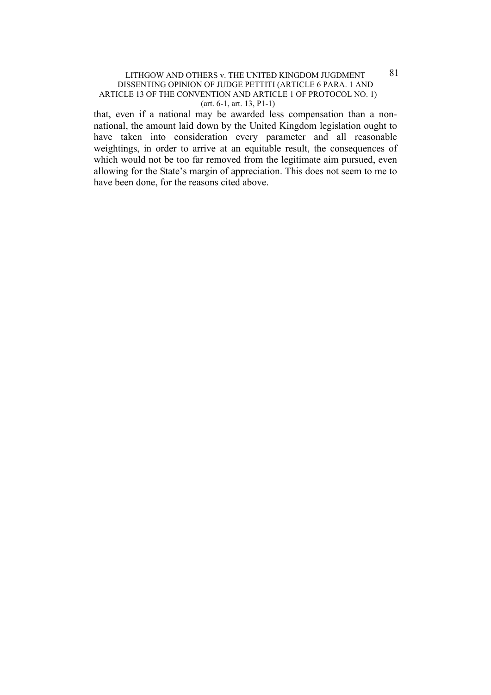#### LITHGOW AND OTHERS v. THE UNITED KINGDOM JUGDMENT DISSENTING OPINION OF JUDGE PETTITI (ARTICLE 6 PARA. 1 AND ARTICLE 13 OF THE CONVENTION AND ARTICLE 1 OF PROTOCOL NO. 1) (art. 6-1, art. 13, P1-1)

that, even if a national may be awarded less compensation than a nonnational, the amount laid down by the United Kingdom legislation ought to have taken into consideration every parameter and all reasonable weightings, in order to arrive at an equitable result, the consequences of which would not be too far removed from the legitimate aim pursued, even allowing for the State's margin of appreciation. This does not seem to me to have been done, for the reasons cited above.